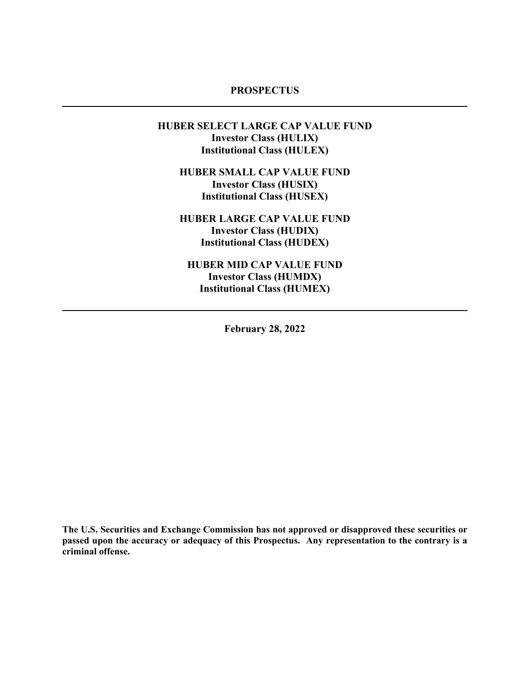# **PROSPECTUS**

# **HUBER SELECT LARGE CAP VALUE FUND Investor Class (HULIX) Institutional Class (HULEX)**

**HUBER SMALL CAP VALUE FUND Investor Class (HUSIX) Institutional Class (HUSEX)**

**HUBER LARGE CAP VALUE FUND Investor Class (HUDIX) Institutional Class (HUDEX)**

**HUBER MID CAP VALUE FUND Investor Class (HUMDX) Institutional Class (HUMEX)**

**February 28, 2022**

**The U.S. Securities and Exchange Commission has not approved or disapproved these securities or passed upon the accuracy or adequacy of this Prospectus. Any representation to the contrary is a criminal offense.**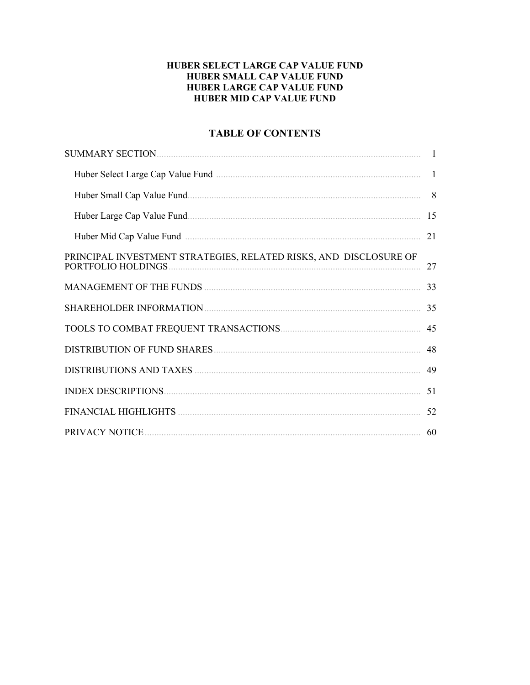# HUBER SELECT LARGE CAP VALUE FUND **HUBER SMALL CAP VALUE FUND HUBER LARGE CAP VALUE FUND HUBER MID CAP VALUE FUND**

# **TABLE OF CONTENTS**

|                                                                                         | $\overline{1}$ |
|-----------------------------------------------------------------------------------------|----------------|
|                                                                                         | 8              |
|                                                                                         | 15             |
| Huber Mid Cap Value Fund manufactured and the State of Table 1.                         | 21             |
| PRINCIPAL INVESTMENT STRATEGIES, RELATED RISKS, AND DISCLOSURE OF<br>PORTFOLIO HOLDINGS | 27             |
|                                                                                         | 33             |
|                                                                                         | 35             |
|                                                                                         | 45             |
|                                                                                         | 48             |
|                                                                                         | 49             |
|                                                                                         | 51             |
|                                                                                         | 52             |
|                                                                                         | 60             |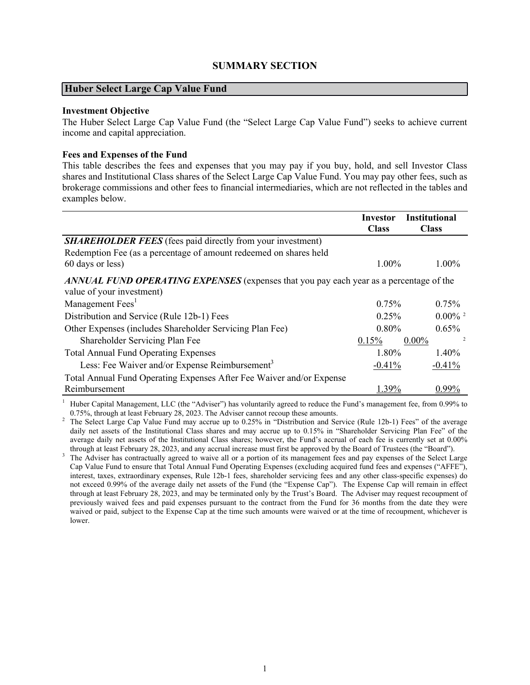# **SUMMARY SECTION**

#### <span id="page-2-0"></span>**Huber Select Large Cap Value Fund**

# **Investment Objective**

The Huber Select Large Cap Value Fund (the "Select Large Cap Value Fund") seeks to achieve current income and capital appreciation.

### **Fees and Expenses of the Fund**

This table describes the fees and expenses that you may pay if you buy, hold, and sell Investor Class shares and Institutional Class shares of the Select Large Cap Value Fund. You may pay other fees, such as brokerage commissions and other fees to financial intermediaries, which are not reflected in the tables and examples below.

|                                                                                                                     | <b>Investor</b><br><b>Class</b> | <b>Institutional</b><br><b>Class</b> |
|---------------------------------------------------------------------------------------------------------------------|---------------------------------|--------------------------------------|
| <b>SHAREHOLDER FEES</b> (fees paid directly from your investment)                                                   |                                 |                                      |
| Redemption Fee (as a percentage of amount redeemed on shares held                                                   |                                 |                                      |
| 60 days or less)                                                                                                    | 1.00%                           | $1.00\%$                             |
| ANNUAL FUND OPERATING EXPENSES (expenses that you pay each year as a percentage of the<br>value of your investment) |                                 |                                      |
| Management Fees <sup>1</sup>                                                                                        | $0.75\%$                        | $0.75\%$                             |
| Distribution and Service (Rule 12b-1) Fees                                                                          | $0.25\%$                        | $0.00\%$ <sup>2</sup>                |
| Other Expenses (includes Shareholder Servicing Plan Fee)                                                            | $0.80\%$                        | $0.65\%$                             |
| Shareholder Servicing Plan Fee                                                                                      | 0.15%                           | $\overline{2}$<br>$0.00\%$           |
| <b>Total Annual Fund Operating Expenses</b>                                                                         | 1.80%                           | 1.40%                                |
| Less: Fee Waiver and/or Expense Reimbursement <sup>3</sup>                                                          | $-0.41%$                        | $-0.41%$                             |
| Total Annual Fund Operating Expenses After Fee Waiver and/or Expense                                                |                                 |                                      |
| Reimbursement                                                                                                       | 1.39%                           | $0.99\%$                             |

<sup>1</sup> Huber Capital Management, LLC (the "Adviser") has voluntarily agreed to reduce the Fund's management fee, from 0.99% to 0.75%, through at least February 28, 2023. The Adviser cannot recoup these amounts.

<sup>2</sup> The Select Large Cap Value Fund may accrue up to 0.25% in "Distribution and Service (Rule 12b-1) Fees" of the average daily net assets of the Institutional Class shares and may accrue up to 0.15% in "Shareholder Servicing Plan Fee" of the average daily net assets of the Institutional Class shares; however, the Fund's accrual of each fee is currently set at 0.00% through at least February 28, 2023, and any accrual increase must first be approved by the Board of Trustees (the "Board").

<sup>3</sup> The Adviser has contractually agreed to waive all or a portion of its management fees and pay expenses of the Select Large Cap Value Fund to ensure that Total Annual Fund Operating Expenses (excluding acquired fund fees and expenses ("AFFE"), interest, taxes, extraordinary expenses, Rule 12b-1 fees, shareholder servicing fees and any other class-specific expenses) do not exceed 0.99% of the average daily net assets of the Fund (the "Expense Cap"). The Expense Cap will remain in effect through at least February 28, 2023, and may be terminated only by the Trust's Board. The Adviser may request recoupment of previously waived fees and paid expenses pursuant to the contract from the Fund for 36 months from the date they were waived or paid, subject to the Expense Cap at the time such amounts were waived or at the time of recoupment, whichever is lower.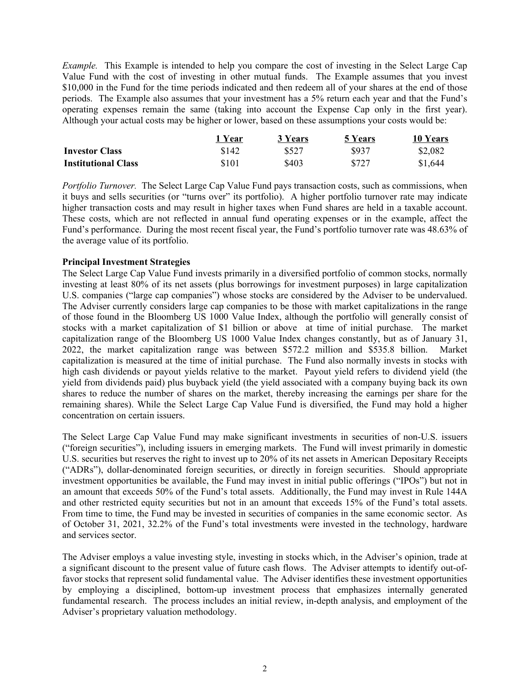*Example.* This Example is intended to help you compare the cost of investing in the Select Large Cap Value Fund with the cost of investing in other mutual funds. The Example assumes that you invest \$10,000 in the Fund for the time periods indicated and then redeem all of your shares at the end of those periods. The Example also assumes that your investment has a 5% return each year and that the Fund's operating expenses remain the same (taking into account the Expense Cap only in the first year). Although your actual costs may be higher or lower, based on these assumptions your costs would be:

|                            | 1 Year | 3 Years | 5 Years | 10 Years |
|----------------------------|--------|---------|---------|----------|
| <b>Investor Class</b>      | \$142  | \$527   | \$937   | \$2,082  |
| <b>Institutional Class</b> | \$101  | \$403   | \$727   | \$1,644  |

*Portfolio Turnover.* The Select Large Cap Value Fund pays transaction costs, such as commissions, when it buys and sells securities (or "turns over" its portfolio). A higher portfolio turnover rate may indicate higher transaction costs and may result in higher taxes when Fund shares are held in a taxable account. These costs, which are not reflected in annual fund operating expenses or in the example, affect the Fund's performance. During the most recent fiscal year, the Fund's portfolio turnover rate was 48.63% of the average value of its portfolio.

# **Principal Investment Strategies**

The Select Large Cap Value Fund invests primarily in a diversified portfolio of common stocks, normally investing at least 80% of its net assets (plus borrowings for investment purposes) in large capitalization U.S. companies ("large cap companies") whose stocks are considered by the Adviser to be undervalued. The Adviser currently considers large cap companies to be those with market capitalizations in the range of those found in the Bloomberg US 1000 Value Index, although the portfolio will generally consist of stocks with a market capitalization of \$1 billion or above at time of initial purchase. The market capitalization range of the Bloomberg US 1000 Value Index changes constantly, but as of January 31, 2022, the market capitalization range was between \$572.2 million and \$535.8 billion. Market capitalization is measured at the time of initial purchase. The Fund also normally invests in stocks with high cash dividends or payout yields relative to the market. Payout yield refers to dividend yield (the yield from dividends paid) plus buyback yield (the yield associated with a company buying back its own shares to reduce the number of shares on the market, thereby increasing the earnings per share for the remaining shares). While the Select Large Cap Value Fund is diversified, the Fund may hold a higher concentration on certain issuers.

The Select Large Cap Value Fund may make significant investments in securities of non-U.S. issuers ("foreign securities"), including issuers in emerging markets. The Fund will invest primarily in domestic U.S. securities but reserves the right to invest up to 20% of its net assets in American Depositary Receipts ("ADRs"), dollar-denominated foreign securities, or directly in foreign securities. Should appropriate investment opportunities be available, the Fund may invest in initial public offerings ("IPOs") but not in an amount that exceeds 50% of the Fund's total assets. Additionally, the Fund may invest in Rule 144A and other restricted equity securities but not in an amount that exceeds 15% of the Fund's total assets. From time to time, the Fund may be invested in securities of companies in the same economic sector. As of October 31, 2021, 32.2% of the Fund's total investments were invested in the technology, hardware and services sector.

The Adviser employs a value investing style, investing in stocks which, in the Adviser's opinion, trade at a significant discount to the present value of future cash flows. The Adviser attempts to identify out-offavor stocks that represent solid fundamental value. The Adviser identifies these investment opportunities by employing a disciplined, bottom-up investment process that emphasizes internally generated fundamental research. The process includes an initial review, in-depth analysis, and employment of the Adviser's proprietary valuation methodology.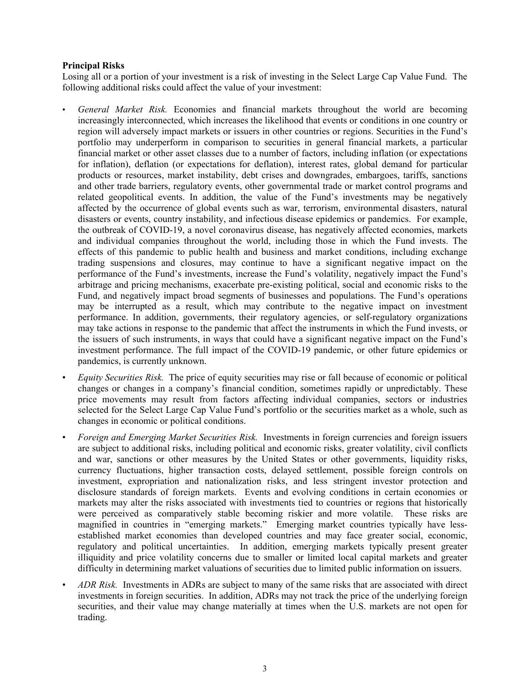# **Principal Risks**

Losing all or a portion of your investment is a risk of investing in the Select Large Cap Value Fund. The following additional risks could affect the value of your investment:

- *General Market Risk.* Economies and financial markets throughout the world are becoming increasingly interconnected, which increases the likelihood that events or conditions in one country or region will adversely impact markets or issuers in other countries or regions. Securities in the Fund's portfolio may underperform in comparison to securities in general financial markets, a particular financial market or other asset classes due to a number of factors, including inflation (or expectations for inflation), deflation (or expectations for deflation), interest rates, global demand for particular products or resources, market instability, debt crises and downgrades, embargoes, tariffs, sanctions and other trade barriers, regulatory events, other governmental trade or market control programs and related geopolitical events. In addition, the value of the Fund's investments may be negatively affected by the occurrence of global events such as war, terrorism, environmental disasters, natural disasters or events, country instability, and infectious disease epidemics or pandemics. For example, the outbreak of COVID-19, a novel coronavirus disease, has negatively affected economies, markets and individual companies throughout the world, including those in which the Fund invests. The effects of this pandemic to public health and business and market conditions, including exchange trading suspensions and closures, may continue to have a significant negative impact on the performance of the Fund's investments, increase the Fund's volatility, negatively impact the Fund's arbitrage and pricing mechanisms, exacerbate pre-existing political, social and economic risks to the Fund, and negatively impact broad segments of businesses and populations. The Fund's operations may be interrupted as a result, which may contribute to the negative impact on investment performance. In addition, governments, their regulatory agencies, or self-regulatory organizations may take actions in response to the pandemic that affect the instruments in which the Fund invests, or the issuers of such instruments, in ways that could have a significant negative impact on the Fund's investment performance. The full impact of the COVID-19 pandemic, or other future epidemics or pandemics, is currently unknown.
- *Equity Securities Risk.* The price of equity securities may rise or fall because of economic or political changes or changes in a company's financial condition, sometimes rapidly or unpredictably. These price movements may result from factors affecting individual companies, sectors or industries selected for the Select Large Cap Value Fund's portfolio or the securities market as a whole, such as changes in economic or political conditions.
- *Foreign and Emerging Market Securities Risk.* Investments in foreign currencies and foreign issuers are subject to additional risks, including political and economic risks, greater volatility, civil conflicts and war, sanctions or other measures by the United States or other governments, liquidity risks, currency fluctuations, higher transaction costs, delayed settlement, possible foreign controls on investment, expropriation and nationalization risks, and less stringent investor protection and disclosure standards of foreign markets. Events and evolving conditions in certain economies or markets may alter the risks associated with investments tied to countries or regions that historically were perceived as comparatively stable becoming riskier and more volatile. These risks are magnified in countries in "emerging markets." Emerging market countries typically have lessestablished market economies than developed countries and may face greater social, economic, regulatory and political uncertainties. In addition, emerging markets typically present greater illiquidity and price volatility concerns due to smaller or limited local capital markets and greater difficulty in determining market valuations of securities due to limited public information on issuers.
- *ADR Risk.* Investments in ADRs are subject to many of the same risks that are associated with direct investments in foreign securities. In addition, ADRs may not track the price of the underlying foreign securities, and their value may change materially at times when the U.S. markets are not open for trading.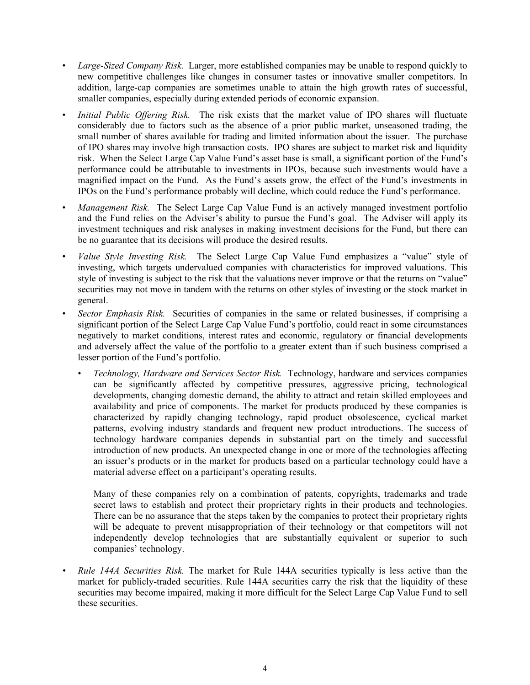- *Large-Sized Company Risk.* Larger, more established companies may be unable to respond quickly to new competitive challenges like changes in consumer tastes or innovative smaller competitors. In addition, large-cap companies are sometimes unable to attain the high growth rates of successful, smaller companies, especially during extended periods of economic expansion.
- *Initial Public Offering Risk.* The risk exists that the market value of IPO shares will fluctuate considerably due to factors such as the absence of a prior public market, unseasoned trading, the small number of shares available for trading and limited information about the issuer. The purchase of IPO shares may involve high transaction costs. IPO shares are subject to market risk and liquidity risk. When the Select Large Cap Value Fund's asset base is small, a significant portion of the Fund's performance could be attributable to investments in IPOs, because such investments would have a magnified impact on the Fund. As the Fund's assets grow, the effect of the Fund's investments in IPOs on the Fund's performance probably will decline, which could reduce the Fund's performance.
- *Management Risk.* The Select Large Cap Value Fund is an actively managed investment portfolio and the Fund relies on the Adviser's ability to pursue the Fund's goal. The Adviser will apply its investment techniques and risk analyses in making investment decisions for the Fund, but there can be no guarantee that its decisions will produce the desired results.
- *Value Style Investing Risk.* The Select Large Cap Value Fund emphasizes a "value" style of investing, which targets undervalued companies with characteristics for improved valuations. This style of investing is subject to the risk that the valuations never improve or that the returns on "value" securities may not move in tandem with the returns on other styles of investing or the stock market in general.
- *Sector Emphasis Risk.* Securities of companies in the same or related businesses, if comprising a significant portion of the Select Large Cap Value Fund's portfolio, could react in some circumstances negatively to market conditions, interest rates and economic, regulatory or financial developments and adversely affect the value of the portfolio to a greater extent than if such business comprised a lesser portion of the Fund's portfolio.
	- *Technology, Hardware and Services Sector Risk.* Technology, hardware and services companies can be significantly affected by competitive pressures, aggressive pricing, technological developments, changing domestic demand, the ability to attract and retain skilled employees and availability and price of components. The market for products produced by these companies is characterized by rapidly changing technology, rapid product obsolescence, cyclical market patterns, evolving industry standards and frequent new product introductions. The success of technology hardware companies depends in substantial part on the timely and successful introduction of new products. An unexpected change in one or more of the technologies affecting an issuer's products or in the market for products based on a particular technology could have a material adverse effect on a participant's operating results.

Many of these companies rely on a combination of patents, copyrights, trademarks and trade secret laws to establish and protect their proprietary rights in their products and technologies. There can be no assurance that the steps taken by the companies to protect their proprietary rights will be adequate to prevent misappropriation of their technology or that competitors will not independently develop technologies that are substantially equivalent or superior to such companies' technology.

*• Rule 144A Securities Risk.* The market for Rule 144A securities typically is less active than the market for publicly-traded securities. Rule 144A securities carry the risk that the liquidity of these securities may become impaired, making it more difficult for the Select Large Cap Value Fund to sell these securities.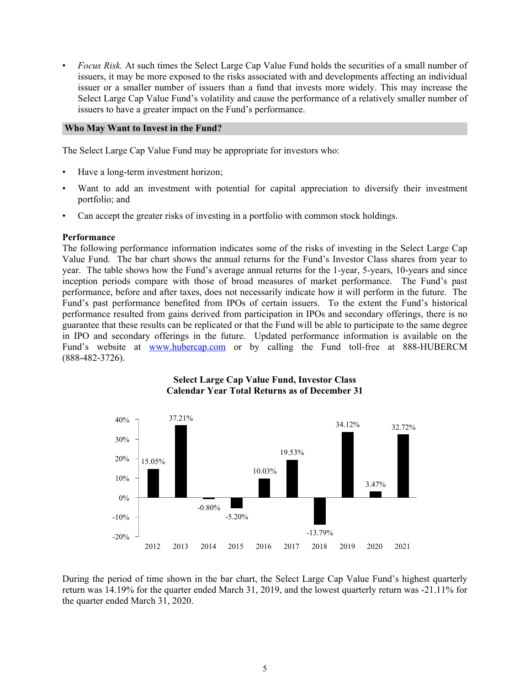• *Focus Risk.* At such times the Select Large Cap Value Fund holds the securities of a small number of issuers, it may be more exposed to the risks associated with and developments affecting an individual issuer or a smaller number of issuers than a fund that invests more widely. This may increase the Select Large Cap Value Fund's volatility and cause the performance of a relatively smaller number of issuers to have a greater impact on the Fund's performance.

# **Who May Want to Invest in the Fund?**

The Select Large Cap Value Fund may be appropriate for investors who:

- Have a long-term investment horizon;
- Want to add an investment with potential for capital appreciation to diversify their investment portfolio; and
- Can accept the greater risks of investing in a portfolio with common stock holdings.

#### **Performance**

The following performance information indicates some of the risks of investing in the Select Large Cap Value Fund. The bar chart shows the annual returns for the Fund's Investor Class shares from year to year. The table shows how the Fund's average annual returns for the 1-year, 5-years, 10-years and since inception periods compare with those of broad measures of market performance. The Fund's past performance, before and after taxes, does not necessarily indicate how it will perform in the future. The Fund's past performance benefited from IPOs of certain issuers. To the extent the Fund's historical performance resulted from gains derived from participation in IPOs and secondary offerings, there is no guarantee that these results can be replicated or that the Fund will be able to participate to the same degree in IPO and secondary offerings in the future. Updated performance information is available on the Fund's website at **www.hubercap.com** or by calling the Fund toll-free at 888-HUBERCM (888-482-3726).



# **Select Large Cap Value Fund, Investor Class Calendar Year Total Returns as of December 31**

During the period of time shown in the bar chart, the Select Large Cap Value Fund's highest quarterly return was 14.19% for the quarter ended March 31, 2019, and the lowest quarterly return was -21.11% for the quarter ended March 31, 2020.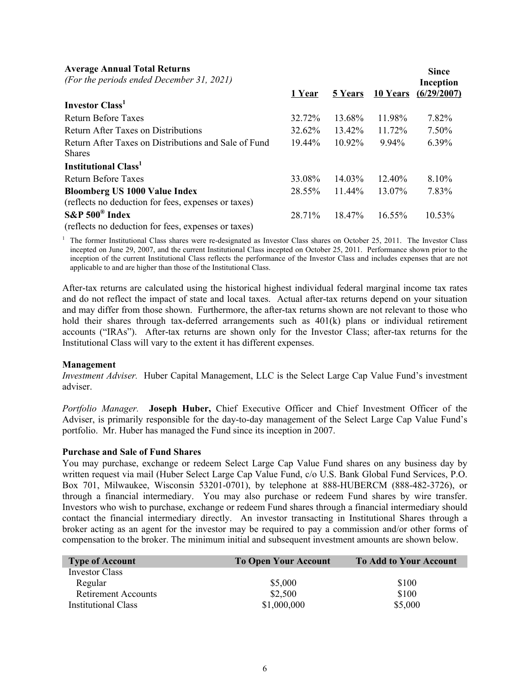# **Average Annual Total Returns**

| <b>Average Annual Total Returns</b><br>(For the periods ended December 31, 2021) |        |           |                 | <b>Since</b><br>Inception |
|----------------------------------------------------------------------------------|--------|-----------|-----------------|---------------------------|
|                                                                                  | 1 Year | 5 Years   | <b>10 Years</b> | (6/29/2007)               |
| Investor Class <sup>1</sup>                                                      |        |           |                 |                           |
| Return Before Taxes                                                              | 32.72% | 13.68%    | 11.98%          | 7.82%                     |
| Return After Taxes on Distributions                                              | 32.62% | $13.42\%$ | 11.72%          | 7.50%                     |
| Return After Taxes on Distributions and Sale of Fund                             | 19.44% | 10.92%    | 9.94%           | 6.39%                     |
| <b>Shares</b>                                                                    |        |           |                 |                           |
| <b>Institutional Class</b> <sup>1</sup>                                          |        |           |                 |                           |
| Return Before Taxes                                                              | 33.08% | $14.03\%$ | $12.40\%$       | 8.10%                     |
| <b>Bloomberg US 1000 Value Index</b>                                             | 28.55% | $11.44\%$ | 13.07%          | 7.83%                     |
| (reflects no deduction for fees, expenses or taxes)                              |        |           |                 |                           |
| $S\&P 500^{\circ}$ Index                                                         | 28.71% | $18.47\%$ | $16.55\%$       | 10.53%                    |
| (reflects no deduction for fees, expenses or taxes)                              |        |           |                 |                           |

<sup>1</sup> The former Institutional Class shares were re-designated as Investor Class shares on October 25, 2011. The Investor Class incepted on June 29, 2007, and the current Institutional Class incepted on October 25, 2011. Performance shown prior to the inception of the current Institutional Class reflects the performance of the Investor Class and includes expenses that are not applicable to and are higher than those of the Institutional Class.

After-tax returns are calculated using the historical highest individual federal marginal income tax rates and do not reflect the impact of state and local taxes. Actual after-tax returns depend on your situation and may differ from those shown. Furthermore, the after-tax returns shown are not relevant to those who hold their shares through tax-deferred arrangements such as  $401(k)$  plans or individual retirement accounts ("IRAs"). After-tax returns are shown only for the Investor Class; after-tax returns for the Institutional Class will vary to the extent it has different expenses.

#### **Management**

*Investment Adviser.* Huber Capital Management, LLC is the Select Large Cap Value Fund's investment adviser.

*Portfolio Manager.* **Joseph Huber,** Chief Executive Officer and Chief Investment Officer of the Adviser, is primarily responsible for the day-to-day management of the Select Large Cap Value Fund's portfolio. Mr. Huber has managed the Fund since its inception in 2007.

#### **Purchase and Sale of Fund Shares**

You may purchase, exchange or redeem Select Large Cap Value Fund shares on any business day by written request via mail (Huber Select Large Cap Value Fund, c/o U.S. Bank Global Fund Services, P.O. Box 701, Milwaukee, Wisconsin 53201-0701), by telephone at 888-HUBERCM (888-482-3726), or through a financial intermediary. You may also purchase or redeem Fund shares by wire transfer. Investors who wish to purchase, exchange or redeem Fund shares through a financial intermediary should contact the financial intermediary directly. An investor transacting in Institutional Shares through a broker acting as an agent for the investor may be required to pay a commission and/or other forms of compensation to the broker. The minimum initial and subsequent investment amounts are shown below.

| <b>Type of Account</b>     | <b>To Open Your Account</b> | <b>To Add to Your Account</b> |
|----------------------------|-----------------------------|-------------------------------|
| Investor Class             |                             |                               |
| Regular                    | \$5,000                     | \$100                         |
| <b>Retirement Accounts</b> | \$2,500                     | \$100                         |
| <b>Institutional Class</b> | \$1,000,000                 | \$5,000                       |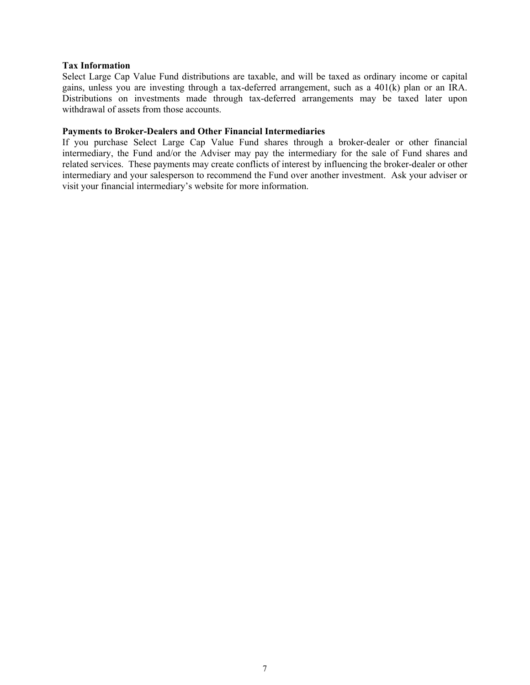# **Tax Information**

Select Large Cap Value Fund distributions are taxable, and will be taxed as ordinary income or capital gains, unless you are investing through a tax-deferred arrangement, such as a 401(k) plan or an IRA. Distributions on investments made through tax-deferred arrangements may be taxed later upon withdrawal of assets from those accounts.

# **Payments to Broker-Dealers and Other Financial Intermediaries**

If you purchase Select Large Cap Value Fund shares through a broker-dealer or other financial intermediary, the Fund and/or the Adviser may pay the intermediary for the sale of Fund shares and related services. These payments may create conflicts of interest by influencing the broker-dealer or other intermediary and your salesperson to recommend the Fund over another investment. Ask your adviser or visit your financial intermediary's website for more information.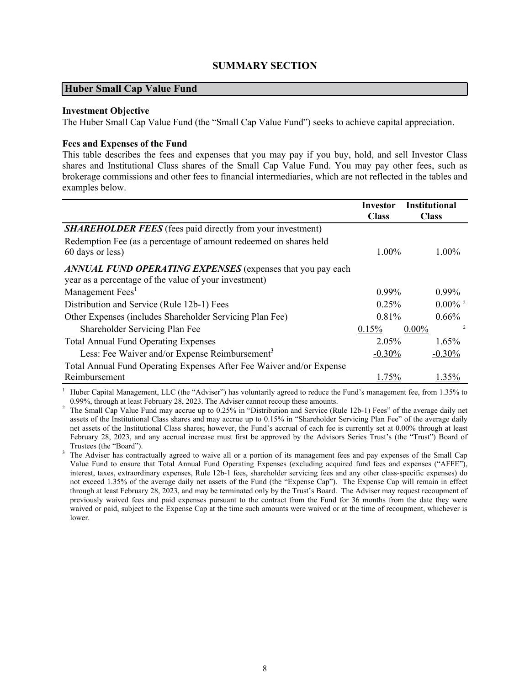# **SUMMARY SECTION**

# <span id="page-9-0"></span>**Huber Small Cap Value Fund**

# **Investment Objective**

The Huber Small Cap Value Fund (the "Small Cap Value Fund") seeks to achieve capital appreciation.

#### **Fees and Expenses of the Fund**

This table describes the fees and expenses that you may pay if you buy, hold, and sell Investor Class shares and Institutional Class shares of the Small Cap Value Fund. You may pay other fees, such as brokerage commissions and other fees to financial intermediaries, which are not reflected in the tables and examples below.

|                                                                                                                     | Investor     | <b>Institutional</b>       |
|---------------------------------------------------------------------------------------------------------------------|--------------|----------------------------|
|                                                                                                                     | <b>Class</b> | <b>Class</b>               |
| <b>SHAREHOLDER FEES</b> (fees paid directly from your investment)                                                   |              |                            |
| Redemption Fee (as a percentage of amount redeemed on shares held                                                   |              |                            |
| 60 days or less)                                                                                                    | 1.00%        | $1.00\%$                   |
| ANNUAL FUND OPERATING EXPENSES (expenses that you pay each<br>year as a percentage of the value of your investment) |              |                            |
| Management Fees <sup>1</sup>                                                                                        | $0.99\%$     | $0.99\%$                   |
| Distribution and Service (Rule 12b-1) Fees                                                                          | 0.25%        | $0.00\%$ <sup>2</sup>      |
| Other Expenses (includes Shareholder Servicing Plan Fee)                                                            | 0.81%        | $0.66\%$                   |
| Shareholder Servicing Plan Fee                                                                                      | 0.15%        | $\overline{c}$<br>$0.00\%$ |
| <b>Total Annual Fund Operating Expenses</b>                                                                         | 2.05%        | 1.65%                      |
| Less: Fee Waiver and/or Expense Reimbursement <sup>3</sup>                                                          | $-0.30%$     | $-0.30%$                   |
| Total Annual Fund Operating Expenses After Fee Waiver and/or Expense                                                |              |                            |
| Reimbursement                                                                                                       | 1.75%        | 1.35%                      |

<sup>1</sup> Huber Capital Management, LLC (the "Adviser") has voluntarily agreed to reduce the Fund's management fee, from 1.35% to 0.99%, through at least February 28, 2023. The Adviser cannot recoup these amounts.

<sup>2</sup> The Small Cap Value Fund may accrue up to 0.25% in "Distribution and Service (Rule 12b-1) Fees" of the average daily net assets of the Institutional Class shares and may accrue up to 0.15% in "Shareholder Servicing Plan Fee" of the average daily net assets of the Institutional Class shares; however, the Fund's accrual of each fee is currently set at 0.00% through at least February 28, 2023, and any accrual increase must first be approved by the Advisors Series Trust's (the "Trust") Board of Trustees (the "Board").

<sup>3</sup> The Adviser has contractually agreed to waive all or a portion of its management fees and pay expenses of the Small Cap Value Fund to ensure that Total Annual Fund Operating Expenses (excluding acquired fund fees and expenses ("AFFE"), interest, taxes, extraordinary expenses, Rule 12b-1 fees, shareholder servicing fees and any other class-specific expenses) do not exceed 1.35% of the average daily net assets of the Fund (the "Expense Cap"). The Expense Cap will remain in effect through at least February 28, 2023, and may be terminated only by the Trust's Board. The Adviser may request recoupment of previously waived fees and paid expenses pursuant to the contract from the Fund for 36 months from the date they were waived or paid, subject to the Expense Cap at the time such amounts were waived or at the time of recoupment, whichever is lower.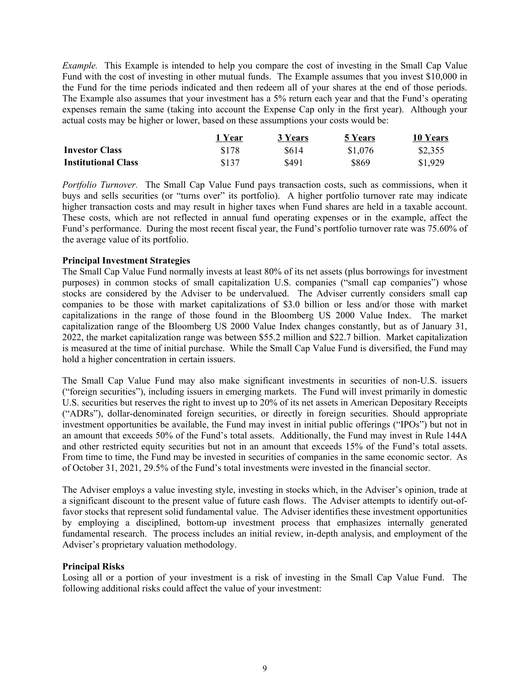*Example.* This Example is intended to help you compare the cost of investing in the Small Cap Value Fund with the cost of investing in other mutual funds. The Example assumes that you invest \$10,000 in the Fund for the time periods indicated and then redeem all of your shares at the end of those periods. The Example also assumes that your investment has a 5% return each year and that the Fund's operating expenses remain the same (taking into account the Expense Cap only in the first year). Although your actual costs may be higher or lower, based on these assumptions your costs would be:

|                            | 1 Year | 3 Years | 5 Years | 10 Years |
|----------------------------|--------|---------|---------|----------|
| <b>Investor Class</b>      | \$178  | \$614   | \$1,076 | \$2,355  |
| <b>Institutional Class</b> | \$137  | \$491   | \$869   | \$1.929  |

*Portfolio Turnover.* The Small Cap Value Fund pays transaction costs, such as commissions, when it buys and sells securities (or "turns over" its portfolio). A higher portfolio turnover rate may indicate higher transaction costs and may result in higher taxes when Fund shares are held in a taxable account. These costs, which are not reflected in annual fund operating expenses or in the example, affect the Fund's performance. During the most recent fiscal year, the Fund's portfolio turnover rate was 75.60% of the average value of its portfolio.

# **Principal Investment Strategies**

The Small Cap Value Fund normally invests at least 80% of its net assets (plus borrowings for investment purposes) in common stocks of small capitalization U.S. companies ("small cap companies") whose stocks are considered by the Adviser to be undervalued. The Adviser currently considers small cap companies to be those with market capitalizations of \$3.0 billion or less and/or those with market capitalizations in the range of those found in the Bloomberg US 2000 Value Index. The market capitalization range of the Bloomberg US 2000 Value Index changes constantly, but as of January 31, 2022, the market capitalization range was between \$55.2 million and \$22.7 billion. Market capitalization is measured at the time of initial purchase. While the Small Cap Value Fund is diversified, the Fund may hold a higher concentration in certain issuers.

The Small Cap Value Fund may also make significant investments in securities of non-U.S. issuers ("foreign securities"), including issuers in emerging markets. The Fund will invest primarily in domestic U.S. securities but reserves the right to invest up to 20% of its net assets in American Depositary Receipts ("ADRs"), dollar-denominated foreign securities, or directly in foreign securities. Should appropriate investment opportunities be available, the Fund may invest in initial public offerings ("IPOs") but not in an amount that exceeds 50% of the Fund's total assets. Additionally, the Fund may invest in Rule 144A and other restricted equity securities but not in an amount that exceeds 15% of the Fund's total assets. From time to time, the Fund may be invested in securities of companies in the same economic sector. As of October 31, 2021, 29.5% of the Fund's total investments were invested in the financial sector.

The Adviser employs a value investing style, investing in stocks which, in the Adviser's opinion, trade at a significant discount to the present value of future cash flows. The Adviser attempts to identify out-offavor stocks that represent solid fundamental value. The Adviser identifies these investment opportunities by employing a disciplined, bottom-up investment process that emphasizes internally generated fundamental research. The process includes an initial review, in-depth analysis, and employment of the Adviser's proprietary valuation methodology.

# **Principal Risks**

Losing all or a portion of your investment is a risk of investing in the Small Cap Value Fund. The following additional risks could affect the value of your investment: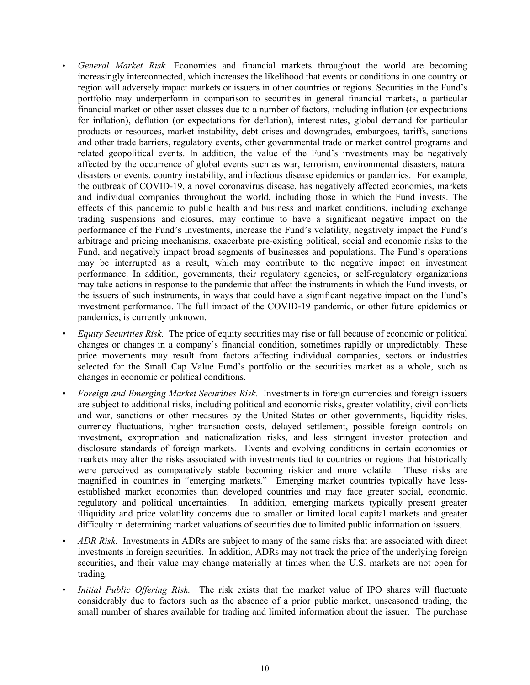- *General Market Risk.* Economies and financial markets throughout the world are becoming increasingly interconnected, which increases the likelihood that events or conditions in one country or region will adversely impact markets or issuers in other countries or regions. Securities in the Fund's portfolio may underperform in comparison to securities in general financial markets, a particular financial market or other asset classes due to a number of factors, including inflation (or expectations for inflation), deflation (or expectations for deflation), interest rates, global demand for particular products or resources, market instability, debt crises and downgrades, embargoes, tariffs, sanctions and other trade barriers, regulatory events, other governmental trade or market control programs and related geopolitical events. In addition, the value of the Fund's investments may be negatively affected by the occurrence of global events such as war, terrorism, environmental disasters, natural disasters or events, country instability, and infectious disease epidemics or pandemics. For example, the outbreak of COVID-19, a novel coronavirus disease, has negatively affected economies, markets and individual companies throughout the world, including those in which the Fund invests. The effects of this pandemic to public health and business and market conditions, including exchange trading suspensions and closures, may continue to have a significant negative impact on the performance of the Fund's investments, increase the Fund's volatility, negatively impact the Fund's arbitrage and pricing mechanisms, exacerbate pre-existing political, social and economic risks to the Fund, and negatively impact broad segments of businesses and populations. The Fund's operations may be interrupted as a result, which may contribute to the negative impact on investment performance. In addition, governments, their regulatory agencies, or self-regulatory organizations may take actions in response to the pandemic that affect the instruments in which the Fund invests, or the issuers of such instruments, in ways that could have a significant negative impact on the Fund's investment performance. The full impact of the COVID-19 pandemic, or other future epidemics or pandemics, is currently unknown.
- *Equity Securities Risk.* The price of equity securities may rise or fall because of economic or political changes or changes in a company's financial condition, sometimes rapidly or unpredictably. These price movements may result from factors affecting individual companies, sectors or industries selected for the Small Cap Value Fund's portfolio or the securities market as a whole, such as changes in economic or political conditions.
- *Foreign and Emerging Market Securities Risk.* Investments in foreign currencies and foreign issuers are subject to additional risks, including political and economic risks, greater volatility, civil conflicts and war, sanctions or other measures by the United States or other governments, liquidity risks, currency fluctuations, higher transaction costs, delayed settlement, possible foreign controls on investment, expropriation and nationalization risks, and less stringent investor protection and disclosure standards of foreign markets. Events and evolving conditions in certain economies or markets may alter the risks associated with investments tied to countries or regions that historically were perceived as comparatively stable becoming riskier and more volatile. These risks are magnified in countries in "emerging markets." Emerging market countries typically have lessestablished market economies than developed countries and may face greater social, economic, regulatory and political uncertainties. In addition, emerging markets typically present greater illiquidity and price volatility concerns due to smaller or limited local capital markets and greater difficulty in determining market valuations of securities due to limited public information on issuers.
- *ADR Risk.* Investments in ADRs are subject to many of the same risks that are associated with direct investments in foreign securities. In addition, ADRs may not track the price of the underlying foreign securities, and their value may change materially at times when the U.S. markets are not open for trading.
- *Initial Public Offering Risk.* The risk exists that the market value of IPO shares will fluctuate considerably due to factors such as the absence of a prior public market, unseasoned trading, the small number of shares available for trading and limited information about the issuer. The purchase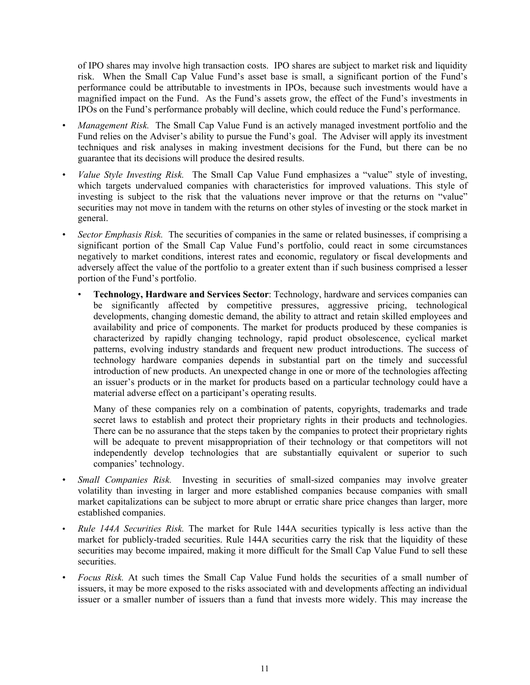of IPO shares may involve high transaction costs. IPO shares are subject to market risk and liquidity risk. When the Small Cap Value Fund's asset base is small, a significant portion of the Fund's performance could be attributable to investments in IPOs, because such investments would have a magnified impact on the Fund. As the Fund's assets grow, the effect of the Fund's investments in IPOs on the Fund's performance probably will decline, which could reduce the Fund's performance.

- *Management Risk.* The Small Cap Value Fund is an actively managed investment portfolio and the Fund relies on the Adviser's ability to pursue the Fund's goal. The Adviser will apply its investment techniques and risk analyses in making investment decisions for the Fund, but there can be no guarantee that its decisions will produce the desired results.
- *Value Style Investing Risk.* The Small Cap Value Fund emphasizes a "value" style of investing, which targets undervalued companies with characteristics for improved valuations. This style of investing is subject to the risk that the valuations never improve or that the returns on "value" securities may not move in tandem with the returns on other styles of investing or the stock market in general.
- *Sector Emphasis Risk.* The securities of companies in the same or related businesses, if comprising a significant portion of the Small Cap Value Fund's portfolio, could react in some circumstances negatively to market conditions, interest rates and economic, regulatory or fiscal developments and adversely affect the value of the portfolio to a greater extent than if such business comprised a lesser portion of the Fund's portfolio.
	- **Technology, Hardware and Services Sector**: Technology, hardware and services companies can be significantly affected by competitive pressures, aggressive pricing, technological developments, changing domestic demand, the ability to attract and retain skilled employees and availability and price of components. The market for products produced by these companies is characterized by rapidly changing technology, rapid product obsolescence, cyclical market patterns, evolving industry standards and frequent new product introductions. The success of technology hardware companies depends in substantial part on the timely and successful introduction of new products. An unexpected change in one or more of the technologies affecting an issuer's products or in the market for products based on a particular technology could have a material adverse effect on a participant's operating results.

Many of these companies rely on a combination of patents, copyrights, trademarks and trade secret laws to establish and protect their proprietary rights in their products and technologies. There can be no assurance that the steps taken by the companies to protect their proprietary rights will be adequate to prevent misappropriation of their technology or that competitors will not independently develop technologies that are substantially equivalent or superior to such companies' technology.

- *Small Companies Risk.* Investing in securities of small-sized companies may involve greater volatility than investing in larger and more established companies because companies with small market capitalizations can be subject to more abrupt or erratic share price changes than larger, more established companies.
- *Rule 144A Securities Risk.* The market for Rule 144A securities typically is less active than the market for publicly-traded securities. Rule 144A securities carry the risk that the liquidity of these securities may become impaired, making it more difficult for the Small Cap Value Fund to sell these securities.
- *Focus Risk.* At such times the Small Cap Value Fund holds the securities of a small number of issuers, it may be more exposed to the risks associated with and developments affecting an individual issuer or a smaller number of issuers than a fund that invests more widely. This may increase the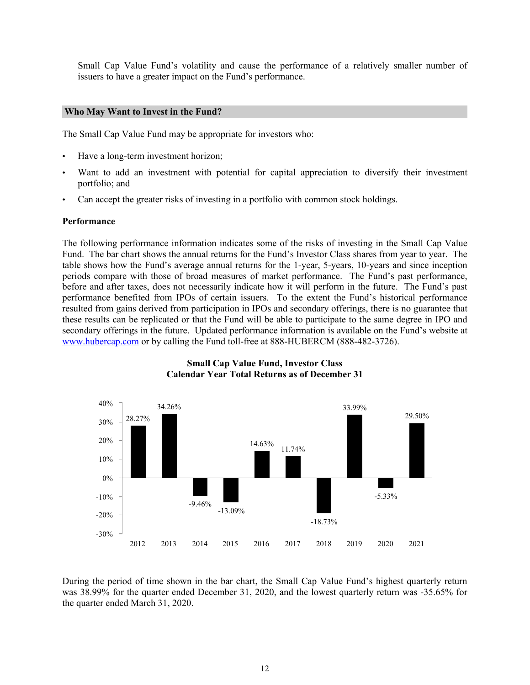Small Cap Value Fund's volatility and cause the performance of a relatively smaller number of issuers to have a greater impact on the Fund's performance.

#### **Who May Want to Invest in the Fund?**

The Small Cap Value Fund may be appropriate for investors who:

- Have a long-term investment horizon;
- Want to add an investment with potential for capital appreciation to diversify their investment portfolio; and
- Can accept the greater risks of investing in a portfolio with common stock holdings.

#### **Performance**

The following performance information indicates some of the risks of investing in the Small Cap Value Fund. The bar chart shows the annual returns for the Fund's Investor Class shares from year to year. The table shows how the Fund's average annual returns for the 1-year, 5-years, 10-years and since inception periods compare with those of broad measures of market performance. The Fund's past performance, before and after taxes, does not necessarily indicate how it will perform in the future. The Fund's past performance benefited from IPOs of certain issuers. To the extent the Fund's historical performance resulted from gains derived from participation in IPOs and secondary offerings, there is no guarantee that these results can be replicated or that the Fund will be able to participate to the same degree in IPO and secondary offerings in the future. Updated performance information is available on the Fund's website at www.hubercap.com or by calling the Fund toll-free at 888-HUBERCM (888-482-3726).



# **Small Cap Value Fund, Investor Class Calendar Year Total Returns as of December 31**

During the period of time shown in the bar chart, the Small Cap Value Fund's highest quarterly return was 38.99% for the quarter ended December 31, 2020, and the lowest quarterly return was -35.65% for the quarter ended March 31, 2020.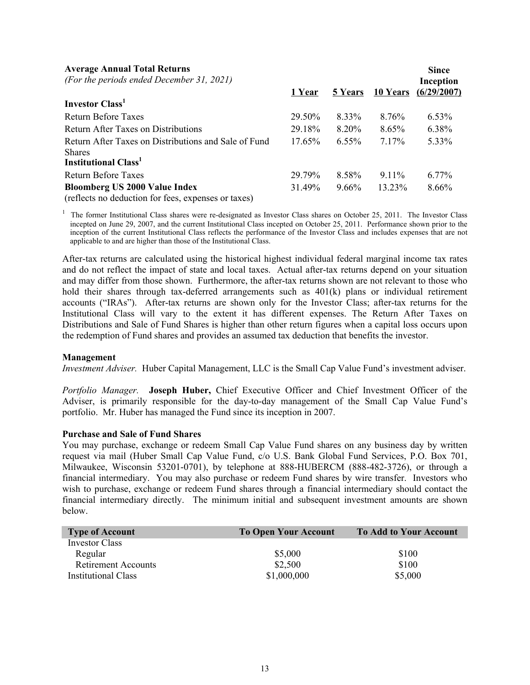| <b>Average Annual Total Returns</b>                                                                                                                                                                                                                                                                                                                                                |           |                |                 | <b>Since</b> |
|------------------------------------------------------------------------------------------------------------------------------------------------------------------------------------------------------------------------------------------------------------------------------------------------------------------------------------------------------------------------------------|-----------|----------------|-----------------|--------------|
| (For the periods ended December 31, 2021)                                                                                                                                                                                                                                                                                                                                          |           |                |                 | Inception    |
|                                                                                                                                                                                                                                                                                                                                                                                    | 1 Year    | <b>5 Years</b> | <b>10 Years</b> | (6/29/2007)  |
| Investor Class <sup>1</sup>                                                                                                                                                                                                                                                                                                                                                        |           |                |                 |              |
| <b>Return Before Taxes</b>                                                                                                                                                                                                                                                                                                                                                         | 29.50%    | 8.33%          | 8.76%           | $6.53\%$     |
| Return After Taxes on Distributions                                                                                                                                                                                                                                                                                                                                                | 29.18%    | 8.20%          | $8.65\%$        | 6.38%        |
| Return After Taxes on Distributions and Sale of Fund                                                                                                                                                                                                                                                                                                                               | $17.65\%$ | $6.55\%$       | 7.17%           | $5.33\%$     |
| <b>Shares</b>                                                                                                                                                                                                                                                                                                                                                                      |           |                |                 |              |
| <b>Institutional Class</b> <sup>1</sup>                                                                                                                                                                                                                                                                                                                                            |           |                |                 |              |
| <b>Return Before Taxes</b>                                                                                                                                                                                                                                                                                                                                                         | 29.79%    | 8.58%          | $9.11\%$        | $6.77\%$     |
| <b>Bloomberg US 2000 Value Index</b>                                                                                                                                                                                                                                                                                                                                               | 31.49%    | $9.66\%$       | 13.23%          | 8.66%        |
| $\epsilon$ and $\epsilon$ and $\epsilon$ and $\epsilon$ and $\epsilon$ and $\epsilon$ and $\epsilon$ and $\epsilon$ and $\epsilon$ and $\epsilon$ and $\epsilon$ and $\epsilon$ and $\epsilon$ and $\epsilon$ and $\epsilon$ and $\epsilon$ and $\epsilon$ and $\epsilon$ and $\epsilon$ and $\epsilon$ and $\epsilon$ and $\epsilon$ and $\epsilon$ and $\epsilon$ and $\epsilon$ |           |                |                 |              |

(reflects no deduction for fees, expenses or taxes)

1 The former Institutional Class shares were re-designated as Investor Class shares on October 25, 2011. The Investor Class incepted on June 29, 2007, and the current Institutional Class incepted on October 25, 2011. Performance shown prior to the inception of the current Institutional Class reflects the performance of the Investor Class and includes expenses that are not applicable to and are higher than those of the Institutional Class.

After-tax returns are calculated using the historical highest individual federal marginal income tax rates and do not reflect the impact of state and local taxes. Actual after-tax returns depend on your situation and may differ from those shown. Furthermore, the after-tax returns shown are not relevant to those who hold their shares through tax-deferred arrangements such as 401(k) plans or individual retirement accounts ("IRAs"). After-tax returns are shown only for the Investor Class; after-tax returns for the Institutional Class will vary to the extent it has different expenses. The Return After Taxes on Distributions and Sale of Fund Shares is higher than other return figures when a capital loss occurs upon the redemption of Fund shares and provides an assumed tax deduction that benefits the investor.

#### **Management**

*Investment Adviser.* Huber Capital Management, LLC is the Small Cap Value Fund's investment adviser.

*Portfolio Manager.* **Joseph Huber,** Chief Executive Officer and Chief Investment Officer of the Adviser, is primarily responsible for the day-to-day management of the Small Cap Value Fund's portfolio. Mr. Huber has managed the Fund since its inception in 2007.

#### **Purchase and Sale of Fund Shares**

You may purchase, exchange or redeem Small Cap Value Fund shares on any business day by written request via mail (Huber Small Cap Value Fund, c/o U.S. Bank Global Fund Services, P.O. Box 701, Milwaukee, Wisconsin 53201-0701), by telephone at 888-HUBERCM (888-482-3726), or through a financial intermediary. You may also purchase or redeem Fund shares by wire transfer. Investors who wish to purchase, exchange or redeem Fund shares through a financial intermediary should contact the financial intermediary directly. The minimum initial and subsequent investment amounts are shown below.

| <b>Type of Account</b>     | <b>To Open Your Account</b> | <b>To Add to Your Account</b> |
|----------------------------|-----------------------------|-------------------------------|
| Investor Class             |                             |                               |
| Regular                    | \$5,000                     | \$100                         |
| <b>Retirement Accounts</b> | \$2,500                     | \$100                         |
| <b>Institutional Class</b> | \$1,000,000                 | \$5,000                       |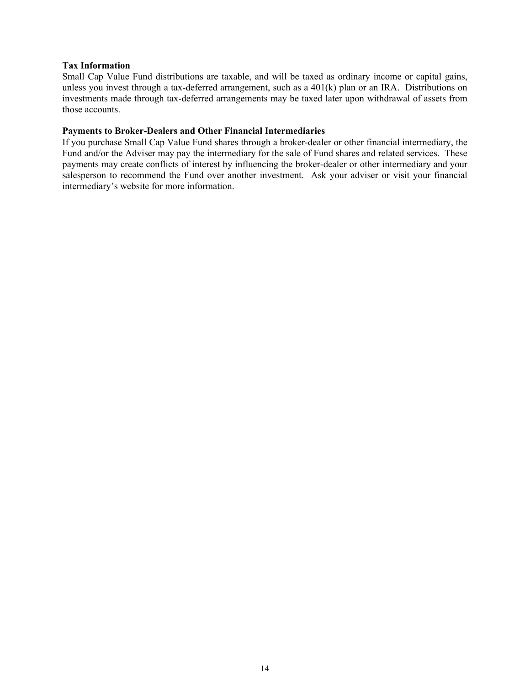# **Tax Information**

Small Cap Value Fund distributions are taxable, and will be taxed as ordinary income or capital gains, unless you invest through a tax-deferred arrangement, such as a 401(k) plan or an IRA. Distributions on investments made through tax-deferred arrangements may be taxed later upon withdrawal of assets from those accounts.

# **Payments to Broker-Dealers and Other Financial Intermediaries**

If you purchase Small Cap Value Fund shares through a broker-dealer or other financial intermediary, the Fund and/or the Adviser may pay the intermediary for the sale of Fund shares and related services. These payments may create conflicts of interest by influencing the broker-dealer or other intermediary and your salesperson to recommend the Fund over another investment. Ask your adviser or visit your financial intermediary's website for more information.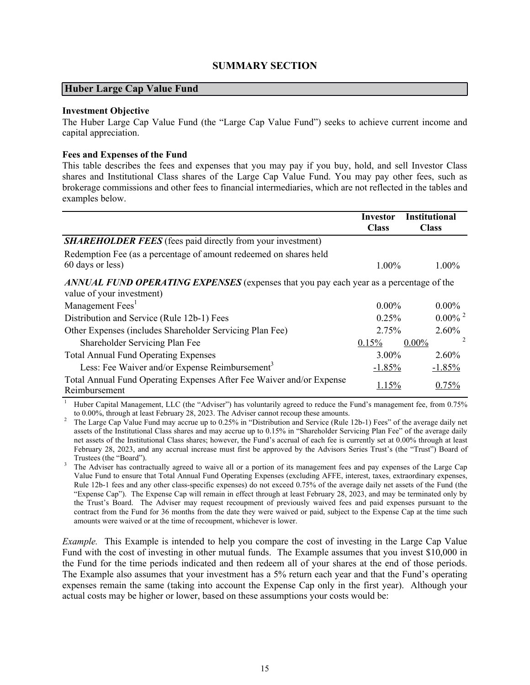# **SUMMARY SECTION**

### <span id="page-16-0"></span>**Huber Large Cap Value Fund**

#### **Investment Objective**

The Huber Large Cap Value Fund (the "Large Cap Value Fund") seeks to achieve current income and capital appreciation.

### **Fees and Expenses of the Fund**

This table describes the fees and expenses that you may pay if you buy, hold, and sell Investor Class shares and Institutional Class shares of the Large Cap Value Fund. You may pay other fees, such as brokerage commissions and other fees to financial intermediaries, which are not reflected in the tables and examples below.

|                                                                                                                     | Investor<br><b>Class</b> | <b>Institutional</b><br><b>Class</b> |
|---------------------------------------------------------------------------------------------------------------------|--------------------------|--------------------------------------|
| <b>SHAREHOLDER FEES</b> (fees paid directly from your investment)                                                   |                          |                                      |
| Redemption Fee (as a percentage of amount redeemed on shares held                                                   |                          |                                      |
| 60 days or less)                                                                                                    | $1.00\%$                 | $1.00\%$                             |
| ANNUAL FUND OPERATING EXPENSES (expenses that you pay each year as a percentage of the<br>value of your investment) |                          |                                      |
| Management Fees <sup>1</sup>                                                                                        | $0.00\%$                 | $0.00\%$                             |
| Distribution and Service (Rule 12b-1) Fees                                                                          | 0.25%                    | $0.00\%$ <sup>2</sup>                |
| Other Expenses (includes Shareholder Servicing Plan Fee)                                                            | 2.75%                    | $2.60\%$                             |
| Shareholder Servicing Plan Fee                                                                                      | 0.15%                    | 2<br>$0.00\%$                        |
| <b>Total Annual Fund Operating Expenses</b>                                                                         | $3.00\%$                 | $2.60\%$                             |
| Less: Fee Waiver and/or Expense Reimbursement <sup>3</sup>                                                          | $-1.85%$                 | $-1.85%$                             |
| Total Annual Fund Operating Expenses After Fee Waiver and/or Expense<br>Reimbursement                               | 1.15%                    | 0.75%                                |

<sup>1</sup> Huber Capital Management, LLC (the "Adviser") has voluntarily agreed to reduce the Fund's management fee, from 0.75% to 0.00%, through at least February 28, 2023. The Adviser cannot recoup these amounts.

<sup>2</sup> The Large Cap Value Fund may accrue up to 0.25% in "Distribution and Service (Rule 12b-1) Fees" of the average daily net assets of the Institutional Class shares and may accrue up to 0.15% in "Shareholder Servicing Plan Fee" of the average daily net assets of the Institutional Class shares; however, the Fund's accrual of each fee is currently set at 0.00% through at least February 28, 2023, and any accrual increase must first be approved by the Advisors Series Trust's (the "Trust") Board of Trustees (the "Board").

<sup>3</sup> The Adviser has contractually agreed to waive all or a portion of its management fees and pay expenses of the Large Cap Value Fund to ensure that Total Annual Fund Operating Expenses (excluding AFFE, interest, taxes, extraordinary expenses, Rule 12b-1 fees and any other class-specific expenses) do not exceed 0.75% of the average daily net assets of the Fund (the "Expense Cap"). The Expense Cap will remain in effect through at least February 28, 2023, and may be terminated only by the Trust's Board. The Adviser may request recoupment of previously waived fees and paid expenses pursuant to the contract from the Fund for 36 months from the date they were waived or paid, subject to the Expense Cap at the time such amounts were waived or at the time of recoupment, whichever is lower.

*Example.* This Example is intended to help you compare the cost of investing in the Large Cap Value Fund with the cost of investing in other mutual funds. The Example assumes that you invest \$10,000 in the Fund for the time periods indicated and then redeem all of your shares at the end of those periods. The Example also assumes that your investment has a 5% return each year and that the Fund's operating expenses remain the same (taking into account the Expense Cap only in the first year). Although your actual costs may be higher or lower, based on these assumptions your costs would be: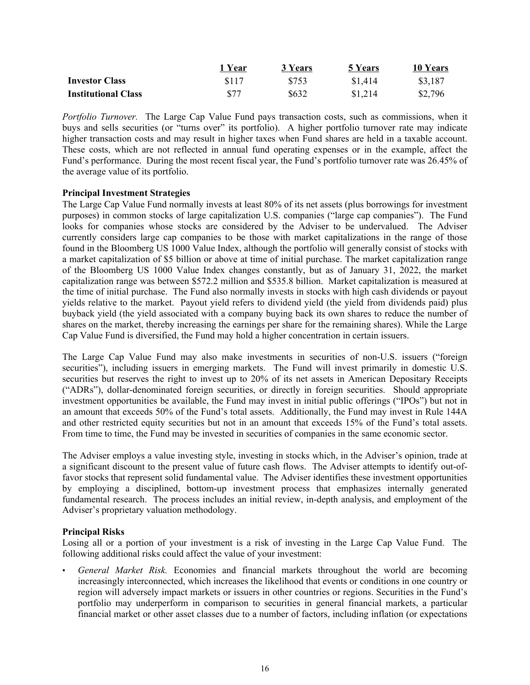|                            | 1 Year | 3 Years | <b>5 Years</b> | 10 Years |
|----------------------------|--------|---------|----------------|----------|
| <b>Investor Class</b>      | \$117  | \$753   | \$1,414        | \$3.187  |
| <b>Institutional Class</b> | \$77   | \$632   | \$1,214        | \$2,796  |

*Portfolio Turnover.* The Large Cap Value Fund pays transaction costs, such as commissions, when it buys and sells securities (or "turns over" its portfolio). A higher portfolio turnover rate may indicate higher transaction costs and may result in higher taxes when Fund shares are held in a taxable account. These costs, which are not reflected in annual fund operating expenses or in the example, affect the Fund's performance. During the most recent fiscal year, the Fund's portfolio turnover rate was 26.45% of the average value of its portfolio.

# **Principal Investment Strategies**

The Large Cap Value Fund normally invests at least 80% of its net assets (plus borrowings for investment purposes) in common stocks of large capitalization U.S. companies ("large cap companies"). The Fund looks for companies whose stocks are considered by the Adviser to be undervalued. The Adviser currently considers large cap companies to be those with market capitalizations in the range of those found in the Bloomberg US 1000 Value Index, although the portfolio will generally consist of stocks with a market capitalization of \$5 billion or above at time of initial purchase. The market capitalization range of the Bloomberg US 1000 Value Index changes constantly, but as of January 31, 2022, the market capitalization range was between \$572.2 million and \$535.8 billion. Market capitalization is measured at the time of initial purchase. The Fund also normally invests in stocks with high cash dividends or payout yields relative to the market. Payout yield refers to dividend yield (the yield from dividends paid) plus buyback yield (the yield associated with a company buying back its own shares to reduce the number of shares on the market, thereby increasing the earnings per share for the remaining shares). While the Large Cap Value Fund is diversified, the Fund may hold a higher concentration in certain issuers.

The Large Cap Value Fund may also make investments in securities of non-U.S. issuers ("foreign securities"), including issuers in emerging markets. The Fund will invest primarily in domestic U.S. securities but reserves the right to invest up to 20% of its net assets in American Depositary Receipts ("ADRs"), dollar-denominated foreign securities, or directly in foreign securities. Should appropriate investment opportunities be available, the Fund may invest in initial public offerings ("IPOs") but not in an amount that exceeds 50% of the Fund's total assets. Additionally, the Fund may invest in Rule 144A and other restricted equity securities but not in an amount that exceeds 15% of the Fund's total assets. From time to time, the Fund may be invested in securities of companies in the same economic sector.

The Adviser employs a value investing style, investing in stocks which, in the Adviser's opinion, trade at a significant discount to the present value of future cash flows. The Adviser attempts to identify out-offavor stocks that represent solid fundamental value. The Adviser identifies these investment opportunities by employing a disciplined, bottom-up investment process that emphasizes internally generated fundamental research. The process includes an initial review, in-depth analysis, and employment of the Adviser's proprietary valuation methodology.

# **Principal Risks**

Losing all or a portion of your investment is a risk of investing in the Large Cap Value Fund. The following additional risks could affect the value of your investment:

• *General Market Risk.* Economies and financial markets throughout the world are becoming increasingly interconnected, which increases the likelihood that events or conditions in one country or region will adversely impact markets or issuers in other countries or regions. Securities in the Fund's portfolio may underperform in comparison to securities in general financial markets, a particular financial market or other asset classes due to a number of factors, including inflation (or expectations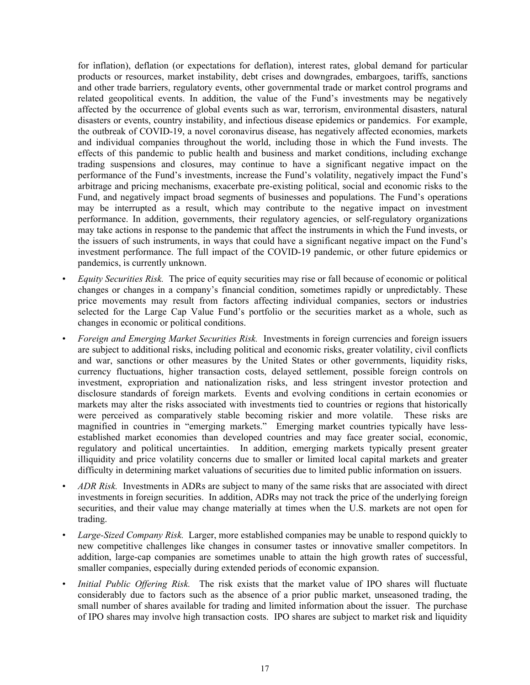for inflation), deflation (or expectations for deflation), interest rates, global demand for particular products or resources, market instability, debt crises and downgrades, embargoes, tariffs, sanctions and other trade barriers, regulatory events, other governmental trade or market control programs and related geopolitical events. In addition, the value of the Fund's investments may be negatively affected by the occurrence of global events such as war, terrorism, environmental disasters, natural disasters or events, country instability, and infectious disease epidemics or pandemics. For example, the outbreak of COVID-19, a novel coronavirus disease, has negatively affected economies, markets and individual companies throughout the world, including those in which the Fund invests. The effects of this pandemic to public health and business and market conditions, including exchange trading suspensions and closures, may continue to have a significant negative impact on the performance of the Fund's investments, increase the Fund's volatility, negatively impact the Fund's arbitrage and pricing mechanisms, exacerbate pre-existing political, social and economic risks to the Fund, and negatively impact broad segments of businesses and populations. The Fund's operations may be interrupted as a result, which may contribute to the negative impact on investment performance. In addition, governments, their regulatory agencies, or self-regulatory organizations may take actions in response to the pandemic that affect the instruments in which the Fund invests, or the issuers of such instruments, in ways that could have a significant negative impact on the Fund's investment performance. The full impact of the COVID-19 pandemic, or other future epidemics or pandemics, is currently unknown.

- *Equity Securities Risk.* The price of equity securities may rise or fall because of economic or political changes or changes in a company's financial condition, sometimes rapidly or unpredictably. These price movements may result from factors affecting individual companies, sectors or industries selected for the Large Cap Value Fund's portfolio or the securities market as a whole, such as changes in economic or political conditions.
- *Foreign and Emerging Market Securities Risk.* Investments in foreign currencies and foreign issuers are subject to additional risks, including political and economic risks, greater volatility, civil conflicts and war, sanctions or other measures by the United States or other governments, liquidity risks, currency fluctuations, higher transaction costs, delayed settlement, possible foreign controls on investment, expropriation and nationalization risks, and less stringent investor protection and disclosure standards of foreign markets. Events and evolving conditions in certain economies or markets may alter the risks associated with investments tied to countries or regions that historically were perceived as comparatively stable becoming riskier and more volatile. These risks are magnified in countries in "emerging markets." Emerging market countries typically have lessestablished market economies than developed countries and may face greater social, economic, regulatory and political uncertainties. In addition, emerging markets typically present greater illiquidity and price volatility concerns due to smaller or limited local capital markets and greater difficulty in determining market valuations of securities due to limited public information on issuers.
- *ADR Risk.* Investments in ADRs are subject to many of the same risks that are associated with direct investments in foreign securities. In addition, ADRs may not track the price of the underlying foreign securities, and their value may change materially at times when the U.S. markets are not open for trading.
- *Large-Sized Company Risk.* Larger, more established companies may be unable to respond quickly to new competitive challenges like changes in consumer tastes or innovative smaller competitors. In addition, large-cap companies are sometimes unable to attain the high growth rates of successful, smaller companies, especially during extended periods of economic expansion.
- *Initial Public Offering Risk.* The risk exists that the market value of IPO shares will fluctuate considerably due to factors such as the absence of a prior public market, unseasoned trading, the small number of shares available for trading and limited information about the issuer. The purchase of IPO shares may involve high transaction costs. IPO shares are subject to market risk and liquidity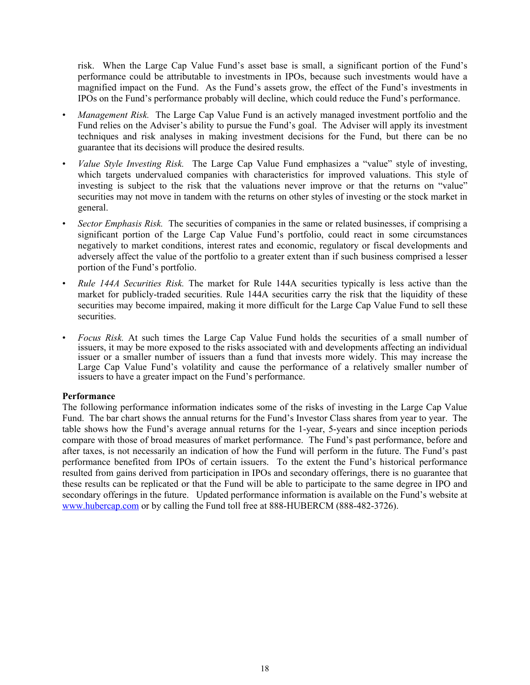risk. When the Large Cap Value Fund's asset base is small, a significant portion of the Fund's performance could be attributable to investments in IPOs, because such investments would have a magnified impact on the Fund. As the Fund's assets grow, the effect of the Fund's investments in IPOs on the Fund's performance probably will decline, which could reduce the Fund's performance.

- *Management Risk.* The Large Cap Value Fund is an actively managed investment portfolio and the Fund relies on the Adviser's ability to pursue the Fund's goal. The Adviser will apply its investment techniques and risk analyses in making investment decisions for the Fund, but there can be no guarantee that its decisions will produce the desired results.
- *Value Style Investing Risk.* The Large Cap Value Fund emphasizes a "value" style of investing, which targets undervalued companies with characteristics for improved valuations. This style of investing is subject to the risk that the valuations never improve or that the returns on "value" securities may not move in tandem with the returns on other styles of investing or the stock market in general.
- *Sector Emphasis Risk.* The securities of companies in the same or related businesses, if comprising a significant portion of the Large Cap Value Fund's portfolio, could react in some circumstances negatively to market conditions, interest rates and economic, regulatory or fiscal developments and adversely affect the value of the portfolio to a greater extent than if such business comprised a lesser portion of the Fund's portfolio.
- *Rule 144A Securities Risk.* The market for Rule 144A securities typically is less active than the market for publicly-traded securities. Rule 144A securities carry the risk that the liquidity of these securities may become impaired, making it more difficult for the Large Cap Value Fund to sell these securities.
- *Focus Risk.* At such times the Large Cap Value Fund holds the securities of a small number of issuers, it may be more exposed to the risks associated with and developments affecting an individual issuer or a smaller number of issuers than a fund that invests more widely. This may increase the Large Cap Value Fund's volatility and cause the performance of a relatively smaller number of issuers to have a greater impact on the Fund's performance.

# **Performance**

The following performance information indicates some of the risks of investing in the Large Cap Value Fund. The bar chart shows the annual returns for the Fund's Investor Class shares from year to year. The table shows how the Fund's average annual returns for the 1-year, 5-years and since inception periods compare with those of broad measures of market performance. The Fund's past performance, before and after taxes, is not necessarily an indication of how the Fund will perform in the future. The Fund's past performance benefited from IPOs of certain issuers. To the extent the Fund's historical performance resulted from gains derived from participation in IPOs and secondary offerings, there is no guarantee that these results can be replicated or that the Fund will be able to participate to the same degree in IPO and secondary offerings in the future. Updated performance information is available on the Fund's website at www.hubercap.com or by calling the Fund toll free at 888-HUBERCM (888-482-3726).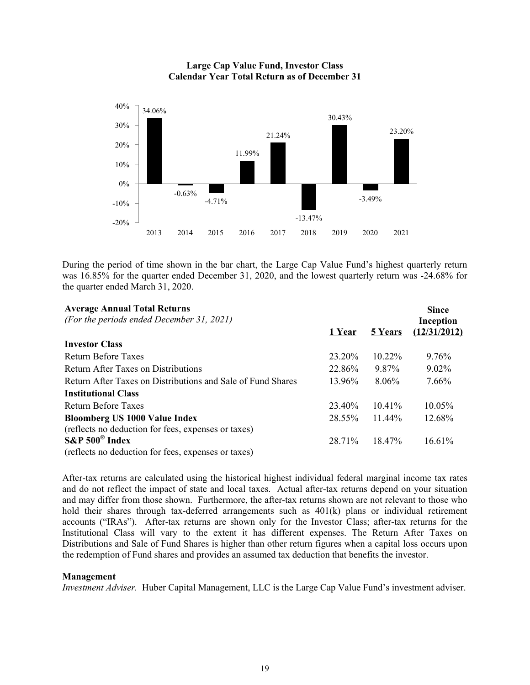

**Large Cap Value Fund, Investor Class Calendar Year Total Return as of December 31**

During the period of time shown in the bar chart, the Large Cap Value Fund's highest quarterly return was 16.85% for the quarter ended December 31, 2020, and the lowest quarterly return was -24.68% for the quarter ended March 31, 2020.

| <b>Average Annual Total Returns</b><br>(For the periods ended December 31, 2021) |        |           | <b>Since</b><br>Inception |
|----------------------------------------------------------------------------------|--------|-----------|---------------------------|
|                                                                                  | 1 Year | 5 Years   | (12/31/2012)              |
| <b>Investor Class</b>                                                            |        |           |                           |
| <b>Return Before Taxes</b>                                                       | 23.20% | $10.22\%$ | 9.76%                     |
| Return After Taxes on Distributions                                              | 22.86% | 9.87%     | $9.02\%$                  |
| Return After Taxes on Distributions and Sale of Fund Shares                      | 13.96% | $8.06\%$  | 7.66%                     |
| <b>Institutional Class</b>                                                       |        |           |                           |
| Return Before Taxes                                                              | 23.40% | $10.41\%$ | $10.05\%$                 |
| <b>Bloomberg US 1000 Value Index</b>                                             | 28.55% | $11.44\%$ | 12.68%                    |
| (reflects no deduction for fees, expenses or taxes)                              |        |           |                           |
| $S\&P 500^{\circ}$ Index                                                         | 28.71% | $18.47\%$ | 16.61%                    |
| (reflects no deduction for fees, expenses or taxes)                              |        |           |                           |

After-tax returns are calculated using the historical highest individual federal marginal income tax rates and do not reflect the impact of state and local taxes. Actual after-tax returns depend on your situation and may differ from those shown. Furthermore, the after-tax returns shown are not relevant to those who hold their shares through tax-deferred arrangements such as 401(k) plans or individual retirement accounts ("IRAs"). After-tax returns are shown only for the Investor Class; after-tax returns for the Institutional Class will vary to the extent it has different expenses. The Return After Taxes on Distributions and Sale of Fund Shares is higher than other return figures when a capital loss occurs upon the redemption of Fund shares and provides an assumed tax deduction that benefits the investor.

#### **Management**

*Investment Adviser.* Huber Capital Management, LLC is the Large Cap Value Fund's investment adviser.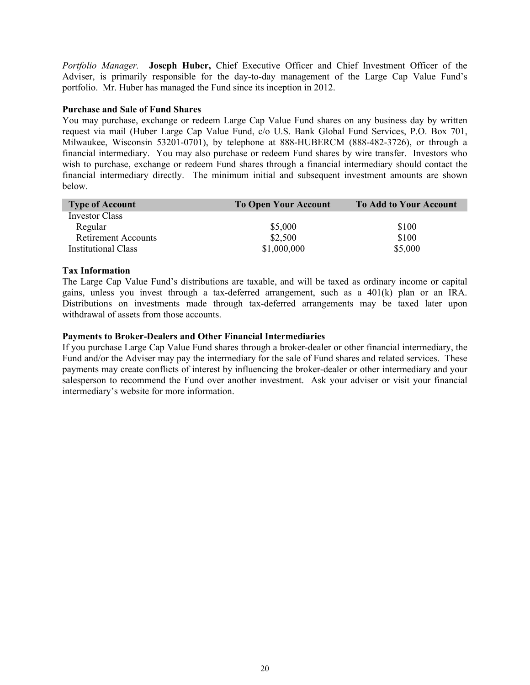*Portfolio Manager.* **Joseph Huber,** Chief Executive Officer and Chief Investment Officer of the Adviser, is primarily responsible for the day-to-day management of the Large Cap Value Fund's portfolio. Mr. Huber has managed the Fund since its inception in 2012.

# **Purchase and Sale of Fund Shares**

You may purchase, exchange or redeem Large Cap Value Fund shares on any business day by written request via mail (Huber Large Cap Value Fund, c/o U.S. Bank Global Fund Services, P.O. Box 701, Milwaukee, Wisconsin 53201-0701), by telephone at 888-HUBERCM (888-482-3726), or through a financial intermediary. You may also purchase or redeem Fund shares by wire transfer. Investors who wish to purchase, exchange or redeem Fund shares through a financial intermediary should contact the financial intermediary directly. The minimum initial and subsequent investment amounts are shown below.

| <b>Type of Account</b>     | <b>To Open Your Account</b> | <b>To Add to Your Account</b> |
|----------------------------|-----------------------------|-------------------------------|
| Investor Class             |                             |                               |
| Regular                    | \$5,000                     | \$100                         |
| <b>Retirement Accounts</b> | \$2,500                     | \$100                         |
| <b>Institutional Class</b> | \$1,000,000                 | \$5,000                       |

# **Tax Information**

The Large Cap Value Fund's distributions are taxable, and will be taxed as ordinary income or capital gains, unless you invest through a tax-deferred arrangement, such as a 401(k) plan or an IRA. Distributions on investments made through tax-deferred arrangements may be taxed later upon withdrawal of assets from those accounts.

# **Payments to Broker-Dealers and Other Financial Intermediaries**

If you purchase Large Cap Value Fund shares through a broker-dealer or other financial intermediary, the Fund and/or the Adviser may pay the intermediary for the sale of Fund shares and related services. These payments may create conflicts of interest by influencing the broker-dealer or other intermediary and your salesperson to recommend the Fund over another investment. Ask your adviser or visit your financial intermediary's website for more information.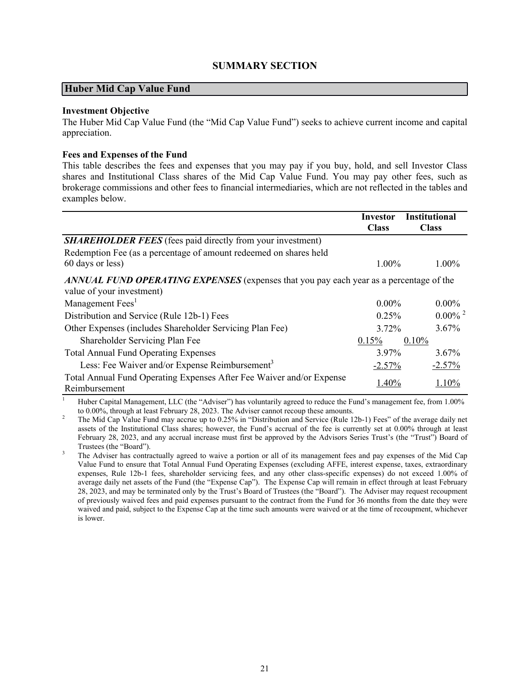# **SUMMARY SECTION**

# <span id="page-22-0"></span>**Huber Mid Cap Value Fund**

#### **Investment Objective**

The Huber Mid Cap Value Fund (the "Mid Cap Value Fund") seeks to achieve current income and capital appreciation.

### **Fees and Expenses of the Fund**

This table describes the fees and expenses that you may pay if you buy, hold, and sell Investor Class shares and Institutional Class shares of the Mid Cap Value Fund. You may pay other fees, such as brokerage commissions and other fees to financial intermediaries, which are not reflected in the tables and examples below.

|                                                                                                                     | Investor<br><b>Class</b> | <b>Institutional</b><br><b>Class</b> |
|---------------------------------------------------------------------------------------------------------------------|--------------------------|--------------------------------------|
| <b>SHAREHOLDER FEES</b> (fees paid directly from your investment)                                                   |                          |                                      |
| Redemption Fee (as a percentage of amount redeemed on shares held<br>60 days or less)                               | $1.00\%$                 | $1.00\%$                             |
| ANNUAL FUND OPERATING EXPENSES (expenses that you pay each year as a percentage of the<br>value of your investment) |                          |                                      |
| Management Fees <sup>1</sup>                                                                                        | $0.00\%$                 | $0.00\%$                             |
| Distribution and Service (Rule 12b-1) Fees                                                                          | 0.25%                    | $0.00\%$ <sup>2</sup>                |
| Other Expenses (includes Shareholder Servicing Plan Fee)                                                            | $3.72\%$                 | $3.67\%$                             |
| Shareholder Servicing Plan Fee                                                                                      | 0.15%                    | 0.10%                                |
| <b>Total Annual Fund Operating Expenses</b>                                                                         | 3.97%                    | $3.67\%$                             |
| Less: Fee Waiver and/or Expense Reimbursement <sup>3</sup>                                                          | $-2.57%$                 | $-2.57%$                             |
| Total Annual Fund Operating Expenses After Fee Waiver and/or Expense<br>Reimbursement                               | 1.40%                    | 1.10%                                |

<sup>1</sup> Huber Capital Management, LLC (the "Adviser") has voluntarily agreed to reduce the Fund's management fee, from 1.00% to 0.00%, through at least February 28, 2023. The Adviser cannot recoup these amounts.

<sup>2</sup> The Mid Cap Value Fund may accrue up to 0.25% in "Distribution and Service (Rule 12b-1) Fees" of the average daily net assets of the Institutional Class shares; however, the Fund's accrual of the fee is currently set at 0.00% through at least February 28, 2023, and any accrual increase must first be approved by the Advisors Series Trust's (the "Trust") Board of Trustees (the "Board").

<sup>3</sup> The Adviser has contractually agreed to waive a portion or all of its management fees and pay expenses of the Mid Cap Value Fund to ensure that Total Annual Fund Operating Expenses (excluding AFFE, interest expense, taxes, extraordinary expenses, Rule 12b-1 fees, shareholder servicing fees, and any other class-specific expenses) do not exceed 1.00% of average daily net assets of the Fund (the "Expense Cap"). The Expense Cap will remain in effect through at least February 28, 2023, and may be terminated only by the Trust's Board of Trustees (the "Board"). The Adviser may request recoupment of previously waived fees and paid expenses pursuant to the contract from the Fund for 36 months from the date they were waived and paid, subject to the Expense Cap at the time such amounts were waived or at the time of recoupment, whichever is lower.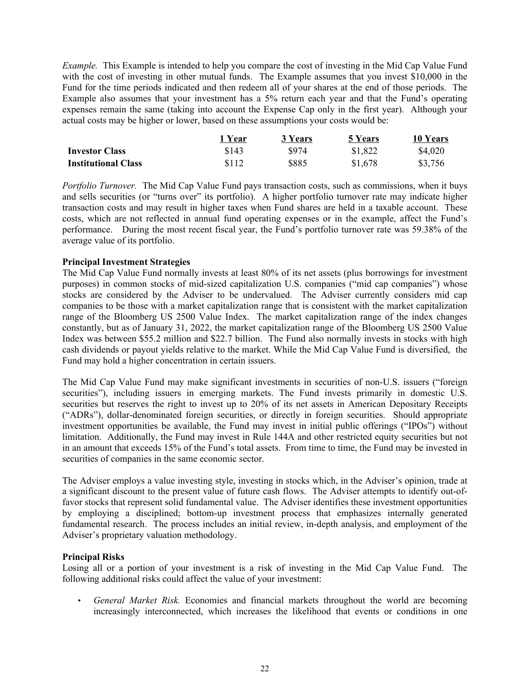*Example.* This Example is intended to help you compare the cost of investing in the Mid Cap Value Fund with the cost of investing in other mutual funds. The Example assumes that you invest \$10,000 in the Fund for the time periods indicated and then redeem all of your shares at the end of those periods. The Example also assumes that your investment has a 5% return each year and that the Fund's operating expenses remain the same (taking into account the Expense Cap only in the first year). Although your actual costs may be higher or lower, based on these assumptions your costs would be:

|                            | 1 Year | 3 Years | 5 Years | 10 Years |
|----------------------------|--------|---------|---------|----------|
| <b>Investor Class</b>      | \$143  | \$974   | \$1,822 | \$4,020  |
| <b>Institutional Class</b> | \$112  | \$885   | \$1,678 | \$3,756  |

*Portfolio Turnover.* The Mid Cap Value Fund pays transaction costs, such as commissions, when it buys and sells securities (or "turns over" its portfolio). A higher portfolio turnover rate may indicate higher transaction costs and may result in higher taxes when Fund shares are held in a taxable account. These costs, which are not reflected in annual fund operating expenses or in the example, affect the Fund's performance. During the most recent fiscal year, the Fund's portfolio turnover rate was 59.38% of the average value of its portfolio.

# **Principal Investment Strategies**

The Mid Cap Value Fund normally invests at least 80% of its net assets (plus borrowings for investment purposes) in common stocks of mid-sized capitalization U.S. companies ("mid cap companies") whose stocks are considered by the Adviser to be undervalued. The Adviser currently considers mid cap companies to be those with a market capitalization range that is consistent with the market capitalization range of the Bloomberg US 2500 Value Index. The market capitalization range of the index changes constantly, but as of January 31, 2022, the market capitalization range of the Bloomberg US 2500 Value Index was between \$55.2 million and \$22.7 billion. The Fund also normally invests in stocks with high cash dividends or payout yields relative to the market. While the Mid Cap Value Fund is diversified, the Fund may hold a higher concentration in certain issuers.

The Mid Cap Value Fund may make significant investments in securities of non-U.S. issuers ("foreign securities"), including issuers in emerging markets. The Fund invests primarily in domestic U.S. securities but reserves the right to invest up to 20% of its net assets in American Depositary Receipts ("ADRs"), dollar-denominated foreign securities, or directly in foreign securities. Should appropriate investment opportunities be available, the Fund may invest in initial public offerings ("IPOs") without limitation. Additionally, the Fund may invest in Rule 144A and other restricted equity securities but not in an amount that exceeds 15% of the Fund's total assets. From time to time, the Fund may be invested in securities of companies in the same economic sector.

The Adviser employs a value investing style, investing in stocks which, in the Adviser's opinion, trade at a significant discount to the present value of future cash flows. The Adviser attempts to identify out-offavor stocks that represent solid fundamental value. The Adviser identifies these investment opportunities by employing a disciplined; bottom-up investment process that emphasizes internally generated fundamental research. The process includes an initial review, in-depth analysis, and employment of the Adviser's proprietary valuation methodology.

# **Principal Risks**

Losing all or a portion of your investment is a risk of investing in the Mid Cap Value Fund. The following additional risks could affect the value of your investment:

• *General Market Risk.* Economies and financial markets throughout the world are becoming increasingly interconnected, which increases the likelihood that events or conditions in one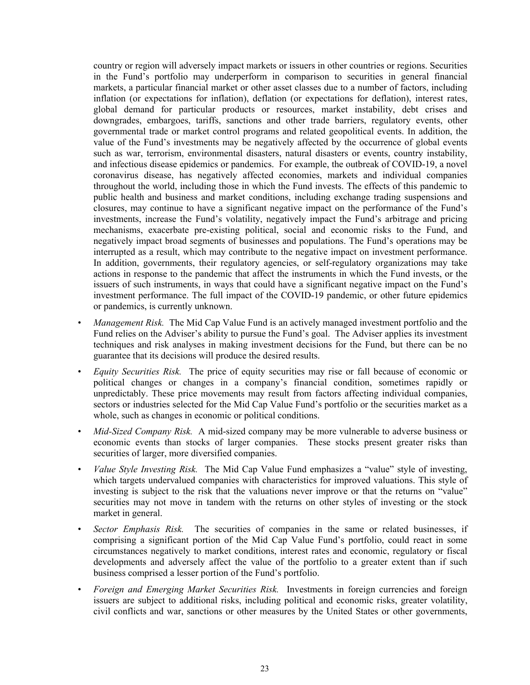country or region will adversely impact markets or issuers in other countries or regions. Securities in the Fund's portfolio may underperform in comparison to securities in general financial markets, a particular financial market or other asset classes due to a number of factors, including inflation (or expectations for inflation), deflation (or expectations for deflation), interest rates, global demand for particular products or resources, market instability, debt crises and downgrades, embargoes, tariffs, sanctions and other trade barriers, regulatory events, other governmental trade or market control programs and related geopolitical events. In addition, the value of the Fund's investments may be negatively affected by the occurrence of global events such as war, terrorism, environmental disasters, natural disasters or events, country instability, and infectious disease epidemics or pandemics. For example, the outbreak of COVID-19, a novel coronavirus disease, has negatively affected economies, markets and individual companies throughout the world, including those in which the Fund invests. The effects of this pandemic to public health and business and market conditions, including exchange trading suspensions and closures, may continue to have a significant negative impact on the performance of the Fund's investments, increase the Fund's volatility, negatively impact the Fund's arbitrage and pricing mechanisms, exacerbate pre-existing political, social and economic risks to the Fund, and negatively impact broad segments of businesses and populations. The Fund's operations may be interrupted as a result, which may contribute to the negative impact on investment performance. In addition, governments, their regulatory agencies, or self-regulatory organizations may take actions in response to the pandemic that affect the instruments in which the Fund invests, or the issuers of such instruments, in ways that could have a significant negative impact on the Fund's investment performance. The full impact of the COVID-19 pandemic, or other future epidemics or pandemics, is currently unknown.

- *Management Risk.* The Mid Cap Value Fund is an actively managed investment portfolio and the Fund relies on the Adviser's ability to pursue the Fund's goal. The Adviser applies its investment techniques and risk analyses in making investment decisions for the Fund, but there can be no guarantee that its decisions will produce the desired results.
- *Equity Securities Risk.* The price of equity securities may rise or fall because of economic or political changes or changes in a company's financial condition, sometimes rapidly or unpredictably. These price movements may result from factors affecting individual companies, sectors or industries selected for the Mid Cap Value Fund's portfolio or the securities market as a whole, such as changes in economic or political conditions.
- *Mid-Sized Company Risk.* A mid-sized company may be more vulnerable to adverse business or economic events than stocks of larger companies. These stocks present greater risks than securities of larger, more diversified companies.
- *Value Style Investing Risk.* The Mid Cap Value Fund emphasizes a "value" style of investing, which targets undervalued companies with characteristics for improved valuations. This style of investing is subject to the risk that the valuations never improve or that the returns on "value" securities may not move in tandem with the returns on other styles of investing or the stock market in general.
- *Sector Emphasis Risk.* The securities of companies in the same or related businesses, if comprising a significant portion of the Mid Cap Value Fund's portfolio, could react in some circumstances negatively to market conditions, interest rates and economic, regulatory or fiscal developments and adversely affect the value of the portfolio to a greater extent than if such business comprised a lesser portion of the Fund's portfolio.
- *Foreign and Emerging Market Securities Risk.* Investments in foreign currencies and foreign issuers are subject to additional risks, including political and economic risks, greater volatility, civil conflicts and war, sanctions or other measures by the United States or other governments,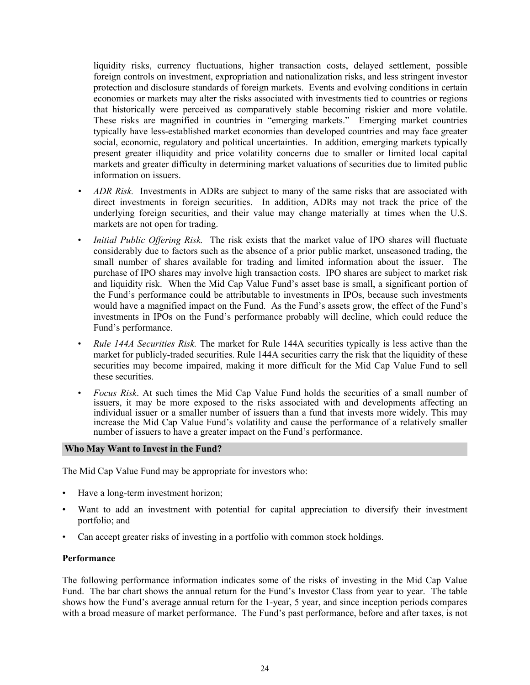liquidity risks, currency fluctuations, higher transaction costs, delayed settlement, possible foreign controls on investment, expropriation and nationalization risks, and less stringent investor protection and disclosure standards of foreign markets. Events and evolving conditions in certain economies or markets may alter the risks associated with investments tied to countries or regions that historically were perceived as comparatively stable becoming riskier and more volatile. These risks are magnified in countries in "emerging markets." Emerging market countries typically have less-established market economies than developed countries and may face greater social, economic, regulatory and political uncertainties. In addition, emerging markets typically present greater illiquidity and price volatility concerns due to smaller or limited local capital markets and greater difficulty in determining market valuations of securities due to limited public information on issuers.

- *• ADR Risk.* Investments in ADRs are subject to many of the same risks that are associated with direct investments in foreign securities. In addition, ADRs may not track the price of the underlying foreign securities, and their value may change materially at times when the U.S. markets are not open for trading.
- *Initial Public Offering Risk.* The risk exists that the market value of IPO shares will fluctuate considerably due to factors such as the absence of a prior public market, unseasoned trading, the small number of shares available for trading and limited information about the issuer. The purchase of IPO shares may involve high transaction costs. IPO shares are subject to market risk and liquidity risk. When the Mid Cap Value Fund's asset base is small, a significant portion of the Fund's performance could be attributable to investments in IPOs, because such investments would have a magnified impact on the Fund. As the Fund's assets grow, the effect of the Fund's investments in IPOs on the Fund's performance probably will decline, which could reduce the Fund's performance.
- *Rule 144A Securities Risk.* The market for Rule 144A securities typically is less active than the market for publicly-traded securities. Rule 144A securities carry the risk that the liquidity of these securities may become impaired, making it more difficult for the Mid Cap Value Fund to sell these securities.
- *Focus Risk*. At such times the Mid Cap Value Fund holds the securities of a small number of issuers, it may be more exposed to the risks associated with and developments affecting an individual issuer or a smaller number of issuers than a fund that invests more widely. This may increase the Mid Cap Value Fund's volatility and cause the performance of a relatively smaller number of issuers to have a greater impact on the Fund's performance.

#### **Who May Want to Invest in the Fund?**

The Mid Cap Value Fund may be appropriate for investors who:

- Have a long-term investment horizon;
- Want to add an investment with potential for capital appreciation to diversify their investment portfolio; and
- Can accept greater risks of investing in a portfolio with common stock holdings.

# **Performance**

The following performance information indicates some of the risks of investing in the Mid Cap Value Fund. The bar chart shows the annual return for the Fund's Investor Class from year to year. The table shows how the Fund's average annual return for the 1-year, 5 year, and since inception periods compares with a broad measure of market performance. The Fund's past performance, before and after taxes, is not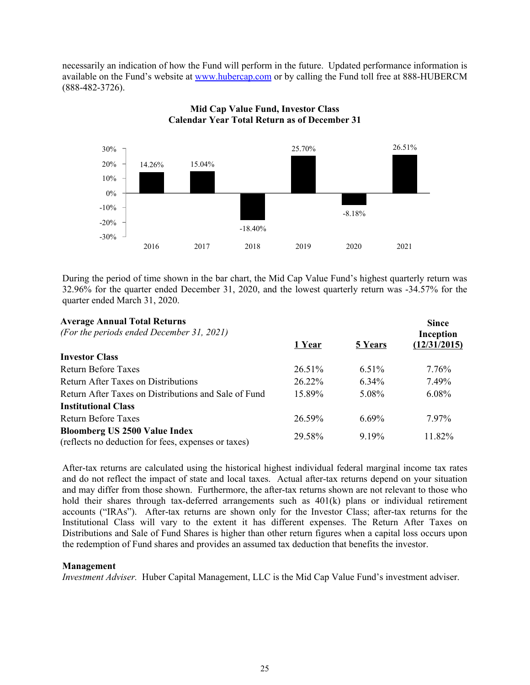necessarily an indication of how the Fund will perform in the future. Updated performance information is available on the Fund's website at www.hubercap.com or by calling the Fund toll free at 888-HUBERCM (888-482-3726).



# **Mid Cap Value Fund, Investor Class Calendar Year Total Return as of December 31**

During the period of time shown in the bar chart, the Mid Cap Value Fund's highest quarterly return was 32.96% for the quarter ended December 31, 2020, and the lowest quarterly return was -34.57% for the quarter ended March 31, 2020.

| <b>Average Annual Total Returns</b>                                                         |        |                | <b>Since</b> |
|---------------------------------------------------------------------------------------------|--------|----------------|--------------|
| (For the periods ended December 31, 2021)                                                   |        |                | Inception    |
|                                                                                             | 1 Year | <b>5 Years</b> | (12/31/2015) |
| <b>Investor Class</b>                                                                       |        |                |              |
| <b>Return Before Taxes</b>                                                                  | 26.51% | 6.51%          | $7.76\%$     |
| <b>Return After Taxes on Distributions</b>                                                  | 26.22% | $6.34\%$       | 7.49%        |
| Return After Taxes on Distributions and Sale of Fund                                        | 15.89% | 5.08%          | $6.08\%$     |
| <b>Institutional Class</b>                                                                  |        |                |              |
| <b>Return Before Taxes</b>                                                                  | 26.59% | $6.69\%$       | 7.97%        |
| <b>Bloomberg US 2500 Value Index</b><br>(reflects no deduction for fees, expenses or taxes) | 29.58% | 9.19%          | 11.82%       |

After-tax returns are calculated using the historical highest individual federal marginal income tax rates and do not reflect the impact of state and local taxes. Actual after-tax returns depend on your situation and may differ from those shown. Furthermore, the after-tax returns shown are not relevant to those who hold their shares through tax-deferred arrangements such as  $401(k)$  plans or individual retirement accounts ("IRAs"). After-tax returns are shown only for the Investor Class; after-tax returns for the Institutional Class will vary to the extent it has different expenses. The Return After Taxes on Distributions and Sale of Fund Shares is higher than other return figures when a capital loss occurs upon the redemption of Fund shares and provides an assumed tax deduction that benefits the investor.

# **Management**

*Investment Adviser.* Huber Capital Management, LLC is the Mid Cap Value Fund's investment adviser.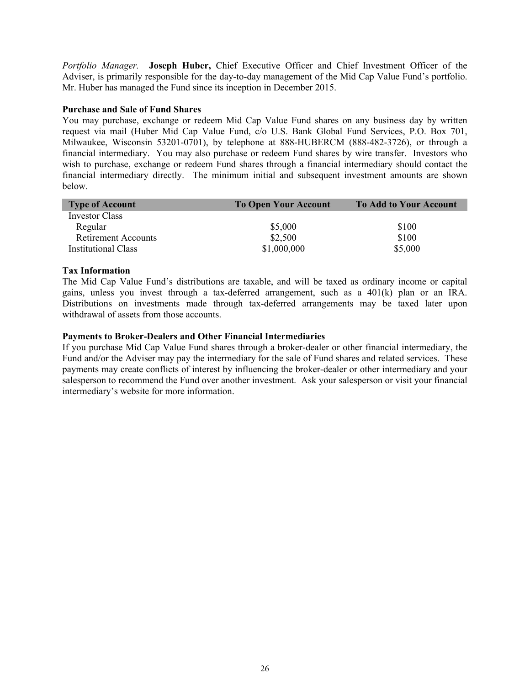*Portfolio Manager.* **Joseph Huber,** Chief Executive Officer and Chief Investment Officer of the Adviser, is primarily responsible for the day-to-day management of the Mid Cap Value Fund's portfolio. Mr. Huber has managed the Fund since its inception in December 2015.

# **Purchase and Sale of Fund Shares**

You may purchase, exchange or redeem Mid Cap Value Fund shares on any business day by written request via mail (Huber Mid Cap Value Fund, c/o U.S. Bank Global Fund Services, P.O. Box 701, Milwaukee, Wisconsin 53201-0701), by telephone at 888-HUBERCM (888-482-3726), or through a financial intermediary. You may also purchase or redeem Fund shares by wire transfer. Investors who wish to purchase, exchange or redeem Fund shares through a financial intermediary should contact the financial intermediary directly. The minimum initial and subsequent investment amounts are shown below.

| <b>Type of Account</b>     | <b>To Open Your Account</b> | <b>To Add to Your Account</b> |
|----------------------------|-----------------------------|-------------------------------|
| Investor Class             |                             |                               |
| Regular                    | \$5,000                     | \$100                         |
| <b>Retirement Accounts</b> | \$2,500                     | \$100                         |
| <b>Institutional Class</b> | \$1,000,000                 | \$5,000                       |

# **Tax Information**

The Mid Cap Value Fund's distributions are taxable, and will be taxed as ordinary income or capital gains, unless you invest through a tax-deferred arrangement, such as a 401(k) plan or an IRA. Distributions on investments made through tax-deferred arrangements may be taxed later upon withdrawal of assets from those accounts.

# **Payments to Broker-Dealers and Other Financial Intermediaries**

If you purchase Mid Cap Value Fund shares through a broker-dealer or other financial intermediary, the Fund and/or the Adviser may pay the intermediary for the sale of Fund shares and related services. These payments may create conflicts of interest by influencing the broker-dealer or other intermediary and your salesperson to recommend the Fund over another investment. Ask your salesperson or visit your financial intermediary's website for more information.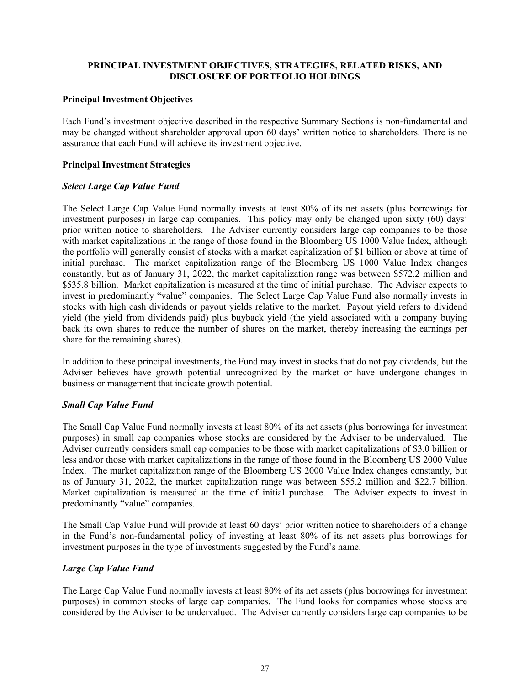# <span id="page-28-0"></span>**PRINCIPAL INVESTMENT OBJECTIVES, STRATEGIES, RELATED RISKS, AND DISCLOSURE OF PORTFOLIO HOLDINGS**

# **Principal Investment Objectives**

Each Fund's investment objective described in the respective Summary Sections is non-fundamental and may be changed without shareholder approval upon 60 days' written notice to shareholders. There is no assurance that each Fund will achieve its investment objective.

# **Principal Investment Strategies**

# *Select Large Cap Value Fund*

The Select Large Cap Value Fund normally invests at least 80% of its net assets (plus borrowings for investment purposes) in large cap companies. This policy may only be changed upon sixty (60) days' prior written notice to shareholders. The Adviser currently considers large cap companies to be those with market capitalizations in the range of those found in the Bloomberg US 1000 Value Index, although the portfolio will generally consist of stocks with a market capitalization of \$1 billion or above at time of initial purchase. The market capitalization range of the Bloomberg US 1000 Value Index changes constantly, but as of January 31, 2022, the market capitalization range was between \$572.2 million and \$535.8 billion. Market capitalization is measured at the time of initial purchase. The Adviser expects to invest in predominantly "value" companies. The Select Large Cap Value Fund also normally invests in stocks with high cash dividends or payout yields relative to the market. Payout yield refers to dividend yield (the yield from dividends paid) plus buyback yield (the yield associated with a company buying back its own shares to reduce the number of shares on the market, thereby increasing the earnings per share for the remaining shares).

In addition to these principal investments, the Fund may invest in stocks that do not pay dividends, but the Adviser believes have growth potential unrecognized by the market or have undergone changes in business or management that indicate growth potential.

# *Small Cap Value Fund*

The Small Cap Value Fund normally invests at least 80% of its net assets (plus borrowings for investment purposes) in small cap companies whose stocks are considered by the Adviser to be undervalued. The Adviser currently considers small cap companies to be those with market capitalizations of \$3.0 billion or less and/or those with market capitalizations in the range of those found in the Bloomberg US 2000 Value Index. The market capitalization range of the Bloomberg US 2000 Value Index changes constantly, but as of January 31, 2022, the market capitalization range was between \$55.2 million and \$22.7 billion. Market capitalization is measured at the time of initial purchase. The Adviser expects to invest in predominantly "value" companies.

The Small Cap Value Fund will provide at least 60 days' prior written notice to shareholders of a change in the Fund's non-fundamental policy of investing at least 80% of its net assets plus borrowings for investment purposes in the type of investments suggested by the Fund's name.

# *Large Cap Value Fund*

The Large Cap Value Fund normally invests at least 80% of its net assets (plus borrowings for investment purposes) in common stocks of large cap companies. The Fund looks for companies whose stocks are considered by the Adviser to be undervalued. The Adviser currently considers large cap companies to be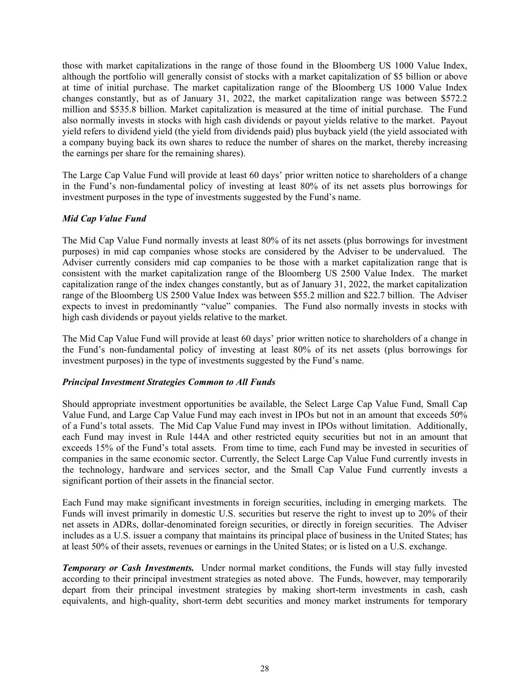those with market capitalizations in the range of those found in the Bloomberg US 1000 Value Index, although the portfolio will generally consist of stocks with a market capitalization of \$5 billion or above at time of initial purchase. The market capitalization range of the Bloomberg US 1000 Value Index changes constantly, but as of January 31, 2022, the market capitalization range was between \$572.2 million and \$535.8 billion. Market capitalization is measured at the time of initial purchase. The Fund also normally invests in stocks with high cash dividends or payout yields relative to the market. Payout yield refers to dividend yield (the yield from dividends paid) plus buyback yield (the yield associated with a company buying back its own shares to reduce the number of shares on the market, thereby increasing the earnings per share for the remaining shares).

The Large Cap Value Fund will provide at least 60 days' prior written notice to shareholders of a change in the Fund's non-fundamental policy of investing at least 80% of its net assets plus borrowings for investment purposes in the type of investments suggested by the Fund's name.

# *Mid Cap Value Fund*

The Mid Cap Value Fund normally invests at least 80% of its net assets (plus borrowings for investment purposes) in mid cap companies whose stocks are considered by the Adviser to be undervalued. The Adviser currently considers mid cap companies to be those with a market capitalization range that is consistent with the market capitalization range of the Bloomberg US 2500 Value Index. The market capitalization range of the index changes constantly, but as of January 31, 2022, the market capitalization range of the Bloomberg US 2500 Value Index was between \$55.2 million and \$22.7 billion. The Adviser expects to invest in predominantly "value" companies. The Fund also normally invests in stocks with high cash dividends or payout yields relative to the market.

The Mid Cap Value Fund will provide at least 60 days' prior written notice to shareholders of a change in the Fund's non-fundamental policy of investing at least 80% of its net assets (plus borrowings for investment purposes) in the type of investments suggested by the Fund's name.

# *Principal Investment Strategies Common to All Funds*

Should appropriate investment opportunities be available, the Select Large Cap Value Fund, Small Cap Value Fund, and Large Cap Value Fund may each invest in IPOs but not in an amount that exceeds 50% of a Fund's total assets. The Mid Cap Value Fund may invest in IPOs without limitation. Additionally, each Fund may invest in Rule 144A and other restricted equity securities but not in an amount that exceeds 15% of the Fund's total assets. From time to time, each Fund may be invested in securities of companies in the same economic sector. Currently, the Select Large Cap Value Fund currently invests in the technology, hardware and services sector, and the Small Cap Value Fund currently invests a significant portion of their assets in the financial sector.

Each Fund may make significant investments in foreign securities, including in emerging markets. The Funds will invest primarily in domestic U.S. securities but reserve the right to invest up to 20% of their net assets in ADRs, dollar-denominated foreign securities, or directly in foreign securities. The Adviser includes as a U.S. issuer a company that maintains its principal place of business in the United States; has at least 50% of their assets, revenues or earnings in the United States; or is listed on a U.S. exchange.

*Temporary or Cash Investments.* Under normal market conditions, the Funds will stay fully invested according to their principal investment strategies as noted above. The Funds, however, may temporarily depart from their principal investment strategies by making short-term investments in cash, cash equivalents, and high-quality, short-term debt securities and money market instruments for temporary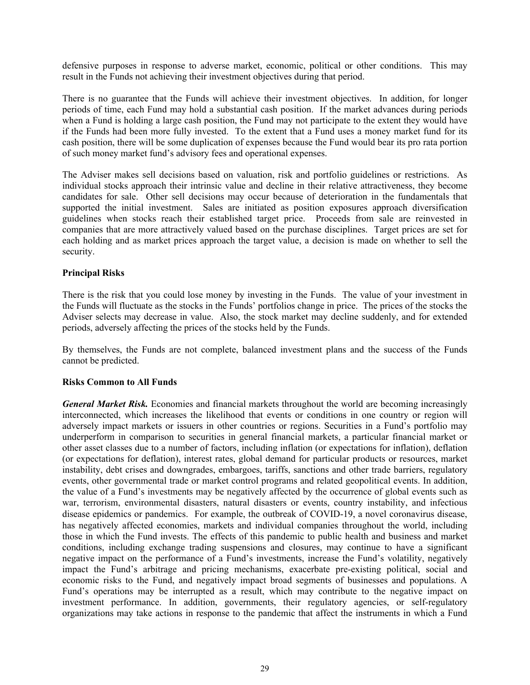defensive purposes in response to adverse market, economic, political or other conditions. This may result in the Funds not achieving their investment objectives during that period.

There is no guarantee that the Funds will achieve their investment objectives. In addition, for longer periods of time, each Fund may hold a substantial cash position. If the market advances during periods when a Fund is holding a large cash position, the Fund may not participate to the extent they would have if the Funds had been more fully invested. To the extent that a Fund uses a money market fund for its cash position, there will be some duplication of expenses because the Fund would bear its pro rata portion of such money market fund's advisory fees and operational expenses.

The Adviser makes sell decisions based on valuation, risk and portfolio guidelines or restrictions. As individual stocks approach their intrinsic value and decline in their relative attractiveness, they become candidates for sale. Other sell decisions may occur because of deterioration in the fundamentals that supported the initial investment. Sales are initiated as position exposures approach diversification guidelines when stocks reach their established target price. Proceeds from sale are reinvested in companies that are more attractively valued based on the purchase disciplines. Target prices are set for each holding and as market prices approach the target value, a decision is made on whether to sell the security.

# **Principal Risks**

There is the risk that you could lose money by investing in the Funds. The value of your investment in the Funds will fluctuate as the stocks in the Funds' portfolios change in price. The prices of the stocks the Adviser selects may decrease in value. Also, the stock market may decline suddenly, and for extended periods, adversely affecting the prices of the stocks held by the Funds.

By themselves, the Funds are not complete, balanced investment plans and the success of the Funds cannot be predicted.

#### **Risks Common to All Funds**

*General Market Risk.* Economies and financial markets throughout the world are becoming increasingly interconnected, which increases the likelihood that events or conditions in one country or region will adversely impact markets or issuers in other countries or regions. Securities in a Fund's portfolio may underperform in comparison to securities in general financial markets, a particular financial market or other asset classes due to a number of factors, including inflation (or expectations for inflation), deflation (or expectations for deflation), interest rates, global demand for particular products or resources, market instability, debt crises and downgrades, embargoes, tariffs, sanctions and other trade barriers, regulatory events, other governmental trade or market control programs and related geopolitical events. In addition, the value of a Fund's investments may be negatively affected by the occurrence of global events such as war, terrorism, environmental disasters, natural disasters or events, country instability, and infectious disease epidemics or pandemics. For example, the outbreak of COVID-19, a novel coronavirus disease, has negatively affected economies, markets and individual companies throughout the world, including those in which the Fund invests. The effects of this pandemic to public health and business and market conditions, including exchange trading suspensions and closures, may continue to have a significant negative impact on the performance of a Fund's investments, increase the Fund's volatility, negatively impact the Fund's arbitrage and pricing mechanisms, exacerbate pre-existing political, social and economic risks to the Fund, and negatively impact broad segments of businesses and populations. A Fund's operations may be interrupted as a result, which may contribute to the negative impact on investment performance. In addition, governments, their regulatory agencies, or self-regulatory organizations may take actions in response to the pandemic that affect the instruments in which a Fund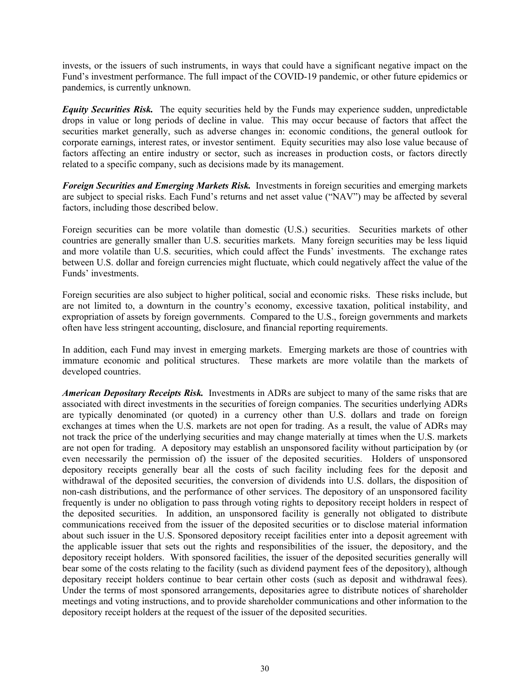invests, or the issuers of such instruments, in ways that could have a significant negative impact on the Fund's investment performance. The full impact of the COVID-19 pandemic, or other future epidemics or pandemics, is currently unknown.

*Equity Securities Risk.* The equity securities held by the Funds may experience sudden, unpredictable drops in value or long periods of decline in value. This may occur because of factors that affect the securities market generally, such as adverse changes in: economic conditions, the general outlook for corporate earnings, interest rates, or investor sentiment. Equity securities may also lose value because of factors affecting an entire industry or sector, such as increases in production costs, or factors directly related to a specific company, such as decisions made by its management.

*Foreign Securities and Emerging Markets Risk.* Investments in foreign securities and emerging markets are subject to special risks. Each Fund's returns and net asset value ("NAV") may be affected by several factors, including those described below.

Foreign securities can be more volatile than domestic (U.S.) securities. Securities markets of other countries are generally smaller than U.S. securities markets. Many foreign securities may be less liquid and more volatile than U.S. securities, which could affect the Funds' investments. The exchange rates between U.S. dollar and foreign currencies might fluctuate, which could negatively affect the value of the Funds' investments.

Foreign securities are also subject to higher political, social and economic risks. These risks include, but are not limited to, a downturn in the country's economy, excessive taxation, political instability, and expropriation of assets by foreign governments. Compared to the U.S., foreign governments and markets often have less stringent accounting, disclosure, and financial reporting requirements.

In addition, each Fund may invest in emerging markets. Emerging markets are those of countries with immature economic and political structures. These markets are more volatile than the markets of developed countries.

*American Depositary Receipts Risk.* Investments in ADRs are subject to many of the same risks that are associated with direct investments in the securities of foreign companies. The securities underlying ADRs are typically denominated (or quoted) in a currency other than U.S. dollars and trade on foreign exchanges at times when the U.S. markets are not open for trading. As a result, the value of ADRs may not track the price of the underlying securities and may change materially at times when the U.S. markets are not open for trading. A depository may establish an unsponsored facility without participation by (or even necessarily the permission of) the issuer of the deposited securities. Holders of unsponsored depository receipts generally bear all the costs of such facility including fees for the deposit and withdrawal of the deposited securities, the conversion of dividends into U.S. dollars, the disposition of non-cash distributions, and the performance of other services. The depository of an unsponsored facility frequently is under no obligation to pass through voting rights to depository receipt holders in respect of the deposited securities. In addition, an unsponsored facility is generally not obligated to distribute communications received from the issuer of the deposited securities or to disclose material information about such issuer in the U.S. Sponsored depository receipt facilities enter into a deposit agreement with the applicable issuer that sets out the rights and responsibilities of the issuer, the depository, and the depository receipt holders. With sponsored facilities, the issuer of the deposited securities generally will bear some of the costs relating to the facility (such as dividend payment fees of the depository), although depositary receipt holders continue to bear certain other costs (such as deposit and withdrawal fees). Under the terms of most sponsored arrangements, depositaries agree to distribute notices of shareholder meetings and voting instructions, and to provide shareholder communications and other information to the depository receipt holders at the request of the issuer of the deposited securities.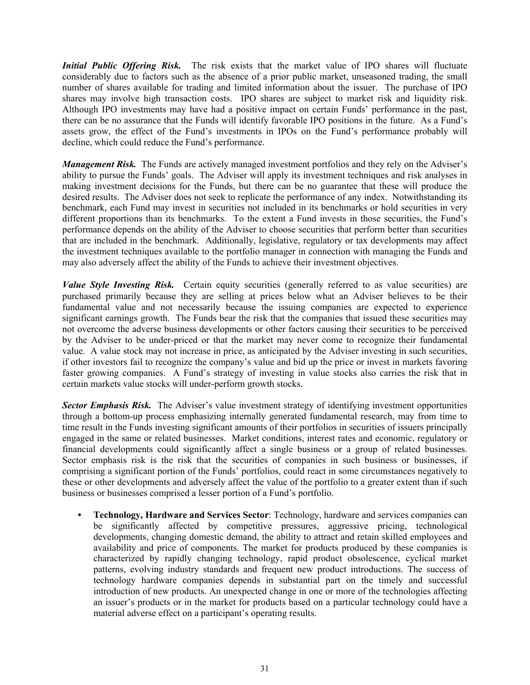*Initial Public Offering Risk.* The risk exists that the market value of IPO shares will fluctuate considerably due to factors such as the absence of a prior public market, unseasoned trading, the small number of shares available for trading and limited information about the issuer. The purchase of IPO shares may involve high transaction costs. IPO shares are subject to market risk and liquidity risk. Although IPO investments may have had a positive impact on certain Funds' performance in the past, there can be no assurance that the Funds will identify favorable IPO positions in the future. As a Fund's assets grow, the effect of the Fund's investments in IPOs on the Fund's performance probably will decline, which could reduce the Fund's performance.

*Management Risk.* The Funds are actively managed investment portfolios and they rely on the Adviser's ability to pursue the Funds' goals. The Adviser will apply its investment techniques and risk analyses in making investment decisions for the Funds, but there can be no guarantee that these will produce the desired results. The Adviser does not seek to replicate the performance of any index. Notwithstanding its benchmark, each Fund may invest in securities not included in its benchmarks or hold securities in very different proportions than its benchmarks. To the extent a Fund invests in those securities, the Fund's performance depends on the ability of the Adviser to choose securities that perform better than securities that are included in the benchmark. Additionally, legislative, regulatory or tax developments may affect the investment techniques available to the portfolio manager in connection with managing the Funds and may also adversely affect the ability of the Funds to achieve their investment objectives.

*Value Style Investing Risk.* Certain equity securities (generally referred to as value securities) are purchased primarily because they are selling at prices below what an Adviser believes to be their fundamental value and not necessarily because the issuing companies are expected to experience significant earnings growth. The Funds bear the risk that the companies that issued these securities may not overcome the adverse business developments or other factors causing their securities to be perceived by the Adviser to be under-priced or that the market may never come to recognize their fundamental value. A value stock may not increase in price, as anticipated by the Adviser investing in such securities, if other investors fail to recognize the company's value and bid up the price or invest in markets favoring faster growing companies. A Fund's strategy of investing in value stocks also carries the risk that in certain markets value stocks will under-perform growth stocks.

*Sector Emphasis Risk.* The Adviser's value investment strategy of identifying investment opportunities through a bottom-up process emphasizing internally generated fundamental research, may from time to time result in the Funds investing significant amounts of their portfolios in securities of issuers principally engaged in the same or related businesses. Market conditions, interest rates and economic, regulatory or financial developments could significantly affect a single business or a group of related businesses. Sector emphasis risk is the risk that the securities of companies in such business or businesses, if comprising a significant portion of the Funds' portfolios, could react in some circumstances negatively to these or other developments and adversely affect the value of the portfolio to a greater extent than if such business or businesses comprised a lesser portion of a Fund's portfolio.

*•* **Technology, Hardware and Services Sector**: Technology, hardware and services companies can be significantly affected by competitive pressures, aggressive pricing, technological developments, changing domestic demand, the ability to attract and retain skilled employees and availability and price of components. The market for products produced by these companies is characterized by rapidly changing technology, rapid product obsolescence, cyclical market patterns, evolving industry standards and frequent new product introductions. The success of technology hardware companies depends in substantial part on the timely and successful introduction of new products. An unexpected change in one or more of the technologies affecting an issuer's products or in the market for products based on a particular technology could have a material adverse effect on a participant's operating results.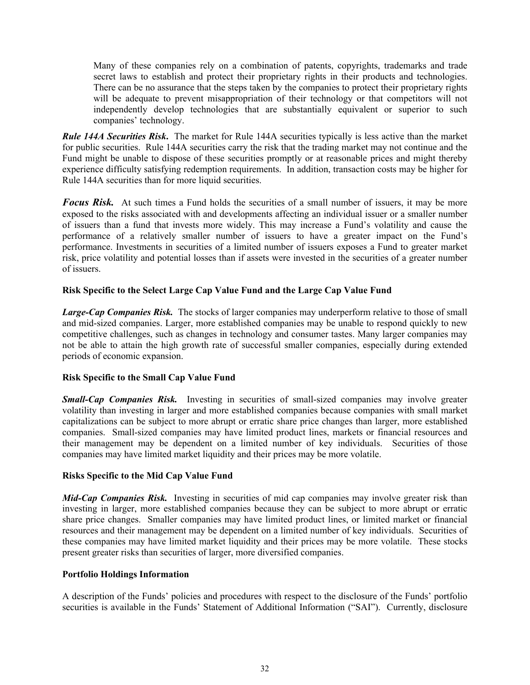Many of these companies rely on a combination of patents, copyrights, trademarks and trade secret laws to establish and protect their proprietary rights in their products and technologies. There can be no assurance that the steps taken by the companies to protect their proprietary rights will be adequate to prevent misappropriation of their technology or that competitors will not independently develop technologies that are substantially equivalent or superior to such companies' technology.

*Rule 144A Securities Risk***.** The market for Rule 144A securities typically is less active than the market for public securities. Rule 144A securities carry the risk that the trading market may not continue and the Fund might be unable to dispose of these securities promptly or at reasonable prices and might thereby experience difficulty satisfying redemption requirements. In addition, transaction costs may be higher for Rule 144A securities than for more liquid securities.

*Focus Risk.* At such times a Fund holds the securities of a small number of issuers, it may be more exposed to the risks associated with and developments affecting an individual issuer or a smaller number of issuers than a fund that invests more widely. This may increase a Fund's volatility and cause the performance of a relatively smaller number of issuers to have a greater impact on the Fund's performance. Investments in securities of a limited number of issuers exposes a Fund to greater market risk, price volatility and potential losses than if assets were invested in the securities of a greater number of issuers.

# **Risk Specific to the Select Large Cap Value Fund and the Large Cap Value Fund**

*Large-Cap Companies Risk.* The stocks of larger companies may underperform relative to those of small and mid-sized companies. Larger, more established companies may be unable to respond quickly to new competitive challenges, such as changes in technology and consumer tastes. Many larger companies may not be able to attain the high growth rate of successful smaller companies, especially during extended periods of economic expansion.

# **Risk Specific to the Small Cap Value Fund**

*Small-Cap Companies Risk.* Investing in securities of small-sized companies may involve greater volatility than investing in larger and more established companies because companies with small market capitalizations can be subject to more abrupt or erratic share price changes than larger, more established companies. Small-sized companies may have limited product lines, markets or financial resources and their management may be dependent on a limited number of key individuals. Securities of those companies may have limited market liquidity and their prices may be more volatile.

# **Risks Specific to the Mid Cap Value Fund**

*Mid-Cap Companies Risk.* Investing in securities of mid cap companies may involve greater risk than investing in larger, more established companies because they can be subject to more abrupt or erratic share price changes. Smaller companies may have limited product lines, or limited market or financial resources and their management may be dependent on a limited number of key individuals. Securities of these companies may have limited market liquidity and their prices may be more volatile. These stocks present greater risks than securities of larger, more diversified companies.

#### **Portfolio Holdings Information**

A description of the Funds' policies and procedures with respect to the disclosure of the Funds' portfolio securities is available in the Funds' Statement of Additional Information ("SAI"). Currently, disclosure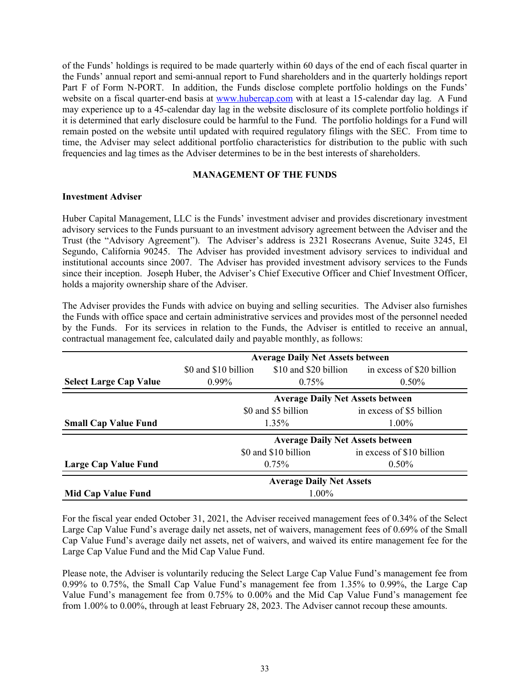<span id="page-34-0"></span>of the Funds' holdings is required to be made quarterly within 60 days of the end of each fiscal quarter in the Funds' annual report and semi-annual report to Fund shareholders and in the quarterly holdings report Part F of Form N-PORT. In addition, the Funds disclose complete portfolio holdings on the Funds' website on a fiscal quarter-end basis at www.hubercap.com with at least a 15-calendar day lag. A Fund may experience up to a 45-calendar day lag in the website disclosure of its complete portfolio holdings if it is determined that early disclosure could be harmful to the Fund. The portfolio holdings for a Fund will remain posted on the website until updated with required regulatory filings with the SEC. From time to time, the Adviser may select additional portfolio characteristics for distribution to the public with such frequencies and lag times as the Adviser determines to be in the best interests of shareholders.

# **MANAGEMENT OF THE FUNDS**

#### **Investment Adviser**

Huber Capital Management, LLC is the Funds' investment adviser and provides discretionary investment advisory services to the Funds pursuant to an investment advisory agreement between the Adviser and the Trust (the "Advisory Agreement"). The Adviser's address is 2321 Rosecrans Avenue, Suite 3245, El Segundo, California 90245. The Adviser has provided investment advisory services to individual and institutional accounts since 2007. The Adviser has provided investment advisory services to the Funds since their inception. Joseph Huber, the Adviser's Chief Executive Officer and Chief Investment Officer, holds a majority ownership share of the Adviser.

The Adviser provides the Funds with advice on buying and selling securities. The Adviser also furnishes the Funds with office space and certain administrative services and provides most of the personnel needed by the Funds. For its services in relation to the Funds, the Adviser is entitled to receive an annual, contractual management fee, calculated daily and payable monthly, as follows:

|                               | <b>Average Daily Net Assets between</b>           |                                         |                                                 |  |
|-------------------------------|---------------------------------------------------|-----------------------------------------|-------------------------------------------------|--|
|                               | \$0 and \$10 billion                              |                                         | \$10 and \$20 billion in excess of \$20 billion |  |
| <b>Select Large Cap Value</b> | $0.99\%$                                          | $0.75\%$                                | $0.50\%$                                        |  |
|                               |                                                   | <b>Average Daily Net Assets between</b> |                                                 |  |
|                               | in excess of \$5 billion<br>\$0 and \$5 billion   |                                         |                                                 |  |
| <b>Small Cap Value Fund</b>   | $1.35\%$                                          |                                         | 1.00%                                           |  |
|                               | <b>Average Daily Net Assets between</b>           |                                         |                                                 |  |
|                               | \$0 and \$10 billion<br>in excess of \$10 billion |                                         |                                                 |  |
| Large Cap Value Fund          | 0.50%<br>$0.75\%$                                 |                                         |                                                 |  |
|                               | <b>Average Daily Net Assets</b>                   |                                         |                                                 |  |
| <b>Mid Cap Value Fund</b>     | $1.00\%$                                          |                                         |                                                 |  |

For the fiscal year ended October 31, 2021, the Adviser received management fees of 0.34% of the Select Large Cap Value Fund's average daily net assets, net of waivers, management fees of 0.69% of the Small Cap Value Fund's average daily net assets, net of waivers, and waived its entire management fee for the Large Cap Value Fund and the Mid Cap Value Fund.

Please note, the Adviser is voluntarily reducing the Select Large Cap Value Fund's management fee from 0.99% to 0.75%, the Small Cap Value Fund's management fee from 1.35% to 0.99%, the Large Cap Value Fund's management fee from 0.75% to 0.00% and the Mid Cap Value Fund's management fee from 1.00% to 0.00%, through at least February 28, 2023. The Adviser cannot recoup these amounts.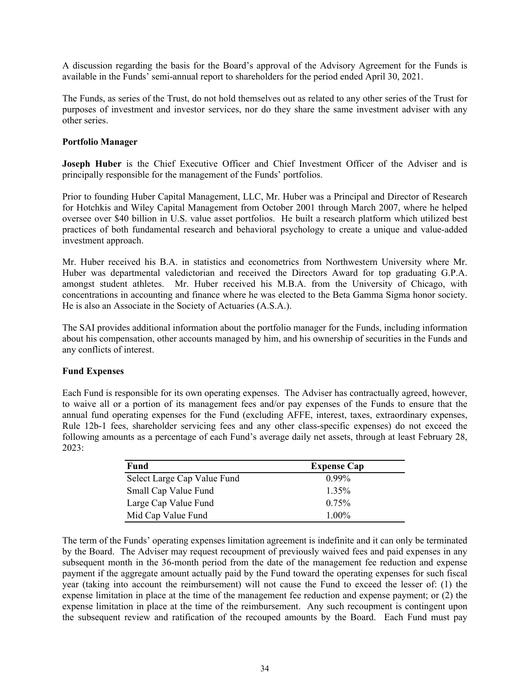A discussion regarding the basis for the Board's approval of the Advisory Agreement for the Funds is available in the Funds' semi-annual report to shareholders for the period ended April 30, 2021.

The Funds, as series of the Trust, do not hold themselves out as related to any other series of the Trust for purposes of investment and investor services, nor do they share the same investment adviser with any other series.

# **Portfolio Manager**

**Joseph Huber** is the Chief Executive Officer and Chief Investment Officer of the Adviser and is principally responsible for the management of the Funds' portfolios.

Prior to founding Huber Capital Management, LLC, Mr. Huber was a Principal and Director of Research for Hotchkis and Wiley Capital Management from October 2001 through March 2007, where he helped oversee over \$40 billion in U.S. value asset portfolios. He built a research platform which utilized best practices of both fundamental research and behavioral psychology to create a unique and value-added investment approach.

Mr. Huber received his B.A. in statistics and econometrics from Northwestern University where Mr. Huber was departmental valedictorian and received the Directors Award for top graduating G.P.A. amongst student athletes. Mr. Huber received his M.B.A. from the University of Chicago, with concentrations in accounting and finance where he was elected to the Beta Gamma Sigma honor society. He is also an Associate in the Society of Actuaries (A.S.A.).

The SAI provides additional information about the portfolio manager for the Funds, including information about his compensation, other accounts managed by him, and his ownership of securities in the Funds and any conflicts of interest.

# **Fund Expenses**

Each Fund is responsible for its own operating expenses. The Adviser has contractually agreed, however, to waive all or a portion of its management fees and/or pay expenses of the Funds to ensure that the annual fund operating expenses for the Fund (excluding AFFE, interest, taxes, extraordinary expenses, Rule 12b-1 fees, shareholder servicing fees and any other class-specific expenses) do not exceed the following amounts as a percentage of each Fund's average daily net assets, through at least February 28, 2023:

| Fund                        | <b>Expense Cap</b> |
|-----------------------------|--------------------|
| Select Large Cap Value Fund | $0.99\%$           |
| Small Cap Value Fund        | 1 35%              |
| Large Cap Value Fund        | 0.75%              |
| Mid Cap Value Fund          | $1.00\%$           |

The term of the Funds' operating expenses limitation agreement is indefinite and it can only be terminated by the Board. The Adviser may request recoupment of previously waived fees and paid expenses in any subsequent month in the 36-month period from the date of the management fee reduction and expense payment if the aggregate amount actually paid by the Fund toward the operating expenses for such fiscal year (taking into account the reimbursement) will not cause the Fund to exceed the lesser of: (1) the expense limitation in place at the time of the management fee reduction and expense payment; or (2) the expense limitation in place at the time of the reimbursement. Any such recoupment is contingent upon the subsequent review and ratification of the recouped amounts by the Board. Each Fund must pay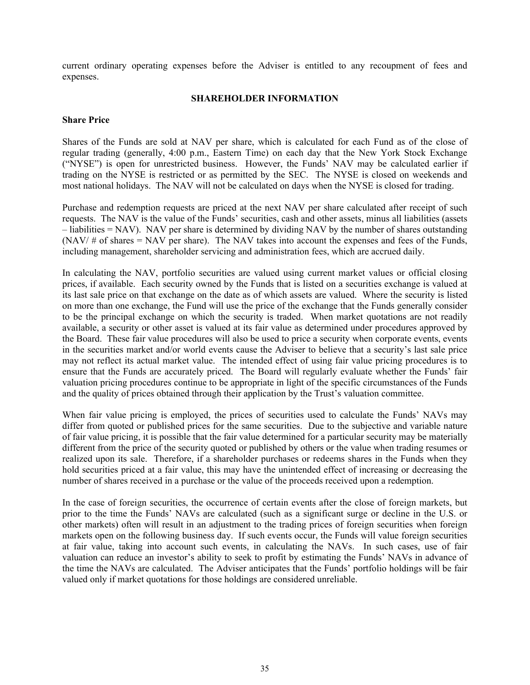<span id="page-36-0"></span>current ordinary operating expenses before the Adviser is entitled to any recoupment of fees and expenses.

# **SHAREHOLDER INFORMATION**

### **Share Price**

Shares of the Funds are sold at NAV per share, which is calculated for each Fund as of the close of regular trading (generally, 4:00 p.m., Eastern Time) on each day that the New York Stock Exchange ("NYSE") is open for unrestricted business. However, the Funds' NAV may be calculated earlier if trading on the NYSE is restricted or as permitted by the SEC. The NYSE is closed on weekends and most national holidays. The NAV will not be calculated on days when the NYSE is closed for trading.

Purchase and redemption requests are priced at the next NAV per share calculated after receipt of such requests. The NAV is the value of the Funds' securities, cash and other assets, minus all liabilities (assets – liabilities = NAV). NAV per share is determined by dividing NAV by the number of shares outstanding  $(NAV / # of shares = NAV per share)$ . The NAV takes into account the expenses and fees of the Funds, including management, shareholder servicing and administration fees, which are accrued daily.

In calculating the NAV, portfolio securities are valued using current market values or official closing prices, if available. Each security owned by the Funds that is listed on a securities exchange is valued at its last sale price on that exchange on the date as of which assets are valued. Where the security is listed on more than one exchange, the Fund will use the price of the exchange that the Funds generally consider to be the principal exchange on which the security is traded. When market quotations are not readily available, a security or other asset is valued at its fair value as determined under procedures approved by the Board. These fair value procedures will also be used to price a security when corporate events, events in the securities market and/or world events cause the Adviser to believe that a security's last sale price may not reflect its actual market value. The intended effect of using fair value pricing procedures is to ensure that the Funds are accurately priced. The Board will regularly evaluate whether the Funds' fair valuation pricing procedures continue to be appropriate in light of the specific circumstances of the Funds and the quality of prices obtained through their application by the Trust's valuation committee.

When fair value pricing is employed, the prices of securities used to calculate the Funds' NAVs may differ from quoted or published prices for the same securities. Due to the subjective and variable nature of fair value pricing, it is possible that the fair value determined for a particular security may be materially different from the price of the security quoted or published by others or the value when trading resumes or realized upon its sale. Therefore, if a shareholder purchases or redeems shares in the Funds when they hold securities priced at a fair value, this may have the unintended effect of increasing or decreasing the number of shares received in a purchase or the value of the proceeds received upon a redemption.

In the case of foreign securities, the occurrence of certain events after the close of foreign markets, but prior to the time the Funds' NAVs are calculated (such as a significant surge or decline in the U.S. or other markets) often will result in an adjustment to the trading prices of foreign securities when foreign markets open on the following business day. If such events occur, the Funds will value foreign securities at fair value, taking into account such events, in calculating the NAVs. In such cases, use of fair valuation can reduce an investor's ability to seek to profit by estimating the Funds' NAVs in advance of the time the NAVs are calculated. The Adviser anticipates that the Funds' portfolio holdings will be fair valued only if market quotations for those holdings are considered unreliable.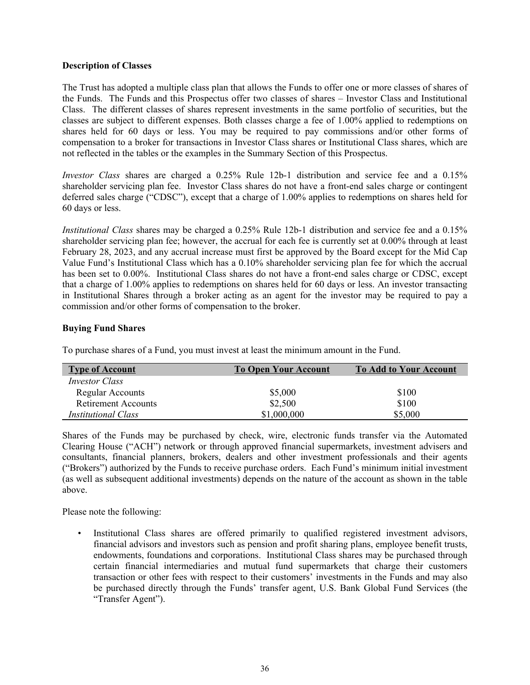#### **Description of Classes**

The Trust has adopted a multiple class plan that allows the Funds to offer one or more classes of shares of the Funds. The Funds and this Prospectus offer two classes of shares – Investor Class and Institutional Class. The different classes of shares represent investments in the same portfolio of securities, but the classes are subject to different expenses. Both classes charge a fee of 1.00% applied to redemptions on shares held for 60 days or less. You may be required to pay commissions and/or other forms of compensation to a broker for transactions in Investor Class shares or Institutional Class shares, which are not reflected in the tables or the examples in the Summary Section of this Prospectus.

*Investor Class* shares are charged a 0.25% Rule 12b-1 distribution and service fee and a 0.15% shareholder servicing plan fee. Investor Class shares do not have a front-end sales charge or contingent deferred sales charge ("CDSC"), except that a charge of 1.00% applies to redemptions on shares held for 60 days or less.

*Institutional Class* shares may be charged a 0.25% Rule 12b-1 distribution and service fee and a 0.15% shareholder servicing plan fee; however, the accrual for each fee is currently set at 0.00% through at least February 28, 2023, and any accrual increase must first be approved by the Board except for the Mid Cap Value Fund's Institutional Class which has a 0.10% shareholder servicing plan fee for which the accrual has been set to 0.00%. Institutional Class shares do not have a front-end sales charge or CDSC, except that a charge of 1.00% applies to redemptions on shares held for 60 days or less. An investor transacting in Institutional Shares through a broker acting as an agent for the investor may be required to pay a commission and/or other forms of compensation to the broker.

# **Buying Fund Shares**

| <b>Type of Account</b>     | <b>To Open Your Account</b> | <b>To Add to Your Account</b> |
|----------------------------|-----------------------------|-------------------------------|
| <i>Investor Class</i>      |                             |                               |
| <b>Regular Accounts</b>    | \$5,000                     | \$100                         |
| <b>Retirement Accounts</b> | \$2,500                     | \$100                         |
| <i>Institutional Class</i> | \$1,000,000                 | \$5,000                       |

To purchase shares of a Fund, you must invest at least the minimum amount in the Fund.

Shares of the Funds may be purchased by check, wire, electronic funds transfer via the Automated Clearing House ("ACH") network or through approved financial supermarkets, investment advisers and consultants, financial planners, brokers, dealers and other investment professionals and their agents ("Brokers") authorized by the Funds to receive purchase orders. Each Fund's minimum initial investment (as well as subsequent additional investments) depends on the nature of the account as shown in the table above.

Please note the following:

Institutional Class shares are offered primarily to qualified registered investment advisors, financial advisors and investors such as pension and profit sharing plans, employee benefit trusts, endowments, foundations and corporations. Institutional Class shares may be purchased through certain financial intermediaries and mutual fund supermarkets that charge their customers transaction or other fees with respect to their customers' investments in the Funds and may also be purchased directly through the Funds' transfer agent, U.S. Bank Global Fund Services (the "Transfer Agent").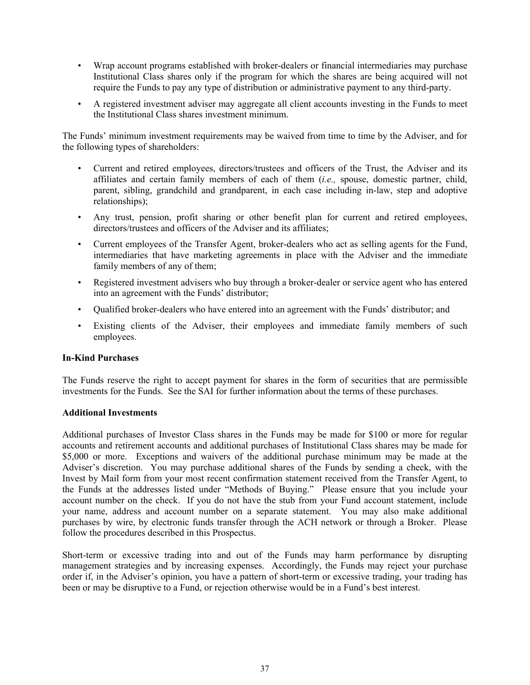- Wrap account programs established with broker-dealers or financial intermediaries may purchase Institutional Class shares only if the program for which the shares are being acquired will not require the Funds to pay any type of distribution or administrative payment to any third-party.
- A registered investment adviser may aggregate all client accounts investing in the Funds to meet the Institutional Class shares investment minimum.

The Funds' minimum investment requirements may be waived from time to time by the Adviser, and for the following types of shareholders:

- Current and retired employees, directors/trustees and officers of the Trust, the Adviser and its affiliates and certain family members of each of them (*i.e.,* spouse, domestic partner, child, parent, sibling, grandchild and grandparent, in each case including in-law, step and adoptive relationships);
- Any trust, pension, profit sharing or other benefit plan for current and retired employees, directors/trustees and officers of the Adviser and its affiliates;
- Current employees of the Transfer Agent, broker-dealers who act as selling agents for the Fund, intermediaries that have marketing agreements in place with the Adviser and the immediate family members of any of them;
- Registered investment advisers who buy through a broker-dealer or service agent who has entered into an agreement with the Funds' distributor;
- Qualified broker-dealers who have entered into an agreement with the Funds' distributor; and
- Existing clients of the Adviser, their employees and immediate family members of such employees.

# **In-Kind Purchases**

The Funds reserve the right to accept payment for shares in the form of securities that are permissible investments for the Funds. See the SAI for further information about the terms of these purchases.

# **Additional Investments**

Additional purchases of Investor Class shares in the Funds may be made for \$100 or more for regular accounts and retirement accounts and additional purchases of Institutional Class shares may be made for \$5,000 or more. Exceptions and waivers of the additional purchase minimum may be made at the Adviser's discretion. You may purchase additional shares of the Funds by sending a check, with the Invest by Mail form from your most recent confirmation statement received from the Transfer Agent, to the Funds at the addresses listed under "Methods of Buying." Please ensure that you include your account number on the check. If you do not have the stub from your Fund account statement, include your name, address and account number on a separate statement. You may also make additional purchases by wire, by electronic funds transfer through the ACH network or through a Broker. Please follow the procedures described in this Prospectus.

Short-term or excessive trading into and out of the Funds may harm performance by disrupting management strategies and by increasing expenses. Accordingly, the Funds may reject your purchase order if, in the Adviser's opinion, you have a pattern of short-term or excessive trading, your trading has been or may be disruptive to a Fund, or rejection otherwise would be in a Fund's best interest.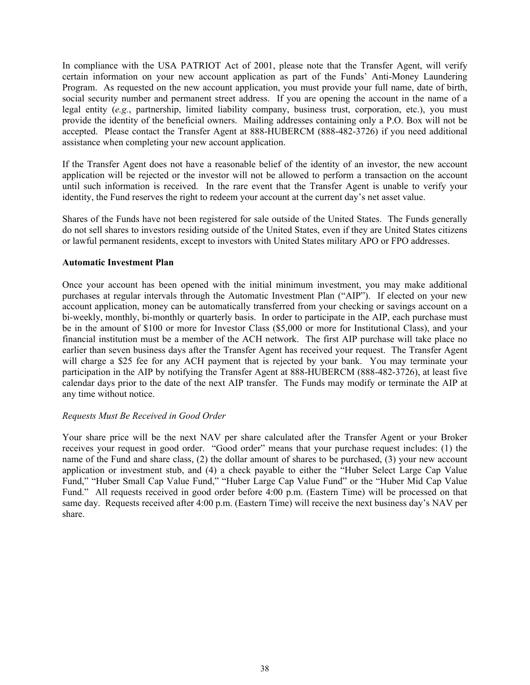In compliance with the USA PATRIOT Act of 2001, please note that the Transfer Agent, will verify certain information on your new account application as part of the Funds' Anti-Money Laundering Program. As requested on the new account application, you must provide your full name, date of birth, social security number and permanent street address. If you are opening the account in the name of a legal entity (*e.g.*, partnership, limited liability company, business trust, corporation, etc.), you must provide the identity of the beneficial owners. Mailing addresses containing only a P.O. Box will not be accepted. Please contact the Transfer Agent at 888-HUBERCM (888-482-3726) if you need additional assistance when completing your new account application.

If the Transfer Agent does not have a reasonable belief of the identity of an investor, the new account application will be rejected or the investor will not be allowed to perform a transaction on the account until such information is received. In the rare event that the Transfer Agent is unable to verify your identity, the Fund reserves the right to redeem your account at the current day's net asset value.

Shares of the Funds have not been registered for sale outside of the United States. The Funds generally do not sell shares to investors residing outside of the United States, even if they are United States citizens or lawful permanent residents, except to investors with United States military APO or FPO addresses.

# **Automatic Investment Plan**

Once your account has been opened with the initial minimum investment, you may make additional purchases at regular intervals through the Automatic Investment Plan ("AIP"). If elected on your new account application, money can be automatically transferred from your checking or savings account on a bi-weekly, monthly, bi-monthly or quarterly basis. In order to participate in the AIP, each purchase must be in the amount of \$100 or more for Investor Class (\$5,000 or more for Institutional Class), and your financial institution must be a member of the ACH network. The first AIP purchase will take place no earlier than seven business days after the Transfer Agent has received your request. The Transfer Agent will charge a \$25 fee for any ACH payment that is rejected by your bank. You may terminate your participation in the AIP by notifying the Transfer Agent at 888-HUBERCM (888-482-3726), at least five calendar days prior to the date of the next AIP transfer. The Funds may modify or terminate the AIP at any time without notice.

# *Requests Must Be Received in Good Order*

Your share price will be the next NAV per share calculated after the Transfer Agent or your Broker receives your request in good order. "Good order" means that your purchase request includes: (1) the name of the Fund and share class, (2) the dollar amount of shares to be purchased, (3) your new account application or investment stub, and (4) a check payable to either the "Huber Select Large Cap Value Fund," "Huber Small Cap Value Fund," "Huber Large Cap Value Fund" or the "Huber Mid Cap Value Fund." All requests received in good order before 4:00 p.m. (Eastern Time) will be processed on that same day. Requests received after 4:00 p.m. (Eastern Time) will receive the next business day's NAV per share.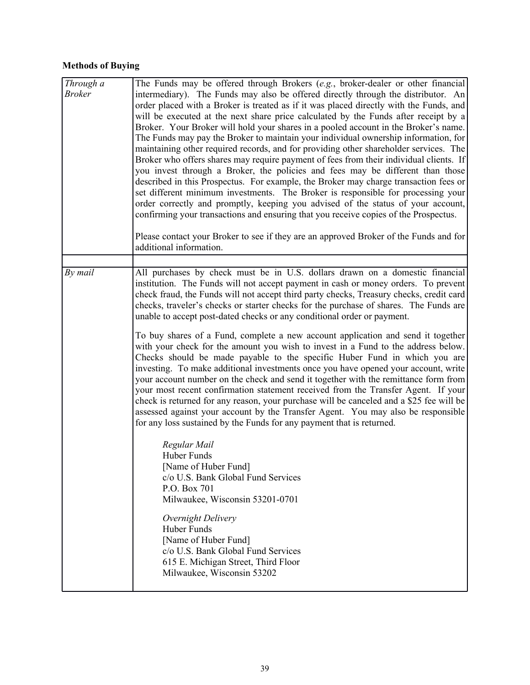# **Methods of Buying**

| $\overline{Through} a$<br><b>Broker</b> | The Funds may be offered through Brokers (e.g., broker-dealer or other financial)<br>intermediary). The Funds may also be offered directly through the distributor. An<br>order placed with a Broker is treated as if it was placed directly with the Funds, and<br>will be executed at the next share price calculated by the Funds after receipt by a<br>Broker. Your Broker will hold your shares in a pooled account in the Broker's name.<br>The Funds may pay the Broker to maintain your individual ownership information, for<br>maintaining other required records, and for providing other shareholder services. The<br>Broker who offers shares may require payment of fees from their individual clients. If<br>you invest through a Broker, the policies and fees may be different than those<br>described in this Prospectus. For example, the Broker may charge transaction fees or<br>set different minimum investments. The Broker is responsible for processing your<br>order correctly and promptly, keeping you advised of the status of your account,<br>confirming your transactions and ensuring that you receive copies of the Prospectus.                                                                                                                                                                                                                                                                                                                                                                        |
|-----------------------------------------|-------------------------------------------------------------------------------------------------------------------------------------------------------------------------------------------------------------------------------------------------------------------------------------------------------------------------------------------------------------------------------------------------------------------------------------------------------------------------------------------------------------------------------------------------------------------------------------------------------------------------------------------------------------------------------------------------------------------------------------------------------------------------------------------------------------------------------------------------------------------------------------------------------------------------------------------------------------------------------------------------------------------------------------------------------------------------------------------------------------------------------------------------------------------------------------------------------------------------------------------------------------------------------------------------------------------------------------------------------------------------------------------------------------------------------------------------------------------------------------------------------------------------------------------|
|                                         | Please contact your Broker to see if they are an approved Broker of the Funds and for<br>additional information.                                                                                                                                                                                                                                                                                                                                                                                                                                                                                                                                                                                                                                                                                                                                                                                                                                                                                                                                                                                                                                                                                                                                                                                                                                                                                                                                                                                                                          |
|                                         |                                                                                                                                                                                                                                                                                                                                                                                                                                                                                                                                                                                                                                                                                                                                                                                                                                                                                                                                                                                                                                                                                                                                                                                                                                                                                                                                                                                                                                                                                                                                           |
| By mail                                 | All purchases by check must be in U.S. dollars drawn on a domestic financial<br>institution. The Funds will not accept payment in cash or money orders. To prevent<br>check fraud, the Funds will not accept third party checks, Treasury checks, credit card<br>checks, traveler's checks or starter checks for the purchase of shares. The Funds are<br>unable to accept post-dated checks or any conditional order or payment.<br>To buy shares of a Fund, complete a new account application and send it together<br>with your check for the amount you wish to invest in a Fund to the address below.<br>Checks should be made payable to the specific Huber Fund in which you are<br>investing. To make additional investments once you have opened your account, write<br>your account number on the check and send it together with the remittance form from<br>your most recent confirmation statement received from the Transfer Agent. If your<br>check is returned for any reason, your purchase will be canceled and a \$25 fee will be<br>assessed against your account by the Transfer Agent. You may also be responsible<br>for any loss sustained by the Funds for any payment that is returned.<br>Regular Mail<br>Huber Funds<br>[Name of Huber Fund]<br>c/o U.S. Bank Global Fund Services<br>P.O. Box 701<br>Milwaukee, Wisconsin 53201-0701<br>Overnight Delivery<br>Huber Funds<br>[Name of Huber Fund]<br>c/o U.S. Bank Global Fund Services<br>615 E. Michigan Street, Third Floor<br>Milwaukee, Wisconsin 53202 |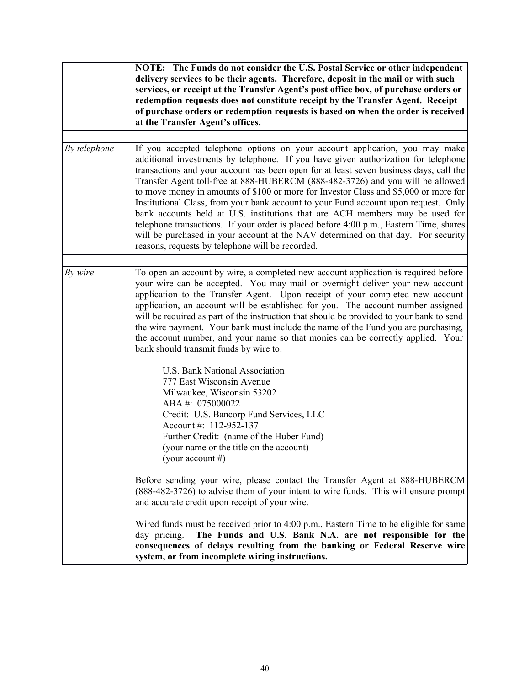|              | NOTE: The Funds do not consider the U.S. Postal Service or other independent<br>delivery services to be their agents. Therefore, deposit in the mail or with such<br>services, or receipt at the Transfer Agent's post office box, of purchase orders or<br>redemption requests does not constitute receipt by the Transfer Agent. Receipt<br>of purchase orders or redemption requests is based on when the order is received<br>at the Transfer Agent's offices.                                                                                                                                                                                                                                                                                                                                                                              |
|--------------|-------------------------------------------------------------------------------------------------------------------------------------------------------------------------------------------------------------------------------------------------------------------------------------------------------------------------------------------------------------------------------------------------------------------------------------------------------------------------------------------------------------------------------------------------------------------------------------------------------------------------------------------------------------------------------------------------------------------------------------------------------------------------------------------------------------------------------------------------|
| By telephone | If you accepted telephone options on your account application, you may make<br>additional investments by telephone. If you have given authorization for telephone<br>transactions and your account has been open for at least seven business days, call the<br>Transfer Agent toll-free at 888-HUBERCM (888-482-3726) and you will be allowed<br>to move money in amounts of \$100 or more for Investor Class and \$5,000 or more for<br>Institutional Class, from your bank account to your Fund account upon request. Only<br>bank accounts held at U.S. institutions that are ACH members may be used for<br>telephone transactions. If your order is placed before 4:00 p.m., Eastern Time, shares<br>will be purchased in your account at the NAV determined on that day. For security<br>reasons, requests by telephone will be recorded. |
| By wire      | To open an account by wire, a completed new account application is required before<br>your wire can be accepted. You may mail or overnight deliver your new account<br>application to the Transfer Agent. Upon receipt of your completed new account<br>application, an account will be established for you. The account number assigned<br>will be required as part of the instruction that should be provided to your bank to send<br>the wire payment. Your bank must include the name of the Fund you are purchasing,<br>the account number, and your name so that monies can be correctly applied. Your<br>bank should transmit funds by wire to:                                                                                                                                                                                          |
|              | U.S. Bank National Association<br>777 East Wisconsin Avenue<br>Milwaukee, Wisconsin 53202<br>ABA#: 075000022<br>Credit: U.S. Bancorp Fund Services, LLC<br>Account #: 112-952-137<br>Further Credit: (name of the Huber Fund)<br>(your name or the title on the account)<br>(your account #)                                                                                                                                                                                                                                                                                                                                                                                                                                                                                                                                                    |
|              | Before sending your wire, please contact the Transfer Agent at 888-HUBERCM<br>(888-482-3726) to advise them of your intent to wire funds. This will ensure prompt<br>and accurate credit upon receipt of your wire.                                                                                                                                                                                                                                                                                                                                                                                                                                                                                                                                                                                                                             |
|              | Wired funds must be received prior to $4:00 \text{ p.m.}$ , Eastern Time to be eligible for same<br>The Funds and U.S. Bank N.A. are not responsible for the<br>day pricing.<br>consequences of delays resulting from the banking or Federal Reserve wire<br>system, or from incomplete wiring instructions.                                                                                                                                                                                                                                                                                                                                                                                                                                                                                                                                    |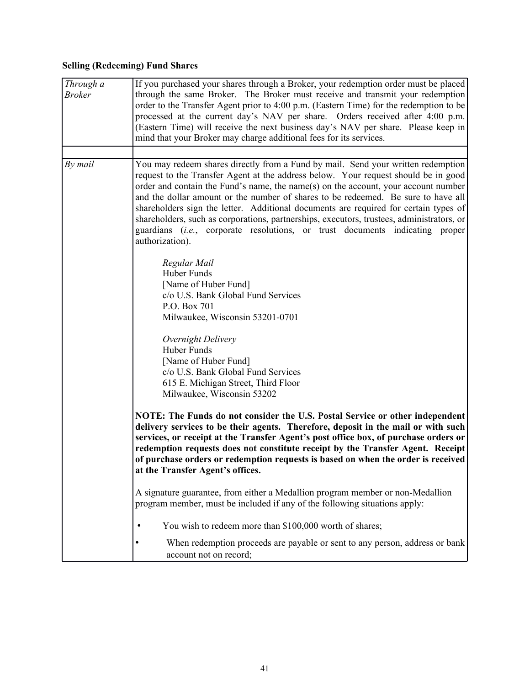# **Selling (Redeeming) Fund Shares**

| Through a<br><b>Broker</b> | If you purchased your shares through a Broker, your redemption order must be placed<br>through the same Broker. The Broker must receive and transmit your redemption |
|----------------------------|----------------------------------------------------------------------------------------------------------------------------------------------------------------------|
|                            | order to the Transfer Agent prior to 4:00 p.m. (Eastern Time) for the redemption to be                                                                               |
|                            | processed at the current day's NAV per share. Orders received after 4:00 p.m.                                                                                        |
|                            | (Eastern Time) will receive the next business day's NAV per share. Please keep in                                                                                    |
|                            | mind that your Broker may charge additional fees for its services.                                                                                                   |
|                            |                                                                                                                                                                      |
| By mail                    | You may redeem shares directly from a Fund by mail. Send your written redemption                                                                                     |
|                            | request to the Transfer Agent at the address below. Your request should be in good                                                                                   |
|                            | order and contain the Fund's name, the name(s) on the account, your account number                                                                                   |
|                            | and the dollar amount or the number of shares to be redeemed. Be sure to have all                                                                                    |
|                            | shareholders sign the letter. Additional documents are required for certain types of                                                                                 |
|                            | shareholders, such as corporations, partnerships, executors, trustees, administrators, or                                                                            |
|                            | guardians (i.e., corporate resolutions, or trust documents indicating proper<br>authorization).                                                                      |
|                            |                                                                                                                                                                      |
|                            | Regular Mail                                                                                                                                                         |
|                            | Huber Funds                                                                                                                                                          |
|                            | [Name of Huber Fund]                                                                                                                                                 |
|                            | c/o U.S. Bank Global Fund Services                                                                                                                                   |
|                            | P.O. Box 701                                                                                                                                                         |
|                            | Milwaukee, Wisconsin 53201-0701                                                                                                                                      |
|                            | Overnight Delivery                                                                                                                                                   |
|                            | Huber Funds                                                                                                                                                          |
|                            | [Name of Huber Fund]                                                                                                                                                 |
|                            | c/o U.S. Bank Global Fund Services                                                                                                                                   |
|                            | 615 E. Michigan Street, Third Floor                                                                                                                                  |
|                            | Milwaukee, Wisconsin 53202                                                                                                                                           |
|                            | NOTE: The Funds do not consider the U.S. Postal Service or other independent<br>delivery services to be their agents. Therefore, deposit in the mail or with such    |
|                            | services, or receipt at the Transfer Agent's post office box, of purchase orders or                                                                                  |
|                            | redemption requests does not constitute receipt by the Transfer Agent. Receipt                                                                                       |
|                            | of purchase orders or redemption requests is based on when the order is received                                                                                     |
|                            | at the Transfer Agent's offices.                                                                                                                                     |
|                            |                                                                                                                                                                      |
|                            | A signature guarantee, from either a Medallion program member or non-Medallion                                                                                       |
|                            | program member, must be included if any of the following situations apply:                                                                                           |
|                            | You wish to redeem more than \$100,000 worth of shares;<br>٠                                                                                                         |
|                            | When redemption proceeds are payable or sent to any person, address or bank<br>account not on record;                                                                |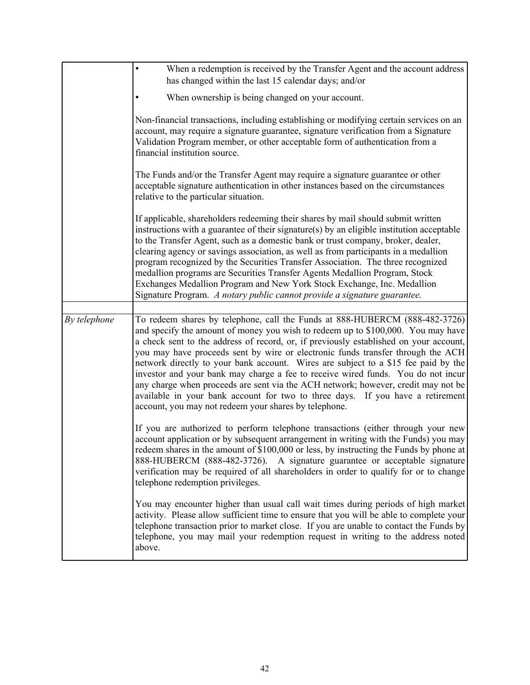|              | When a redemption is received by the Transfer Agent and the account address<br>$\bullet$                                                                                                                                                                                                                                                                                                                                                                                                                                                                                                                                                                                                                                                              |
|--------------|-------------------------------------------------------------------------------------------------------------------------------------------------------------------------------------------------------------------------------------------------------------------------------------------------------------------------------------------------------------------------------------------------------------------------------------------------------------------------------------------------------------------------------------------------------------------------------------------------------------------------------------------------------------------------------------------------------------------------------------------------------|
|              | has changed within the last 15 calendar days; and/or                                                                                                                                                                                                                                                                                                                                                                                                                                                                                                                                                                                                                                                                                                  |
|              | When ownership is being changed on your account.                                                                                                                                                                                                                                                                                                                                                                                                                                                                                                                                                                                                                                                                                                      |
|              | Non-financial transactions, including establishing or modifying certain services on an<br>account, may require a signature guarantee, signature verification from a Signature<br>Validation Program member, or other acceptable form of authentication from a<br>financial institution source.                                                                                                                                                                                                                                                                                                                                                                                                                                                        |
|              | The Funds and/or the Transfer Agent may require a signature guarantee or other<br>acceptable signature authentication in other instances based on the circumstances<br>relative to the particular situation.                                                                                                                                                                                                                                                                                                                                                                                                                                                                                                                                          |
|              | If applicable, shareholders redeeming their shares by mail should submit written<br>instructions with a guarantee of their signature(s) by an eligible institution acceptable<br>to the Transfer Agent, such as a domestic bank or trust company, broker, dealer,<br>clearing agency or savings association, as well as from participants in a medallion<br>program recognized by the Securities Transfer Association. The three recognized<br>medallion programs are Securities Transfer Agents Medallion Program, Stock<br>Exchanges Medallion Program and New York Stock Exchange, Inc. Medallion<br>Signature Program. A notary public cannot provide a signature guarantee.                                                                      |
|              |                                                                                                                                                                                                                                                                                                                                                                                                                                                                                                                                                                                                                                                                                                                                                       |
| By telephone | To redeem shares by telephone, call the Funds at 888-HUBERCM (888-482-3726)<br>and specify the amount of money you wish to redeem up to \$100,000. You may have<br>a check sent to the address of record, or, if previously established on your account,<br>you may have proceeds sent by wire or electronic funds transfer through the ACH<br>network directly to your bank account. Wires are subject to a \$15 fee paid by the<br>investor and your bank may charge a fee to receive wired funds. You do not incur<br>any charge when proceeds are sent via the ACH network; however, credit may not be<br>available in your bank account for two to three days. If you have a retirement<br>account, you may not redeem your shares by telephone. |
|              | If you are authorized to perform telephone transactions (either through your new<br>account application or by subsequent arrangement in writing with the Funds) you may<br>redeem shares in the amount of \$100,000 or less, by instructing the Funds by phone at<br>888-HUBERCM (888-482-3726).<br>A signature guarantee or acceptable signature<br>verification may be required of all shareholders in order to qualify for or to change<br>telephone redemption privileges.                                                                                                                                                                                                                                                                        |
|              | You may encounter higher than usual call wait times during periods of high market<br>activity. Please allow sufficient time to ensure that you will be able to complete your<br>telephone transaction prior to market close. If you are unable to contact the Funds by<br>telephone, you may mail your redemption request in writing to the address noted<br>above.                                                                                                                                                                                                                                                                                                                                                                                   |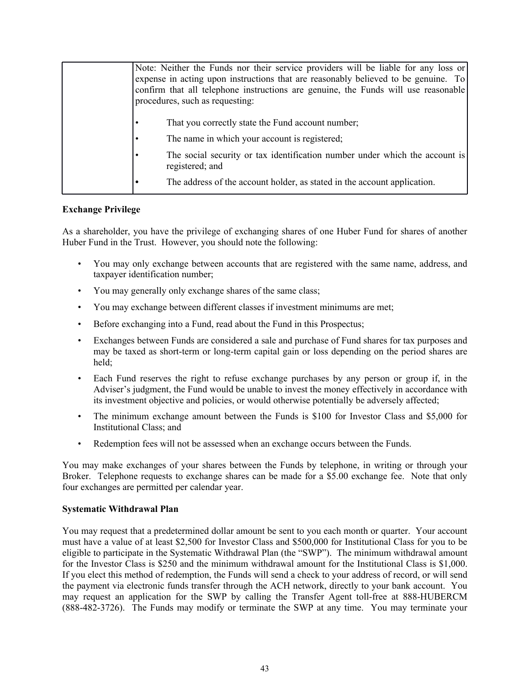| Note: Neither the Funds nor their service providers will be liable for any loss or<br>expense in acting upon instructions that are reasonably believed to be genuine. To<br>confirm that all telephone instructions are genuine, the Funds will use reasonable<br>procedures, such as requesting: |
|---------------------------------------------------------------------------------------------------------------------------------------------------------------------------------------------------------------------------------------------------------------------------------------------------|
| That you correctly state the Fund account number;<br>The name in which your account is registered;<br>The social security or tax identification number under which the account is<br>registered; and<br>The address of the account holder, as stated in the account application.                  |

# **Exchange Privilege**

As a shareholder, you have the privilege of exchanging shares of one Huber Fund for shares of another Huber Fund in the Trust. However, you should note the following:

- You may only exchange between accounts that are registered with the same name, address, and taxpayer identification number;
- You may generally only exchange shares of the same class;
- You may exchange between different classes if investment minimums are met;
- Before exchanging into a Fund, read about the Fund in this Prospectus;
- Exchanges between Funds are considered a sale and purchase of Fund shares for tax purposes and may be taxed as short-term or long-term capital gain or loss depending on the period shares are held;
- Each Fund reserves the right to refuse exchange purchases by any person or group if, in the Adviser's judgment, the Fund would be unable to invest the money effectively in accordance with its investment objective and policies, or would otherwise potentially be adversely affected;
- The minimum exchange amount between the Funds is \$100 for Investor Class and \$5,000 for Institutional Class; and
- Redemption fees will not be assessed when an exchange occurs between the Funds.

You may make exchanges of your shares between the Funds by telephone, in writing or through your Broker. Telephone requests to exchange shares can be made for a \$5.00 exchange fee. Note that only four exchanges are permitted per calendar year.

# **Systematic Withdrawal Plan**

You may request that a predetermined dollar amount be sent to you each month or quarter. Your account must have a value of at least \$2,500 for Investor Class and \$500,000 for Institutional Class for you to be eligible to participate in the Systematic Withdrawal Plan (the "SWP"). The minimum withdrawal amount for the Investor Class is \$250 and the minimum withdrawal amount for the Institutional Class is \$1,000. If you elect this method of redemption, the Funds will send a check to your address of record, or will send the payment via electronic funds transfer through the ACH network, directly to your bank account. You may request an application for the SWP by calling the Transfer Agent toll-free at 888-HUBERCM (888-482-3726). The Funds may modify or terminate the SWP at any time. You may terminate your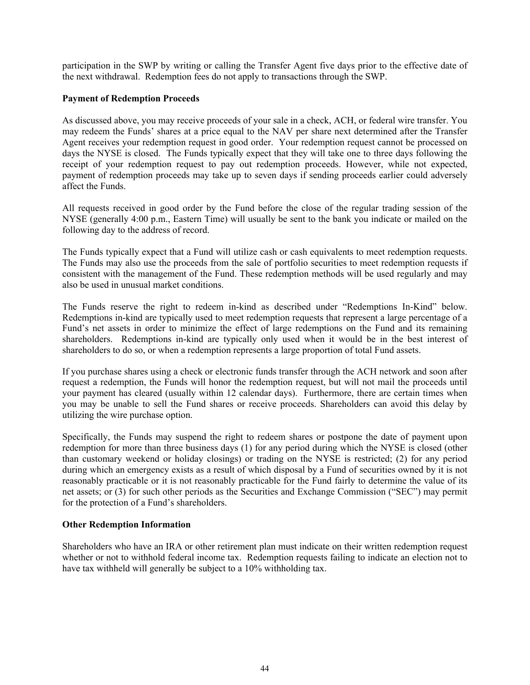participation in the SWP by writing or calling the Transfer Agent five days prior to the effective date of the next withdrawal. Redemption fees do not apply to transactions through the SWP.

# **Payment of Redemption Proceeds**

As discussed above, you may receive proceeds of your sale in a check, ACH, or federal wire transfer. You may redeem the Funds' shares at a price equal to the NAV per share next determined after the Transfer Agent receives your redemption request in good order. Your redemption request cannot be processed on days the NYSE is closed. The Funds typically expect that they will take one to three days following the receipt of your redemption request to pay out redemption proceeds. However, while not expected, payment of redemption proceeds may take up to seven days if sending proceeds earlier could adversely affect the Funds.

All requests received in good order by the Fund before the close of the regular trading session of the NYSE (generally 4:00 p.m., Eastern Time) will usually be sent to the bank you indicate or mailed on the following day to the address of record.

The Funds typically expect that a Fund will utilize cash or cash equivalents to meet redemption requests. The Funds may also use the proceeds from the sale of portfolio securities to meet redemption requests if consistent with the management of the Fund. These redemption methods will be used regularly and may also be used in unusual market conditions.

The Funds reserve the right to redeem in-kind as described under "Redemptions In-Kind" below. Redemptions in-kind are typically used to meet redemption requests that represent a large percentage of a Fund's net assets in order to minimize the effect of large redemptions on the Fund and its remaining shareholders. Redemptions in-kind are typically only used when it would be in the best interest of shareholders to do so, or when a redemption represents a large proportion of total Fund assets.

If you purchase shares using a check or electronic funds transfer through the ACH network and soon after request a redemption, the Funds will honor the redemption request, but will not mail the proceeds until your payment has cleared (usually within 12 calendar days). Furthermore, there are certain times when you may be unable to sell the Fund shares or receive proceeds. Shareholders can avoid this delay by utilizing the wire purchase option.

Specifically, the Funds may suspend the right to redeem shares or postpone the date of payment upon redemption for more than three business days (1) for any period during which the NYSE is closed (other than customary weekend or holiday closings) or trading on the NYSE is restricted; (2) for any period during which an emergency exists as a result of which disposal by a Fund of securities owned by it is not reasonably practicable or it is not reasonably practicable for the Fund fairly to determine the value of its net assets; or (3) for such other periods as the Securities and Exchange Commission ("SEC") may permit for the protection of a Fund's shareholders.

# **Other Redemption Information**

Shareholders who have an IRA or other retirement plan must indicate on their written redemption request whether or not to withhold federal income tax. Redemption requests failing to indicate an election not to have tax withheld will generally be subject to a 10% withholding tax.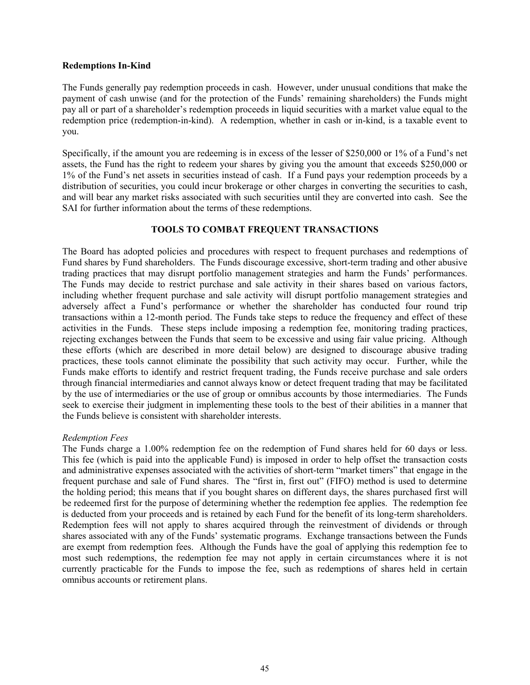#### <span id="page-46-0"></span>**Redemptions In-Kind**

The Funds generally pay redemption proceeds in cash. However, under unusual conditions that make the payment of cash unwise (and for the protection of the Funds' remaining shareholders) the Funds might pay all or part of a shareholder's redemption proceeds in liquid securities with a market value equal to the redemption price (redemption-in-kind). A redemption, whether in cash or in-kind, is a taxable event to you.

Specifically, if the amount you are redeeming is in excess of the lesser of \$250,000 or 1% of a Fund's net assets, the Fund has the right to redeem your shares by giving you the amount that exceeds \$250,000 or 1% of the Fund's net assets in securities instead of cash. If a Fund pays your redemption proceeds by a distribution of securities, you could incur brokerage or other charges in converting the securities to cash, and will bear any market risks associated with such securities until they are converted into cash. See the SAI for further information about the terms of these redemptions.

# **TOOLS TO COMBAT FREQUENT TRANSACTIONS**

The Board has adopted policies and procedures with respect to frequent purchases and redemptions of Fund shares by Fund shareholders. The Funds discourage excessive, short-term trading and other abusive trading practices that may disrupt portfolio management strategies and harm the Funds' performances. The Funds may decide to restrict purchase and sale activity in their shares based on various factors, including whether frequent purchase and sale activity will disrupt portfolio management strategies and adversely affect a Fund's performance or whether the shareholder has conducted four round trip transactions within a 12-month period. The Funds take steps to reduce the frequency and effect of these activities in the Funds. These steps include imposing a redemption fee, monitoring trading practices, rejecting exchanges between the Funds that seem to be excessive and using fair value pricing. Although these efforts (which are described in more detail below) are designed to discourage abusive trading practices, these tools cannot eliminate the possibility that such activity may occur. Further, while the Funds make efforts to identify and restrict frequent trading, the Funds receive purchase and sale orders through financial intermediaries and cannot always know or detect frequent trading that may be facilitated by the use of intermediaries or the use of group or omnibus accounts by those intermediaries. The Funds seek to exercise their judgment in implementing these tools to the best of their abilities in a manner that the Funds believe is consistent with shareholder interests.

#### *Redemption Fees*

The Funds charge a 1.00% redemption fee on the redemption of Fund shares held for 60 days or less. This fee (which is paid into the applicable Fund) is imposed in order to help offset the transaction costs and administrative expenses associated with the activities of short-term "market timers" that engage in the frequent purchase and sale of Fund shares. The "first in, first out" (FIFO) method is used to determine the holding period; this means that if you bought shares on different days, the shares purchased first will be redeemed first for the purpose of determining whether the redemption fee applies. The redemption fee is deducted from your proceeds and is retained by each Fund for the benefit of its long-term shareholders. Redemption fees will not apply to shares acquired through the reinvestment of dividends or through shares associated with any of the Funds' systematic programs. Exchange transactions between the Funds are exempt from redemption fees. Although the Funds have the goal of applying this redemption fee to most such redemptions, the redemption fee may not apply in certain circumstances where it is not currently practicable for the Funds to impose the fee, such as redemptions of shares held in certain omnibus accounts or retirement plans.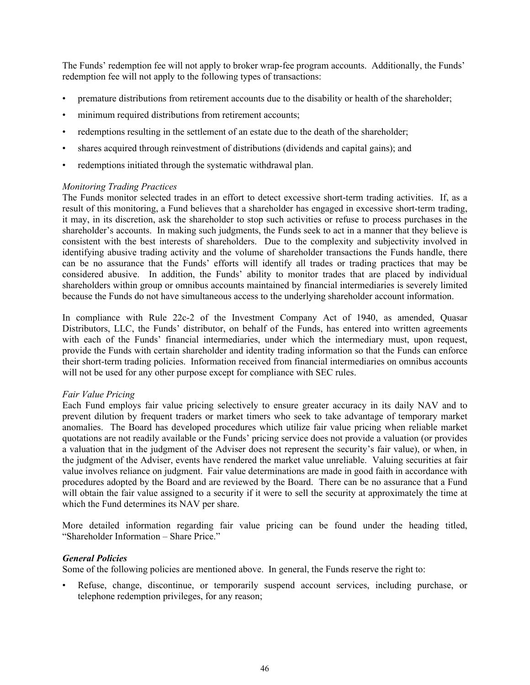The Funds' redemption fee will not apply to broker wrap-fee program accounts. Additionally, the Funds' redemption fee will not apply to the following types of transactions:

- premature distributions from retirement accounts due to the disability or health of the shareholder;
- minimum required distributions from retirement accounts;
- redemptions resulting in the settlement of an estate due to the death of the shareholder;
- shares acquired through reinvestment of distributions (dividends and capital gains); and
- redemptions initiated through the systematic withdrawal plan.

#### *Monitoring Trading Practices*

The Funds monitor selected trades in an effort to detect excessive short-term trading activities. If, as a result of this monitoring, a Fund believes that a shareholder has engaged in excessive short-term trading, it may, in its discretion, ask the shareholder to stop such activities or refuse to process purchases in the shareholder's accounts. In making such judgments, the Funds seek to act in a manner that they believe is consistent with the best interests of shareholders. Due to the complexity and subjectivity involved in identifying abusive trading activity and the volume of shareholder transactions the Funds handle, there can be no assurance that the Funds' efforts will identify all trades or trading practices that may be considered abusive. In addition, the Funds' ability to monitor trades that are placed by individual shareholders within group or omnibus accounts maintained by financial intermediaries is severely limited because the Funds do not have simultaneous access to the underlying shareholder account information.

In compliance with Rule 22c-2 of the Investment Company Act of 1940, as amended, Quasar Distributors, LLC, the Funds' distributor, on behalf of the Funds, has entered into written agreements with each of the Funds' financial intermediaries, under which the intermediary must, upon request, provide the Funds with certain shareholder and identity trading information so that the Funds can enforce their short-term trading policies. Information received from financial intermediaries on omnibus accounts will not be used for any other purpose except for compliance with SEC rules.

#### *Fair Value Pricing*

Each Fund employs fair value pricing selectively to ensure greater accuracy in its daily NAV and to prevent dilution by frequent traders or market timers who seek to take advantage of temporary market anomalies. The Board has developed procedures which utilize fair value pricing when reliable market quotations are not readily available or the Funds' pricing service does not provide a valuation (or provides a valuation that in the judgment of the Adviser does not represent the security's fair value), or when, in the judgment of the Adviser, events have rendered the market value unreliable. Valuing securities at fair value involves reliance on judgment. Fair value determinations are made in good faith in accordance with procedures adopted by the Board and are reviewed by the Board. There can be no assurance that a Fund will obtain the fair value assigned to a security if it were to sell the security at approximately the time at which the Fund determines its NAV per share.

More detailed information regarding fair value pricing can be found under the heading titled, "Shareholder Information – Share Price."

# *General Policies*

Some of the following policies are mentioned above. In general, the Funds reserve the right to:

Refuse, change, discontinue, or temporarily suspend account services, including purchase, or telephone redemption privileges, for any reason;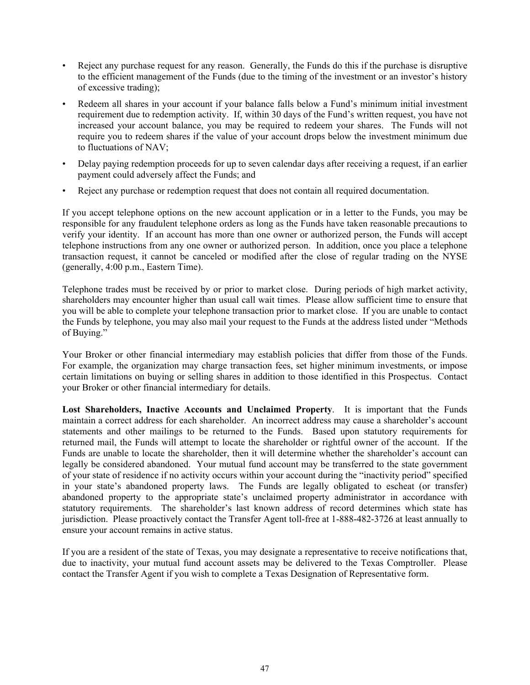- Reject any purchase request for any reason. Generally, the Funds do this if the purchase is disruptive to the efficient management of the Funds (due to the timing of the investment or an investor's history of excessive trading);
- Redeem all shares in your account if your balance falls below a Fund's minimum initial investment requirement due to redemption activity. If, within 30 days of the Fund's written request, you have not increased your account balance, you may be required to redeem your shares. The Funds will not require you to redeem shares if the value of your account drops below the investment minimum due to fluctuations of NAV;
- Delay paying redemption proceeds for up to seven calendar days after receiving a request, if an earlier payment could adversely affect the Funds; and
- Reject any purchase or redemption request that does not contain all required documentation.

If you accept telephone options on the new account application or in a letter to the Funds, you may be responsible for any fraudulent telephone orders as long as the Funds have taken reasonable precautions to verify your identity. If an account has more than one owner or authorized person, the Funds will accept telephone instructions from any one owner or authorized person. In addition, once you place a telephone transaction request, it cannot be canceled or modified after the close of regular trading on the NYSE (generally, 4:00 p.m., Eastern Time).

Telephone trades must be received by or prior to market close. During periods of high market activity, shareholders may encounter higher than usual call wait times. Please allow sufficient time to ensure that you will be able to complete your telephone transaction prior to market close. If you are unable to contact the Funds by telephone, you may also mail your request to the Funds at the address listed under "Methods of Buying."

Your Broker or other financial intermediary may establish policies that differ from those of the Funds. For example, the organization may charge transaction fees, set higher minimum investments, or impose certain limitations on buying or selling shares in addition to those identified in this Prospectus. Contact your Broker or other financial intermediary for details.

**Lost Shareholders, Inactive Accounts and Unclaimed Property**. It is important that the Funds maintain a correct address for each shareholder. An incorrect address may cause a shareholder's account statements and other mailings to be returned to the Funds. Based upon statutory requirements for returned mail, the Funds will attempt to locate the shareholder or rightful owner of the account. If the Funds are unable to locate the shareholder, then it will determine whether the shareholder's account can legally be considered abandoned. Your mutual fund account may be transferred to the state government of your state of residence if no activity occurs within your account during the "inactivity period" specified in your state's abandoned property laws. The Funds are legally obligated to escheat (or transfer) abandoned property to the appropriate state's unclaimed property administrator in accordance with statutory requirements. The shareholder's last known address of record determines which state has jurisdiction. Please proactively contact the Transfer Agent toll-free at 1-888-482-3726 at least annually to ensure your account remains in active status.

If you are a resident of the state of Texas, you may designate a representative to receive notifications that, due to inactivity, your mutual fund account assets may be delivered to the Texas Comptroller. Please contact the Transfer Agent if you wish to complete a Texas Designation of Representative form.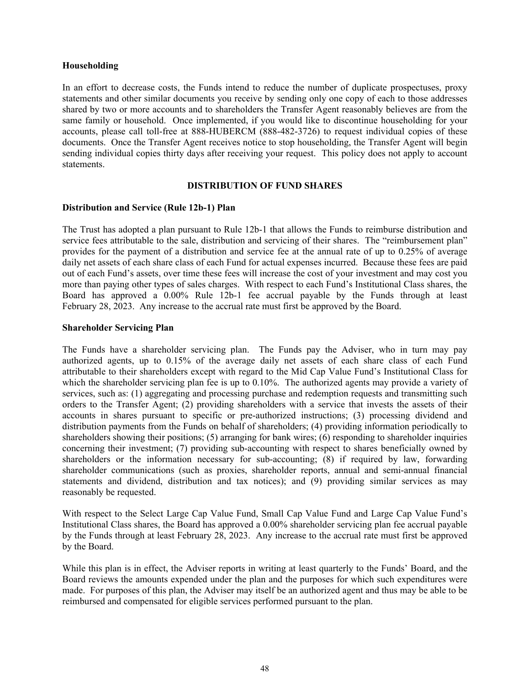# <span id="page-49-0"></span>**Householding**

In an effort to decrease costs, the Funds intend to reduce the number of duplicate prospectuses, proxy statements and other similar documents you receive by sending only one copy of each to those addresses shared by two or more accounts and to shareholders the Transfer Agent reasonably believes are from the same family or household. Once implemented, if you would like to discontinue householding for your accounts, please call toll-free at 888-HUBERCM (888-482-3726) to request individual copies of these documents. Once the Transfer Agent receives notice to stop householding, the Transfer Agent will begin sending individual copies thirty days after receiving your request. This policy does not apply to account statements.

# **DISTRIBUTION OF FUND SHARES**

# **Distribution and Service (Rule 12b-1) Plan**

The Trust has adopted a plan pursuant to Rule 12b-1 that allows the Funds to reimburse distribution and service fees attributable to the sale, distribution and servicing of their shares. The "reimbursement plan" provides for the payment of a distribution and service fee at the annual rate of up to 0.25% of average daily net assets of each share class of each Fund for actual expenses incurred. Because these fees are paid out of each Fund's assets, over time these fees will increase the cost of your investment and may cost you more than paying other types of sales charges. With respect to each Fund's Institutional Class shares, the Board has approved a 0.00% Rule 12b-1 fee accrual payable by the Funds through at least February 28, 2023. Any increase to the accrual rate must first be approved by the Board.

# **Shareholder Servicing Plan**

The Funds have a shareholder servicing plan. The Funds pay the Adviser, who in turn may pay authorized agents, up to 0.15% of the average daily net assets of each share class of each Fund attributable to their shareholders except with regard to the Mid Cap Value Fund's Institutional Class for which the shareholder servicing plan fee is up to 0.10%. The authorized agents may provide a variety of services, such as: (1) aggregating and processing purchase and redemption requests and transmitting such orders to the Transfer Agent; (2) providing shareholders with a service that invests the assets of their accounts in shares pursuant to specific or pre-authorized instructions; (3) processing dividend and distribution payments from the Funds on behalf of shareholders; (4) providing information periodically to shareholders showing their positions; (5) arranging for bank wires; (6) responding to shareholder inquiries concerning their investment; (7) providing sub-accounting with respect to shares beneficially owned by shareholders or the information necessary for sub-accounting; (8) if required by law, forwarding shareholder communications (such as proxies, shareholder reports, annual and semi-annual financial statements and dividend, distribution and tax notices); and (9) providing similar services as may reasonably be requested.

With respect to the Select Large Cap Value Fund, Small Cap Value Fund and Large Cap Value Fund's Institutional Class shares, the Board has approved a 0.00% shareholder servicing plan fee accrual payable by the Funds through at least February 28, 2023. Any increase to the accrual rate must first be approved by the Board.

While this plan is in effect, the Adviser reports in writing at least quarterly to the Funds' Board, and the Board reviews the amounts expended under the plan and the purposes for which such expenditures were made. For purposes of this plan, the Adviser may itself be an authorized agent and thus may be able to be reimbursed and compensated for eligible services performed pursuant to the plan.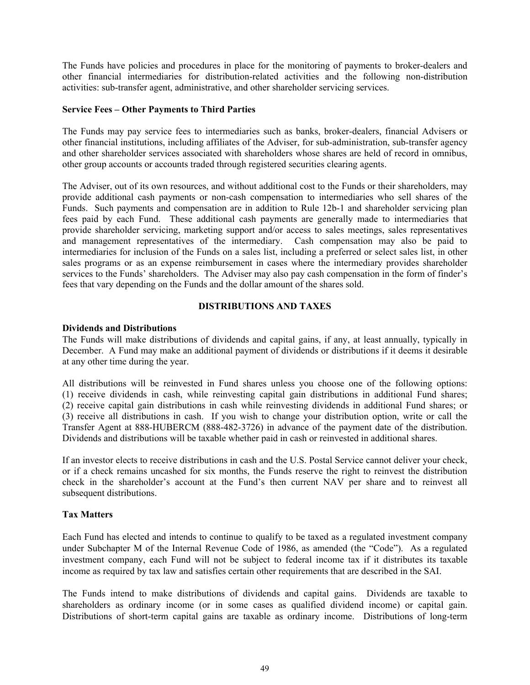<span id="page-50-0"></span>The Funds have policies and procedures in place for the monitoring of payments to broker-dealers and other financial intermediaries for distribution-related activities and the following non-distribution activities: sub-transfer agent, administrative, and other shareholder servicing services.

# **Service Fees – Other Payments to Third Parties**

The Funds may pay service fees to intermediaries such as banks, broker-dealers, financial Advisers or other financial institutions, including affiliates of the Adviser, for sub-administration, sub-transfer agency and other shareholder services associated with shareholders whose shares are held of record in omnibus, other group accounts or accounts traded through registered securities clearing agents.

The Adviser, out of its own resources, and without additional cost to the Funds or their shareholders, may provide additional cash payments or non-cash compensation to intermediaries who sell shares of the Funds. Such payments and compensation are in addition to Rule 12b-1 and shareholder servicing plan fees paid by each Fund. These additional cash payments are generally made to intermediaries that provide shareholder servicing, marketing support and/or access to sales meetings, sales representatives and management representatives of the intermediary. Cash compensation may also be paid to intermediaries for inclusion of the Funds on a sales list, including a preferred or select sales list, in other sales programs or as an expense reimbursement in cases where the intermediary provides shareholder services to the Funds' shareholders. The Adviser may also pay cash compensation in the form of finder's fees that vary depending on the Funds and the dollar amount of the shares sold.

# **DISTRIBUTIONS AND TAXES**

# **Dividends and Distributions**

The Funds will make distributions of dividends and capital gains, if any, at least annually, typically in December. A Fund may make an additional payment of dividends or distributions if it deems it desirable at any other time during the year.

All distributions will be reinvested in Fund shares unless you choose one of the following options: (1) receive dividends in cash, while reinvesting capital gain distributions in additional Fund shares; (2) receive capital gain distributions in cash while reinvesting dividends in additional Fund shares; or (3) receive all distributions in cash. If you wish to change your distribution option, write or call the Transfer Agent at 888-HUBERCM (888-482-3726) in advance of the payment date of the distribution. Dividends and distributions will be taxable whether paid in cash or reinvested in additional shares.

If an investor elects to receive distributions in cash and the U.S. Postal Service cannot deliver your check, or if a check remains uncashed for six months, the Funds reserve the right to reinvest the distribution check in the shareholder's account at the Fund's then current NAV per share and to reinvest all subsequent distributions.

# **Tax Matters**

Each Fund has elected and intends to continue to qualify to be taxed as a regulated investment company under Subchapter M of the Internal Revenue Code of 1986, as amended (the "Code"). As a regulated investment company, each Fund will not be subject to federal income tax if it distributes its taxable income as required by tax law and satisfies certain other requirements that are described in the SAI.

The Funds intend to make distributions of dividends and capital gains. Dividends are taxable to shareholders as ordinary income (or in some cases as qualified dividend income) or capital gain. Distributions of short-term capital gains are taxable as ordinary income. Distributions of long-term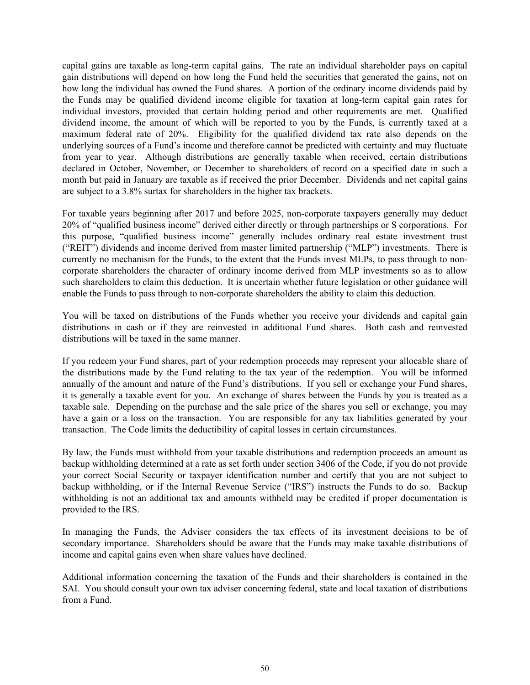capital gains are taxable as long-term capital gains. The rate an individual shareholder pays on capital gain distributions will depend on how long the Fund held the securities that generated the gains, not on how long the individual has owned the Fund shares. A portion of the ordinary income dividends paid by the Funds may be qualified dividend income eligible for taxation at long-term capital gain rates for individual investors, provided that certain holding period and other requirements are met. Qualified dividend income, the amount of which will be reported to you by the Funds, is currently taxed at a maximum federal rate of 20%. Eligibility for the qualified dividend tax rate also depends on the underlying sources of a Fund's income and therefore cannot be predicted with certainty and may fluctuate from year to year. Although distributions are generally taxable when received, certain distributions declared in October, November, or December to shareholders of record on a specified date in such a month but paid in January are taxable as if received the prior December. Dividends and net capital gains are subject to a 3.8% surtax for shareholders in the higher tax brackets.

For taxable years beginning after 2017 and before 2025, non-corporate taxpayers generally may deduct 20% of "qualified business income" derived either directly or through partnerships or S corporations. For this purpose, "qualified business income" generally includes ordinary real estate investment trust ("REIT") dividends and income derived from master limited partnership ("MLP") investments. There is currently no mechanism for the Funds, to the extent that the Funds invest MLPs, to pass through to noncorporate shareholders the character of ordinary income derived from MLP investments so as to allow such shareholders to claim this deduction. It is uncertain whether future legislation or other guidance will enable the Funds to pass through to non-corporate shareholders the ability to claim this deduction.

You will be taxed on distributions of the Funds whether you receive your dividends and capital gain distributions in cash or if they are reinvested in additional Fund shares. Both cash and reinvested distributions will be taxed in the same manner.

If you redeem your Fund shares, part of your redemption proceeds may represent your allocable share of the distributions made by the Fund relating to the tax year of the redemption. You will be informed annually of the amount and nature of the Fund's distributions. If you sell or exchange your Fund shares, it is generally a taxable event for you. An exchange of shares between the Funds by you is treated as a taxable sale. Depending on the purchase and the sale price of the shares you sell or exchange, you may have a gain or a loss on the transaction. You are responsible for any tax liabilities generated by your transaction. The Code limits the deductibility of capital losses in certain circumstances.

By law, the Funds must withhold from your taxable distributions and redemption proceeds an amount as backup withholding determined at a rate as set forth under section 3406 of the Code, if you do not provide your correct Social Security or taxpayer identification number and certify that you are not subject to backup withholding, or if the Internal Revenue Service ("IRS") instructs the Funds to do so. Backup withholding is not an additional tax and amounts withheld may be credited if proper documentation is provided to the IRS.

In managing the Funds, the Adviser considers the tax effects of its investment decisions to be of secondary importance. Shareholders should be aware that the Funds may make taxable distributions of income and capital gains even when share values have declined.

Additional information concerning the taxation of the Funds and their shareholders is contained in the SAI. You should consult your own tax adviser concerning federal, state and local taxation of distributions from a Fund.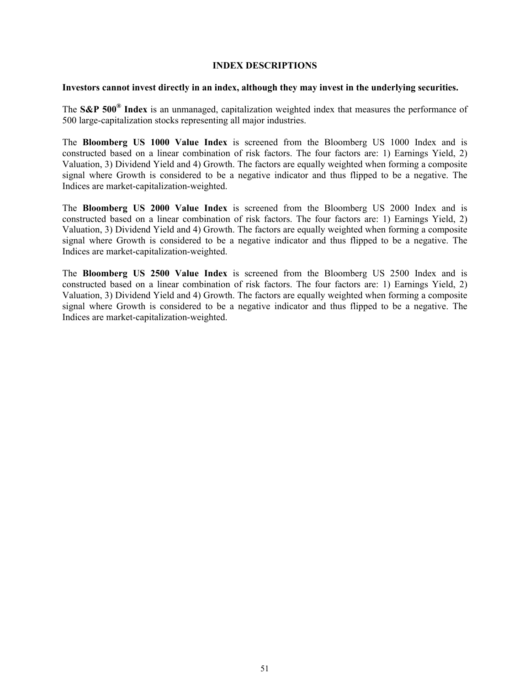#### **INDEX DESCRIPTIONS**

#### <span id="page-52-0"></span>**Investors cannot invest directly in an index, although they may invest in the underlying securities.**

The **S&P 500® Index** is an unmanaged, capitalization weighted index that measures the performance of 500 large-capitalization stocks representing all major industries.

The **Bloomberg US 1000 Value Index** is screened from the Bloomberg US 1000 Index and is constructed based on a linear combination of risk factors. The four factors are: 1) Earnings Yield, 2) Valuation, 3) Dividend Yield and 4) Growth. The factors are equally weighted when forming a composite signal where Growth is considered to be a negative indicator and thus flipped to be a negative. The Indices are market-capitalization-weighted.

The **Bloomberg US 2000 Value Index** is screened from the Bloomberg US 2000 Index and is constructed based on a linear combination of risk factors. The four factors are: 1) Earnings Yield, 2) Valuation, 3) Dividend Yield and 4) Growth. The factors are equally weighted when forming a composite signal where Growth is considered to be a negative indicator and thus flipped to be a negative. The Indices are market-capitalization-weighted.

The **Bloomberg US 2500 Value Index** is screened from the Bloomberg US 2500 Index and is constructed based on a linear combination of risk factors. The four factors are: 1) Earnings Yield, 2) Valuation, 3) Dividend Yield and 4) Growth. The factors are equally weighted when forming a composite signal where Growth is considered to be a negative indicator and thus flipped to be a negative. The Indices are market-capitalization-weighted.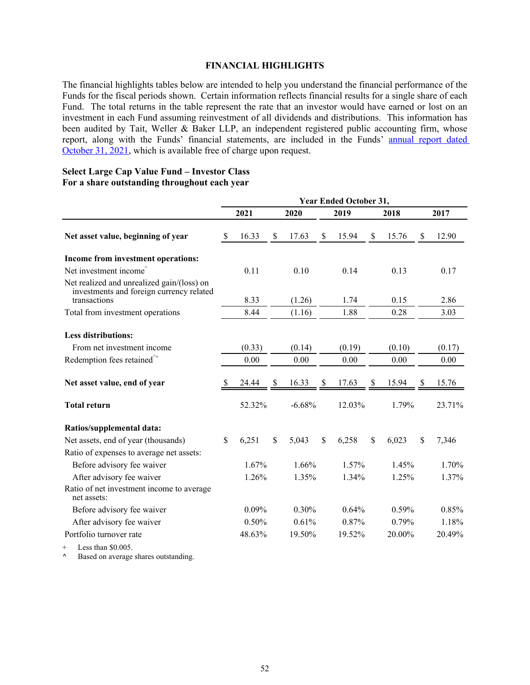#### **FINANCIAL HIGHLIGHTS**

<span id="page-53-0"></span>The financial highlights tables below are intended to help you understand the financial performance of the Funds for the fiscal periods shown. Certain information reflects financial results for a single share of each Fund. The total returns in the table represent the rate that an investor would have earned or lost on an investment in each Fund assuming reinvestment of all dividends and distributions. This information has been audited by Tait, Weller & Baker LLP, an independent registered public accounting firm, whose report, along with the Funds' financial statements, are included in the Funds' [annual report dated](https://www.sec.gov/Archives/edgar/data/1027596/000089853122000008/hf-ncsra.htm) [October 31, 2021,](https://www.sec.gov/Archives/edgar/data/1027596/000089853122000008/hf-ncsra.htm) which is available free of charge upon request.

#### **Select Large Cap Value Fund – Investor Class For a share outstanding throughout each year**

|                                                                                                        | <b>Year Ended October 31,</b> |        |               |          |      |        |               |        |                    |        |  |
|--------------------------------------------------------------------------------------------------------|-------------------------------|--------|---------------|----------|------|--------|---------------|--------|--------------------|--------|--|
|                                                                                                        |                               | 2021   |               | 2020     | 2019 |        | 2018          |        |                    | 2017   |  |
| Net asset value, beginning of year                                                                     | $\mathbb{S}$                  | 16.33  | \$            | 17.63    | \$   | 15.94  | <sup>\$</sup> | 15.76  | \$                 | 12.90  |  |
| Income from investment operations:                                                                     |                               |        |               |          |      |        |               |        |                    |        |  |
| Net investment income <sup><math>\hat{}</math></sup>                                                   |                               | 0.11   |               | 0.10     |      | 0.14   |               | 0.13   |                    | 0.17   |  |
| Net realized and unrealized gain/(loss) on<br>investments and foreign currency related<br>transactions |                               | 8.33   |               | (1.26)   |      | 1.74   |               | 0.15   |                    | 2.86   |  |
|                                                                                                        |                               | 8.44   |               | (1.16)   |      | 1.88   |               | 0.28   |                    |        |  |
| Total from investment operations                                                                       |                               |        |               |          |      |        |               |        |                    | 3.03   |  |
| <b>Less distributions:</b>                                                                             |                               |        |               |          |      |        |               |        |                    |        |  |
| From net investment income                                                                             |                               | (0.33) |               | (0.14)   |      | (0.19) |               | (0.10) |                    | (0.17) |  |
| Redemption fees retained <sup>^+</sup>                                                                 |                               | 0.00   |               | 0.00     |      | 0.00   |               | 0.00   |                    | 0.00   |  |
|                                                                                                        |                               |        |               |          |      |        |               |        |                    |        |  |
| Net asset value, end of year                                                                           |                               | 24.44  | S             | 16.33    | S    | 17.63  | \$            | 15.94  | S                  | 15.76  |  |
| <b>Total return</b>                                                                                    |                               | 52.32% |               | $-6.68%$ |      | 12.03% |               | 1.79%  |                    | 23.71% |  |
| Ratios/supplemental data:                                                                              |                               |        |               |          |      |        |               |        |                    |        |  |
| Net assets, end of year (thousands)                                                                    | \$                            | 6,251  | $\mathsf{\$}$ | 5,043    | \$   | 6,258  | $\mathsf{\$}$ | 6,023  | $\mathbf{\hat{S}}$ | 7,346  |  |
| Ratio of expenses to average net assets:                                                               |                               |        |               |          |      |        |               |        |                    |        |  |
| Before advisory fee waiver                                                                             |                               | 1.67%  |               | 1.66%    |      | 1.57%  |               | 1.45%  |                    | 1.70%  |  |
| After advisory fee waiver                                                                              |                               | 1.26%  |               | 1.35%    |      | 1.34%  |               | 1.25%  |                    | 1.37%  |  |
| Ratio of net investment income to average<br>net assets:                                               |                               |        |               |          |      |        |               |        |                    |        |  |
| Before advisory fee waiver                                                                             |                               | 0.09%  |               | 0.30%    |      | 0.64%  |               | 0.59%  |                    | 0.85%  |  |
| After advisory fee waiver                                                                              |                               | 0.50%  |               | 0.61%    |      | 0.87%  |               | 0.79%  |                    | 1.18%  |  |
| Portfolio turnover rate                                                                                |                               | 48.63% |               | 19.50%   |      | 19.52% |               | 20.00% |                    | 20.49% |  |
| $+$ Less than $$0.005$                                                                                 |                               |        |               |          |      |        |               |        |                    |        |  |

 $+$  Less than \$0.005. **^** Based on average shares outstanding.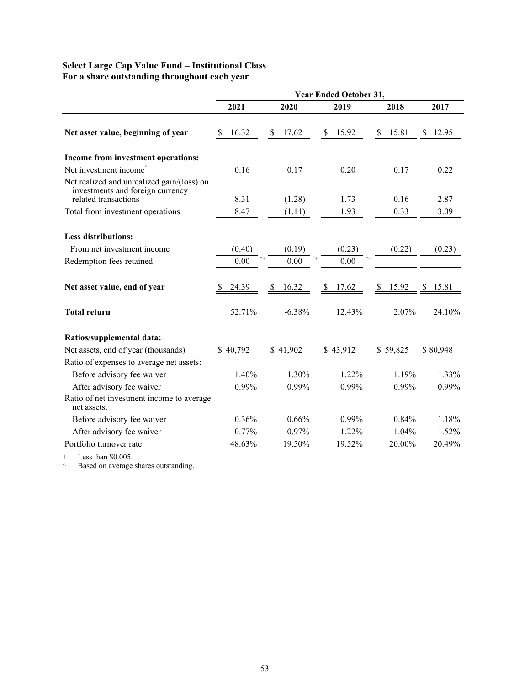# **Select Large Cap Value Fund – Institutional Class For a share outstanding throughout each year**

|                                                                                                        | <b>Year Ended October 31,</b> |            |             |            |             |  |  |  |  |  |  |
|--------------------------------------------------------------------------------------------------------|-------------------------------|------------|-------------|------------|-------------|--|--|--|--|--|--|
|                                                                                                        | 2021                          | 2020       | 2019        | 2018       | 2017        |  |  |  |  |  |  |
| Net asset value, beginning of year                                                                     | 16.32<br><sup>\$</sup>        | 17.62<br>S | \$<br>15.92 | 15.81<br>S | 12.95<br>S  |  |  |  |  |  |  |
| Income from investment operations:                                                                     |                               |            |             |            |             |  |  |  |  |  |  |
| Net investment income <sup>®</sup>                                                                     | 0.16                          | 0.17       | 0.20        | 0.17       | 0.22        |  |  |  |  |  |  |
| Net realized and unrealized gain/(loss) on<br>investments and foreign currency<br>related transactions | 8.31                          | (1.28)     | 1.73        | 0.16       | 2.87        |  |  |  |  |  |  |
| Total from investment operations                                                                       | 8.47                          | (1.11)     | 1.93        | 0.33       | 3.09        |  |  |  |  |  |  |
| <b>Less distributions:</b>                                                                             |                               |            |             |            |             |  |  |  |  |  |  |
| From net investment income                                                                             | (0.40)                        | (0.19)     | (0.23)      | (0.22)     | (0.23)      |  |  |  |  |  |  |
| Redemption fees retained                                                                               | 0.00                          | 0.00       | 0.00        |            |             |  |  |  |  |  |  |
| Net asset value, end of year                                                                           | 24.39                         | 16.32<br>S | 17.62<br>\$ | 15.92<br>S | 15.81<br>\$ |  |  |  |  |  |  |
| <b>Total return</b>                                                                                    | 52.71%                        | $-6.38%$   | 12.43%      | $2.07\%$   | 24.10%      |  |  |  |  |  |  |
| Ratios/supplemental data:                                                                              |                               |            |             |            |             |  |  |  |  |  |  |
| Net assets, end of year (thousands)                                                                    | \$40,792                      | \$41,902   | \$43,912    | \$59,825   | \$80,948    |  |  |  |  |  |  |
| Ratio of expenses to average net assets:                                                               |                               |            |             |            |             |  |  |  |  |  |  |
| Before advisory fee waiver                                                                             | 1.40%                         | 1.30%      | 1.22%       | 1.19%      | 1.33%       |  |  |  |  |  |  |
| After advisory fee waiver                                                                              | 0.99%                         | 0.99%      | 0.99%       | 0.99%      | 0.99%       |  |  |  |  |  |  |
| Ratio of net investment income to average<br>net assets:                                               |                               |            |             |            |             |  |  |  |  |  |  |
| Before advisory fee waiver                                                                             | 0.36%                         | 0.66%      | 0.99%       | 0.84%      | 1.18%       |  |  |  |  |  |  |
| After advisory fee waiver                                                                              | 0.77%                         | 0.97%      | 1.22%       | 1.04%      | 1.52%       |  |  |  |  |  |  |
| Portfolio turnover rate                                                                                | 48.63%                        | 19.50%     | 19.52%      | 20.00%     | 20.49%      |  |  |  |  |  |  |
| $L_{\text{max}}$ than $\Re \Omega$ $\Omega \Gamma$                                                     |                               |            |             |            |             |  |  |  |  |  |  |

+ Less than \$0.005.

 $\wedge$  Based on average shares outstanding.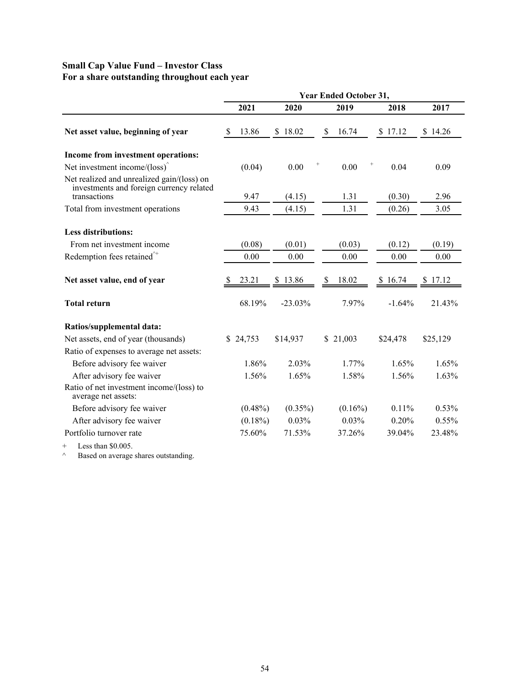# **Small Cap Value Fund – Investor Class For a share outstanding throughout each year**

|                                                                                                        | <b>Year Ended October 31,</b> |            |            |  |             |  |          |             |  |  |  |
|--------------------------------------------------------------------------------------------------------|-------------------------------|------------|------------|--|-------------|--|----------|-------------|--|--|--|
|                                                                                                        |                               | 2021       | 2020       |  | 2019        |  | 2018     | 2017        |  |  |  |
| Net asset value, beginning of year                                                                     | <b>S</b>                      | 13.86      | \$18.02    |  | \$<br>16.74 |  | \$17.12  | \$14.26     |  |  |  |
| Income from investment operations:                                                                     |                               |            |            |  |             |  |          |             |  |  |  |
| Net investment income/ $\left(\text{loss}\right)^{\hat{ }}$                                            |                               | (0.04)     | 0.00       |  | 0.00        |  | 0.04     | 0.09        |  |  |  |
| Net realized and unrealized gain/(loss) on<br>investments and foreign currency related<br>transactions |                               | 9.47       | (4.15)     |  | 1.31        |  | (0.30)   | 2.96        |  |  |  |
| Total from investment operations                                                                       |                               | 9.43       | (4.15)     |  | 1.31        |  | (0.26)   | 3.05        |  |  |  |
|                                                                                                        |                               |            |            |  |             |  |          |             |  |  |  |
| <b>Less distributions:</b>                                                                             |                               |            |            |  |             |  |          |             |  |  |  |
| From net investment income                                                                             |                               | (0.08)     | (0.01)     |  | (0.03)      |  | (0.12)   | (0.19)      |  |  |  |
| Redemption fees retained $\hat{ }$                                                                     |                               | 0.00       | 0.00       |  | 0.00        |  | 0.00     | 0.00        |  |  |  |
| Net asset value, end of year                                                                           | <sup>8</sup>                  | 23.21      | \$13.86    |  | 18.02<br>\$ |  | \$16.74  | 17.12<br>S. |  |  |  |
| <b>Total return</b>                                                                                    |                               | 68.19%     | $-23.03\%$ |  | 7.97%       |  | $-1.64%$ | 21.43%      |  |  |  |
| Ratios/supplemental data:                                                                              |                               |            |            |  |             |  |          |             |  |  |  |
| Net assets, end of year (thousands)                                                                    |                               | \$24,753   | \$14,937   |  | \$21,003    |  | \$24,478 | \$25,129    |  |  |  |
| Ratio of expenses to average net assets:                                                               |                               |            |            |  |             |  |          |             |  |  |  |
| Before advisory fee waiver                                                                             |                               | 1.86%      | 2.03%      |  | 1.77%       |  | 1.65%    | 1.65%       |  |  |  |
| After advisory fee waiver                                                                              |                               | 1.56%      | 1.65%      |  | 1.58%       |  | 1.56%    | 1.63%       |  |  |  |
| Ratio of net investment income/(loss) to<br>average net assets:                                        |                               |            |            |  |             |  |          |             |  |  |  |
| Before advisory fee waiver                                                                             |                               | $(0.48\%)$ | $(0.35\%)$ |  | $(0.16\%)$  |  | 0.11%    | 0.53%       |  |  |  |
| After advisory fee waiver                                                                              |                               | $(0.18\%)$ | 0.03%      |  | 0.03%       |  | 0.20%    | 0.55%       |  |  |  |
| Portfolio turnover rate                                                                                |                               | 75.60%     | 71.53%     |  | 37.26%      |  | 39.04%   | 23.48%      |  |  |  |
| Less than $$0.005$ .<br>$^{+}$                                                                         |                               |            |            |  |             |  |          |             |  |  |  |

 $\wedge$  Based on average shares outstanding.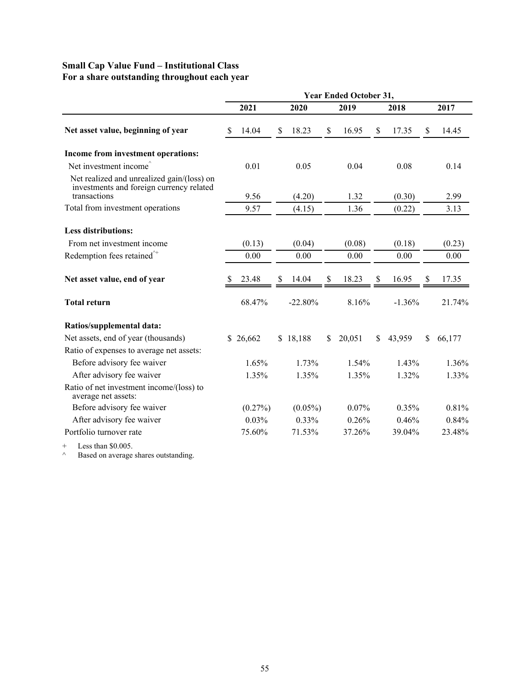# **Small Cap Value Fund – Institutional Class For a share outstanding throughout each year**

|                                                                                                        | <b>Year Ended October 31,</b> |            |      |            |              |        |      |          |    |        |  |
|--------------------------------------------------------------------------------------------------------|-------------------------------|------------|------|------------|--------------|--------|------|----------|----|--------|--|
|                                                                                                        |                               | 2021       | 2020 |            | 2019         |        | 2018 |          |    | 2017   |  |
| Net asset value, beginning of year                                                                     | S                             | 14.04      | \$   | 18.23      | \$           | 16.95  | \$   | 17.35    | \$ | 14.45  |  |
| Income from investment operations:                                                                     |                               |            |      |            |              |        |      |          |    |        |  |
| Net investment income <sup><math>\hat{}</math></sup>                                                   |                               | 0.01       |      | 0.05       |              | 0.04   |      | 0.08     |    | 0.14   |  |
| Net realized and unrealized gain/(loss) on<br>investments and foreign currency related<br>transactions |                               | 9.56       |      | (4.20)     |              | 1.32   |      | (0.30)   |    | 2.99   |  |
| Total from investment operations                                                                       |                               | 9.57       |      | (4.15)     |              | 1.36   |      | (0.22)   |    | 3.13   |  |
| <b>Less distributions:</b>                                                                             |                               |            |      |            |              |        |      |          |    |        |  |
| From net investment income                                                                             |                               | (0.13)     |      | (0.04)     |              | (0.08) |      | (0.18)   |    | (0.23) |  |
| Redemption fees retained $\hat{ }$                                                                     |                               | 0.00       |      | 0.00       |              | 0.00   |      | 0.00     |    | 0.00   |  |
| Net asset value, end of year                                                                           |                               | 23.48      | S    | 14.04      | \$           | 18.23  | \$   | 16.95    | S  | 17.35  |  |
| <b>Total return</b>                                                                                    |                               | 68.47%     |      | $-22.80%$  |              | 8.16%  |      | $-1.36%$ |    | 21.74% |  |
| Ratios/supplemental data:                                                                              |                               |            |      |            |              |        |      |          |    |        |  |
| Net assets, end of year (thousands)                                                                    |                               | \$26,662   |      | \$18,188   | <sup>S</sup> | 20,051 | \$   | 43,959   | S. | 66,177 |  |
| Ratio of expenses to average net assets:                                                               |                               |            |      |            |              |        |      |          |    |        |  |
| Before advisory fee waiver                                                                             |                               | 1.65%      |      | 1.73%      |              | 1.54%  |      | 1.43%    |    | 1.36%  |  |
| After advisory fee waiver                                                                              |                               | 1.35%      |      | 1.35%      |              | 1.35%  |      | 1.32%    |    | 1.33%  |  |
| Ratio of net investment income/(loss) to<br>average net assets:                                        |                               |            |      |            |              |        |      |          |    |        |  |
| Before advisory fee waiver                                                                             |                               | $(0.27\%)$ |      | $(0.05\%)$ |              | 0.07%  |      | 0.35%    |    | 0.81%  |  |
| After advisory fee waiver                                                                              |                               | 0.03%      |      | 0.33%      |              | 0.26%  |      | 0.46%    |    | 0.84%  |  |
| Portfolio turnover rate                                                                                |                               | 75.60%     |      | 71.53%     |              | 37.26% |      | 39.04%   |    | 23.48% |  |
| Less than $$0.005$ .<br>$^{+}$                                                                         |                               |            |      |            |              |        |      |          |    |        |  |

 $\wedge$  Based on average shares outstanding.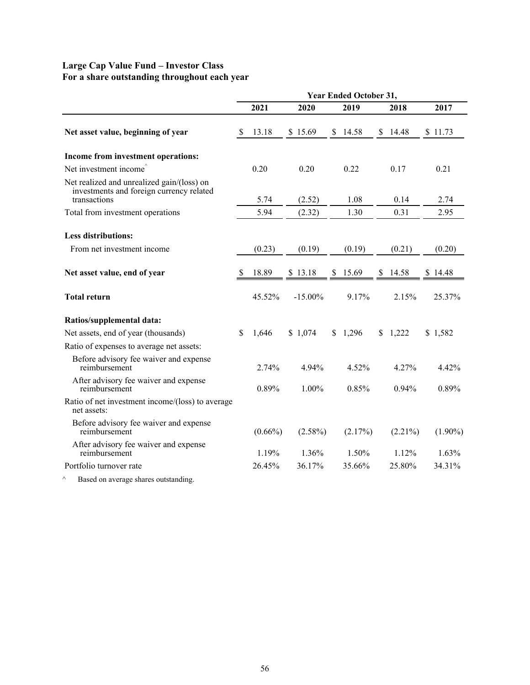# **Large Cap Value Fund – Investor Class For a share outstanding throughout each year**

|                                                                                                                                                                                                                                | <b>Year Ended October 31,</b> |            |            |    |                   |  |            |  |            |  |
|--------------------------------------------------------------------------------------------------------------------------------------------------------------------------------------------------------------------------------|-------------------------------|------------|------------|----|-------------------|--|------------|--|------------|--|
|                                                                                                                                                                                                                                |                               | 2021       | 2020       |    | 2019              |  | 2018       |  | 2017       |  |
| Net asset value, beginning of year                                                                                                                                                                                             | \$                            | 13.18      | \$15.69    | S. | 14.58             |  | \$14.48    |  | \$11.73    |  |
| Income from investment operations:                                                                                                                                                                                             |                               |            |            |    |                   |  |            |  |            |  |
| Net investment income <sup>^</sup>                                                                                                                                                                                             |                               | 0.20       | 0.20       |    | 0.22              |  | 0.17       |  | 0.21       |  |
| Net realized and unrealized gain/(loss) on<br>investments and foreign currency related<br>transactions                                                                                                                         |                               | 5.74       | (2.52)     |    | 1.08              |  | 0.14       |  | 2.74       |  |
| Total from investment operations                                                                                                                                                                                               |                               | 5.94       | (2.32)     |    | 1.30              |  | 0.31       |  | 2.95       |  |
| <b>Less distributions:</b>                                                                                                                                                                                                     |                               |            |            |    |                   |  |            |  |            |  |
| From net investment income                                                                                                                                                                                                     |                               | (0.23)     | (0.19)     |    | (0.19)            |  | (0.21)     |  | (0.20)     |  |
| Net asset value, end of year                                                                                                                                                                                                   | S                             | 18.89      | \$13.18    |    | $$15.69$ $$14.58$ |  |            |  |            |  |
| <b>Total return</b>                                                                                                                                                                                                            |                               | 45.52%     | $-15.00\%$ |    | 9.17%             |  | 2.15%      |  | 25.37%     |  |
| Ratios/supplemental data:                                                                                                                                                                                                      |                               |            |            |    |                   |  |            |  |            |  |
| Net assets, end of year (thousands)                                                                                                                                                                                            | S.                            | 1,646      | \$1,074    |    | \$1,296           |  | \$1,222    |  | \$1,582    |  |
| Ratio of expenses to average net assets:                                                                                                                                                                                       |                               |            |            |    |                   |  |            |  |            |  |
| Before advisory fee waiver and expense<br>reimbursement                                                                                                                                                                        |                               | 2.74%      | 4.94%      |    | 4.52%             |  | 4.27%      |  | 4.42%      |  |
| After advisory fee waiver and expense<br>reimbursement                                                                                                                                                                         |                               | 0.89%      | 1.00%      |    | 0.85%             |  | 0.94%      |  | 0.89%      |  |
| Ratio of net investment income/(loss) to average<br>net assets:                                                                                                                                                                |                               |            |            |    |                   |  |            |  |            |  |
| Before advisory fee waiver and expense<br>reimbursement                                                                                                                                                                        |                               | $(0.66\%)$ | $(2.58\%)$ |    | (2.17%)           |  | $(2.21\%)$ |  | $(1.90\%)$ |  |
| After advisory fee waiver and expense<br>reimbursement                                                                                                                                                                         |                               | 1.19%      | 1.36%      |    | 1.50%             |  | 1.12%      |  | 1.63%      |  |
| Portfolio turnover rate                                                                                                                                                                                                        |                               | 26.45%     | 36.17%     |    | 35.66%            |  | 25.80%     |  | 34.31%     |  |
| The configuration of the contract of the state of the state of the state of the state of the state of the state of the state of the state of the state of the state of the state of the state of the state of the state of the |                               |            |            |    |                   |  |            |  |            |  |

Based on average shares outstanding.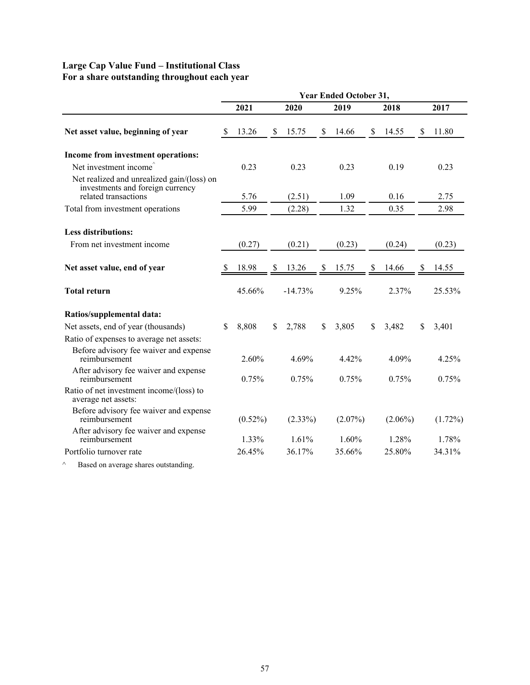# **Large Cap Value Fund – Institutional Class For a share outstanding throughout each year**

|                                                                                                        | <b>Year Ended October 31,</b> |            |      |            |      |            |      |            |    |            |  |
|--------------------------------------------------------------------------------------------------------|-------------------------------|------------|------|------------|------|------------|------|------------|----|------------|--|
|                                                                                                        | 2021                          |            | 2020 |            | 2019 |            | 2018 |            |    | 2017       |  |
| Net asset value, beginning of year                                                                     | <sup>8</sup>                  | 13.26      | S    | 15.75      | \$   | 14.66      | \$   | 14.55      | \$ | 11.80      |  |
| Income from investment operations:                                                                     |                               |            |      |            |      |            |      |            |    |            |  |
| Net investment income <sup><math>\hat{}</math></sup>                                                   |                               | 0.23       |      | 0.23       |      | 0.23       |      | 0.19       |    | 0.23       |  |
| Net realized and unrealized gain/(loss) on<br>investments and foreign currency<br>related transactions |                               | 5.76       |      | (2.51)     |      | 1.09       |      | 0.16       |    | 2.75       |  |
| Total from investment operations                                                                       |                               | 5.99       |      | (2.28)     |      | 1.32       |      | 0.35       |    | 2.98       |  |
|                                                                                                        |                               |            |      |            |      |            |      |            |    |            |  |
| <b>Less distributions:</b>                                                                             |                               |            |      |            |      |            |      |            |    |            |  |
| From net investment income                                                                             |                               | (0.27)     |      | (0.21)     |      | (0.23)     |      | (0.24)     |    | (0.23)     |  |
|                                                                                                        |                               |            |      |            |      |            |      |            |    |            |  |
| Net asset value, end of year                                                                           |                               | 18.98      | S    | 13.26      | S    | 15.75      | \$   | 14.66      |    | 14.55      |  |
| <b>Total return</b>                                                                                    |                               | 45.66%     |      | $-14.73%$  |      | 9.25%      |      | 2.37%      |    | 25.53%     |  |
| Ratios/supplemental data:                                                                              |                               |            |      |            |      |            |      |            |    |            |  |
| Net assets, end of year (thousands)                                                                    | $\mathbf{\$}$                 | 8,808      | \$   | 2,788      | \$   | 3,805      | \$   | 3,482      | \$ | 3,401      |  |
| Ratio of expenses to average net assets:                                                               |                               |            |      |            |      |            |      |            |    |            |  |
| Before advisory fee waiver and expense<br>reimbursement                                                |                               | 2.60%      |      | 4.69%      |      | 4.42%      |      | 4.09%      |    | 4.25%      |  |
| After advisory fee waiver and expense<br>reimbursement                                                 |                               | 0.75%      |      | 0.75%      |      | 0.75%      |      | 0.75%      |    | 0.75%      |  |
| Ratio of net investment income/(loss) to<br>average net assets:                                        |                               |            |      |            |      |            |      |            |    |            |  |
| Before advisory fee waiver and expense<br>reimbursement                                                |                               | $(0.52\%)$ |      | $(2.33\%)$ |      | $(2.07\%)$ |      | $(2.06\%)$ |    | $(1.72\%)$ |  |
| After advisory fee waiver and expense<br>reimbursement                                                 |                               | 1.33%      |      | 1.61%      |      | 1.60%      |      | 1.28%      |    | 1.78%      |  |
| Portfolio turnover rate                                                                                |                               | 26.45%     |      | 36.17%     |      | 35.66%     |      | 25.80%     |    | 34.31%     |  |

^ Based on average shares outstanding.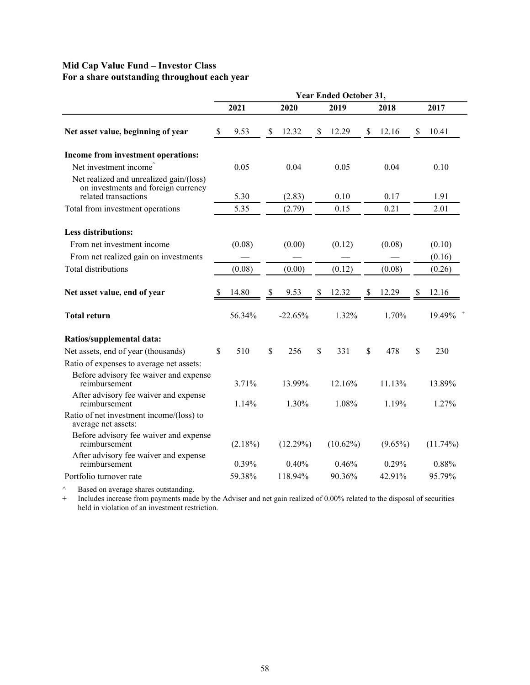# **Mid Cap Value Fund – Investor Class For a share outstanding throughout each year**

|                                                                                                        | <b>Year Ended October 31,</b> |            |    |           |    |             |      |            |    |             |  |  |
|--------------------------------------------------------------------------------------------------------|-------------------------------|------------|----|-----------|----|-------------|------|------------|----|-------------|--|--|
|                                                                                                        |                               | 2021       |    | 2020      |    | 2019        | 2018 |            |    | 2017        |  |  |
| Net asset value, beginning of year                                                                     | \$                            | 9.53       | \$ | 12.32     | \$ | 12.29       | \$   | 12.16      | S  | 10.41       |  |  |
| Income from investment operations:                                                                     |                               |            |    |           |    |             |      |            |    |             |  |  |
| Net investment income <sup>®</sup>                                                                     |                               | 0.05       |    | 0.04      |    | 0.05        |      | 0.04       |    | 0.10        |  |  |
| Net realized and unrealized gain/(loss)<br>on investments and foreign currency<br>related transactions |                               | 5.30       |    | (2.83)    |    | 0.10        |      | 0.17       |    | 1.91        |  |  |
| Total from investment operations                                                                       |                               | 5.35       |    | (2.79)    |    | 0.15        |      | 0.21       |    | 2.01        |  |  |
| <b>Less distributions:</b><br>From net investment income                                               |                               | (0.08)     |    | (0.00)    |    | (0.12)      |      | (0.08)     |    | (0.10)      |  |  |
| From net realized gain on investments                                                                  |                               |            |    |           |    |             |      |            |    | (0.16)      |  |  |
| <b>Total distributions</b>                                                                             |                               | (0.08)     |    | (0.00)    |    | (0.12)      |      | (0.08)     |    | (0.26)      |  |  |
| Net asset value, end of year                                                                           | -S                            | 14.80      | -S | 9.53      | \$ | 12.32       | S    | 12.29      | S  | 12.16       |  |  |
| <b>Total return</b>                                                                                    |                               | 56.34%     |    | $-22.65%$ |    | 1.32%       |      | 1.70%      |    | 19.49%      |  |  |
| Ratios/supplemental data:                                                                              |                               |            |    |           |    |             |      |            |    |             |  |  |
| Net assets, end of year (thousands)                                                                    | \$                            | 510        | \$ | 256       | \$ | 331         | \$   | 478        | \$ | 230         |  |  |
| Ratio of expenses to average net assets:                                                               |                               |            |    |           |    |             |      |            |    |             |  |  |
| Before advisory fee waiver and expense<br>reimbursement                                                |                               | 3.71%      |    | 13.99%    |    | 12.16%      |      | 11.13%     |    | 13.89%      |  |  |
| After advisory fee waiver and expense<br>reimbursement                                                 |                               | 1.14%      |    | 1.30%     |    | 1.08%       |      | 1.19%      |    | 1.27%       |  |  |
| Ratio of net investment income/(loss) to<br>average net assets:                                        |                               |            |    |           |    |             |      |            |    |             |  |  |
| Before advisory fee waiver and expense<br>reimbursement                                                |                               | $(2.18\%)$ |    | (12.29%)  |    | $(10.62\%)$ |      | $(9.65\%)$ |    | $(11.74\%)$ |  |  |
| After advisory fee waiver and expense<br>reimbursement                                                 |                               | 0.39%      |    | 0.40%     |    | 0.46%       |      | 0.29%      |    | 0.88%       |  |  |
| Portfolio turnover rate                                                                                |                               | 59.38%     |    | 118.94%   |    | 90.36%      |      | 42.91%     |    | 95.79%      |  |  |

 $\wedge$  Based on average shares outstanding.

+ Includes increase from payments made by the Adviser and net gain realized of 0.00% related to the disposal of securities held in violation of an investment restriction.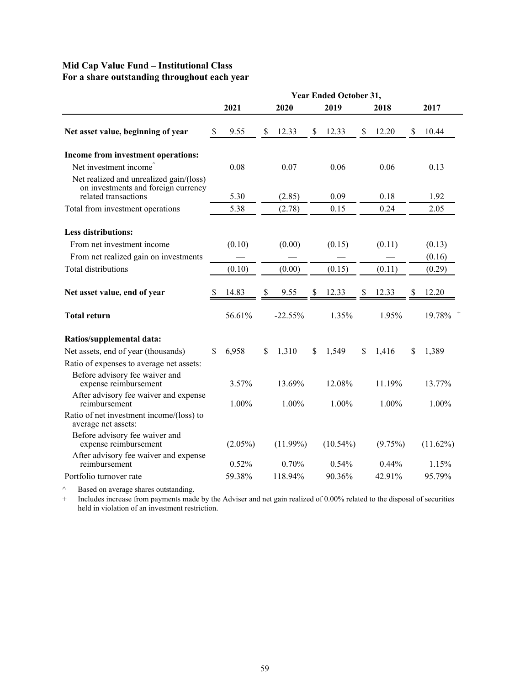# **Mid Cap Value Fund – Institutional Class For a share outstanding throughout each year**

|                                                                                                        | <b>Year Ended October 31,</b> |                 |    |                   |    |                |    |                |    |                  |
|--------------------------------------------------------------------------------------------------------|-------------------------------|-----------------|----|-------------------|----|----------------|----|----------------|----|------------------|
|                                                                                                        |                               | 2021            |    | 2020              |    | 2019           |    | 2018           |    | 2017             |
| Net asset value, beginning of year                                                                     | \$                            | 9.55            | \$ | 12.33             | \$ | 12.33          | \$ | 12.20          | \$ | 10.44            |
| Income from investment operations:                                                                     |                               |                 |    |                   |    |                |    |                |    |                  |
| Net investment income <sup><math>\hat{}</math></sup>                                                   |                               | 0.08            |    | 0.07              |    | 0.06           |    | 0.06           |    | 0.13             |
| Net realized and unrealized gain/(loss)<br>on investments and foreign currency<br>related transactions |                               | 5.30            |    | (2.85)            |    | 0.09           |    | 0.18           |    | 1.92             |
| Total from investment operations                                                                       |                               | 5.38            |    | (2.78)            |    | 0.15           |    | 0.24           |    | 2.05             |
| <b>Less distributions:</b><br>From net investment income<br>From net realized gain on investments      |                               | (0.10)          |    | (0.00)            |    | (0.15)         |    | (0.11)         |    | (0.13)<br>(0.16) |
| <b>Total distributions</b>                                                                             |                               | (0.10)          |    | (0.00)            |    | (0.15)         |    | (0.11)         |    | (0.29)           |
| Net asset value, end of year<br><b>Total return</b>                                                    | S                             | 14.83<br>56.61% | \$ | 9.55<br>$-22.55%$ | \$ | 12.33<br>1.35% | \$ | 12.33<br>1.95% |    | 12.20<br>19.78%  |
| Ratios/supplemental data:                                                                              |                               |                 |    |                   |    |                |    |                |    |                  |
| Net assets, end of year (thousands)                                                                    | \$                            | 6,958           | S. | 1,310             | \$ | 1,549          | \$ | 1,416          | S  | 1,389            |
| Ratio of expenses to average net assets:<br>Before advisory fee waiver and<br>expense reimbursement    |                               | 3.57%           |    | 13.69%            |    | 12.08%         |    | 11.19%         |    | 13.77%           |
| After advisory fee waiver and expense<br>reimbursement                                                 |                               | 1.00%           |    | 1.00%             |    | 1.00%          |    | 1.00%          |    | 1.00%            |
| Ratio of net investment income/(loss) to<br>average net assets:                                        |                               |                 |    |                   |    |                |    |                |    |                  |
| Before advisory fee waiver and<br>expense reimbursement                                                |                               | $(2.05\%)$      |    | $(11.99\%)$       |    | $(10.54\%)$    |    | (9.75%)        |    | $(11.62\%)$      |
| After advisory fee waiver and expense<br>reimbursement                                                 |                               | 0.52%           |    | 0.70%             |    | 0.54%          |    | $0.44\%$       |    | 1.15%            |
| Portfolio turnover rate                                                                                |                               | 59.38%          |    | 118.94%           |    | 90.36%         |    | 42.91%         |    | 95.79%           |

 $\wedge$  Based on average shares outstanding.

+ Includes increase from payments made by the Adviser and net gain realized of 0.00% related to the disposal of securities held in violation of an investment restriction.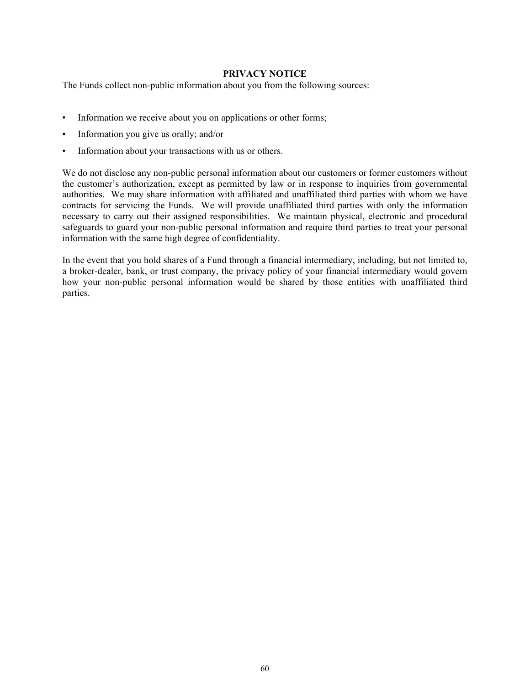# **PRIVACY NOTICE**

<span id="page-61-0"></span>The Funds collect non-public information about you from the following sources:

- Information we receive about you on applications or other forms;
- Information you give us orally; and/or
- Information about your transactions with us or others.

We do not disclose any non-public personal information about our customers or former customers without the customer's authorization, except as permitted by law or in response to inquiries from governmental authorities. We may share information with affiliated and unaffiliated third parties with whom we have contracts for servicing the Funds. We will provide unaffiliated third parties with only the information necessary to carry out their assigned responsibilities. We maintain physical, electronic and procedural safeguards to guard your non-public personal information and require third parties to treat your personal information with the same high degree of confidentiality.

In the event that you hold shares of a Fund through a financial intermediary, including, but not limited to, a broker-dealer, bank, or trust company, the privacy policy of your financial intermediary would govern how your non-public personal information would be shared by those entities with unaffiliated third parties.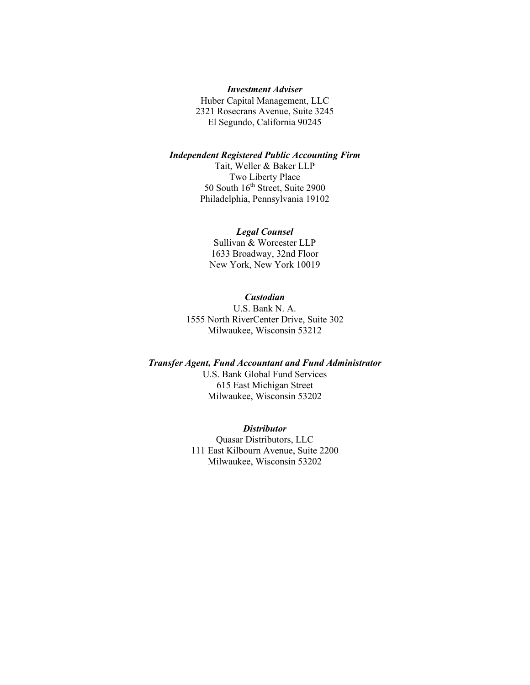# *Investment Adviser*

Huber Capital Management, LLC 2321 Rosecrans Avenue, Suite 3245 El Segundo, California 90245

#### *Independent Registered Public Accounting Firm*

Tait, Weller & Baker LLP Two Liberty Place 50 South  $16<sup>th</sup>$  Street, Suite 2900 Philadelphia, Pennsylvania 19102

### *Legal Counsel*

Sullivan & Worcester LLP 1633 Broadway, 32nd Floor New York, New York 10019

# *Custodian*

U.S. Bank N. A. 1555 North RiverCenter Drive, Suite 302 Milwaukee, Wisconsin 53212

#### *Transfer Agent, Fund Accountant and Fund Administrator*

U.S. Bank Global Fund Services 615 East Michigan Street Milwaukee, Wisconsin 53202

#### *Distributor*

Quasar Distributors, LLC 111 East Kilbourn Avenue, Suite 2200 Milwaukee, Wisconsin 53202